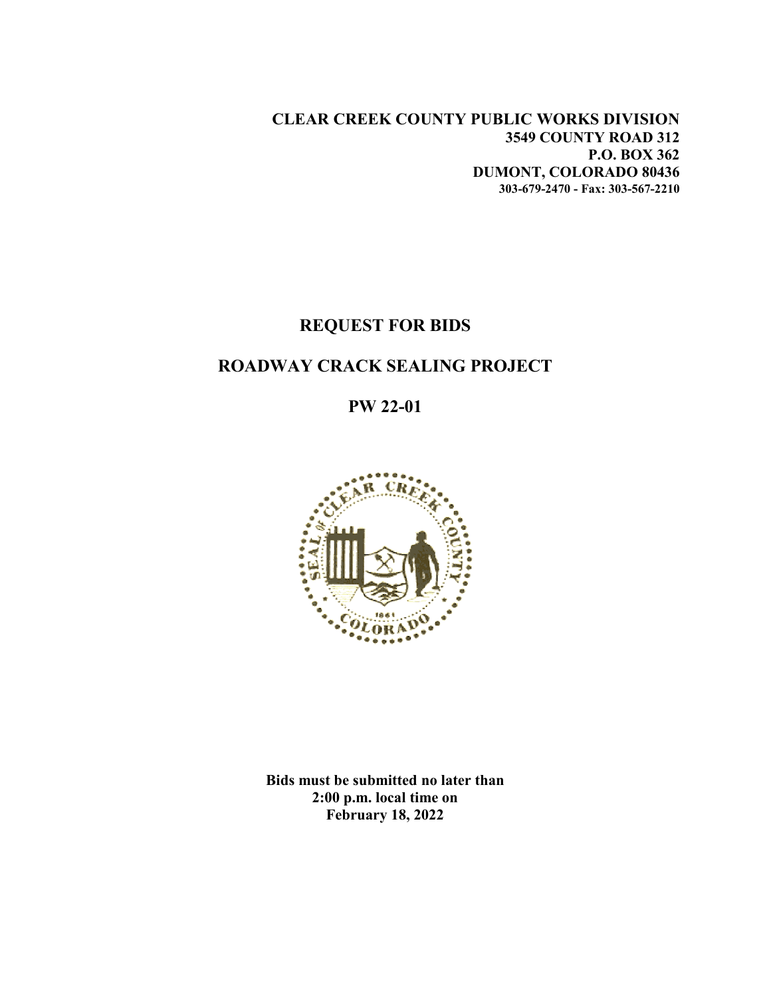**CLEAR CREEK COUNTY PUBLIC WORKS DIVISION 3549 COUNTY ROAD 312 P.O. BOX 362 DUMONT, COLORADO 80436 303-679-2470 - Fax: 303-567-2210**

## **REQUEST FOR BIDS**

# **ROADWAY CRACK SEALING PROJECT**

**PW 22-01**



**Bids must be submitted no later than 2:00 p.m. local time on February 18, 2022**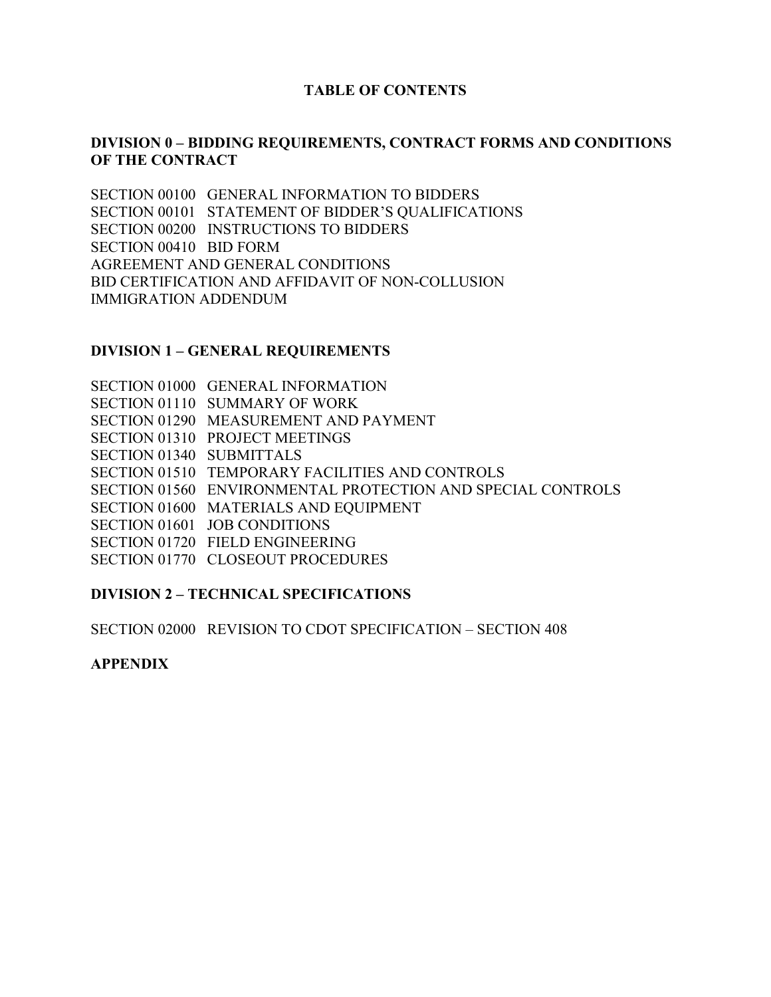### **TABLE OF CONTENTS**

## **DIVISION 0 – BIDDING REQUIREMENTS, CONTRACT FORMS AND CONDITIONS OF THE CONTRACT**

SECTION 00100 GENERAL INFORMATION TO BIDDERS SECTION 00101 STATEMENT OF BIDDER'S QUALIFICATIONS SECTION 00200 INSTRUCTIONS TO BIDDERS SECTION 00410 BID FORM AGREEMENT AND GENERAL CONDITIONS BID CERTIFICATION AND AFFIDAVIT OF NON-COLLUSION IMMIGRATION ADDENDUM

#### **DIVISION 1 – GENERAL REQUIREMENTS**

SECTION 01000 GENERAL INFORMATION SECTION 01110 SUMMARY OF WORK SECTION 01290 MEASUREMENT AND PAYMENT SECTION 01310 PROJECT MEETINGS SECTION 01340 SUBMITTALS SECTION 01510 TEMPORARY FACILITIES AND CONTROLS SECTION 01560 ENVIRONMENTAL PROTECTION AND SPECIAL CONTROLS SECTION 01600 MATERIALS AND EQUIPMENT SECTION 01601 JOB CONDITIONS SECTION 01720 FIELD ENGINEERING SECTION 01770 CLOSEOUT PROCEDURES

#### **DIVISION 2 – TECHNICAL SPECIFICATIONS**

SECTION 02000 REVISION TO CDOT SPECIFICATION – SECTION 408

#### **APPENDIX**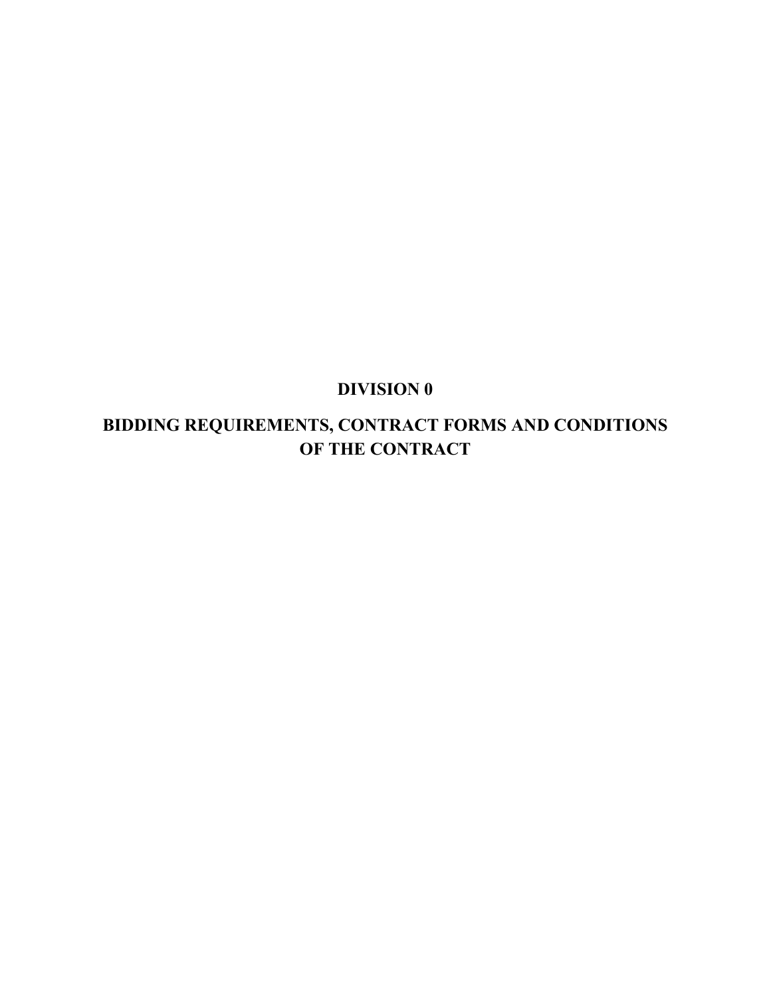# **DIVISION 0**

# **BIDDING REQUIREMENTS, CONTRACT FORMS AND CONDITIONS OF THE CONTRACT**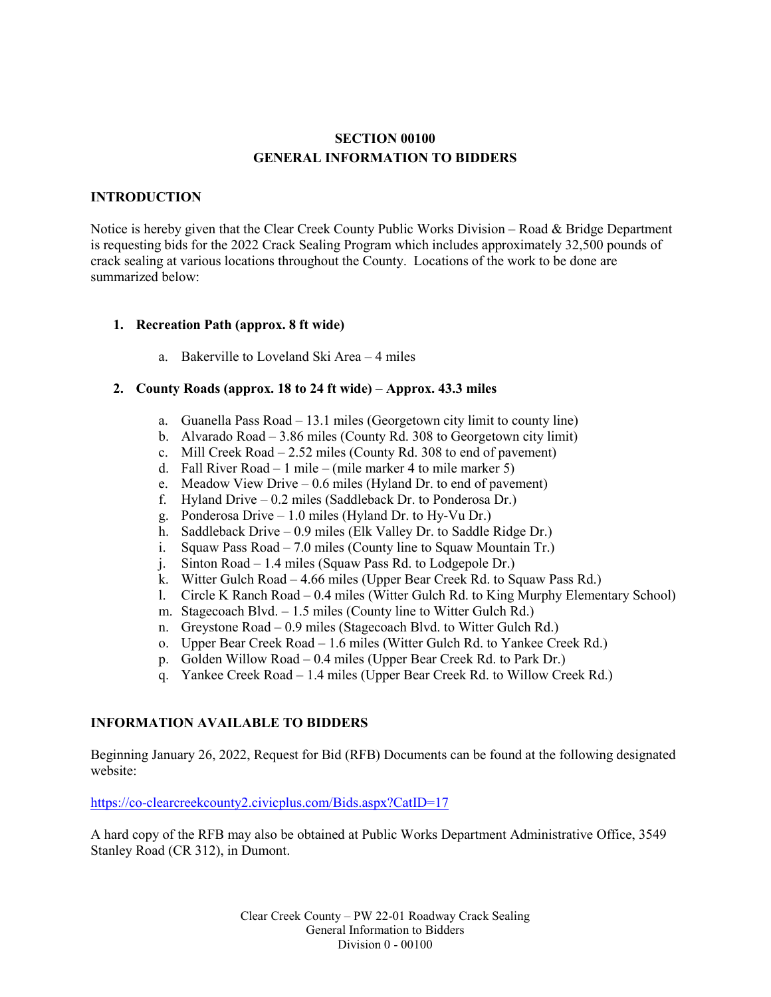#### **SECTION 00100 GENERAL INFORMATION TO BIDDERS**

#### **INTRODUCTION**

Notice is hereby given that the Clear Creek County Public Works Division – Road & Bridge Department is requesting bids for the 2022 Crack Sealing Program which includes approximately 32,500 pounds of crack sealing at various locations throughout the County. Locations of the work to be done are summarized below:

#### **1. Recreation Path (approx. 8 ft wide)**

a. Bakerville to Loveland Ski Area – 4 miles

#### **2. County Roads (approx. 18 to 24 ft wide) – Approx. 43.3 miles**

- a. Guanella Pass Road 13.1 miles (Georgetown city limit to county line)
- b. Alvarado Road 3.86 miles (County Rd. 308 to Georgetown city limit)
- c. Mill Creek Road 2.52 miles (County Rd. 308 to end of pavement)
- d. Fall River Road 1 mile (mile marker 4 to mile marker 5)
- e. Meadow View Drive 0.6 miles (Hyland Dr. to end of pavement)
- f. Hyland Drive 0.2 miles (Saddleback Dr. to Ponderosa Dr.)
- g. Ponderosa Drive 1.0 miles (Hyland Dr. to Hy-Vu Dr.)
- h. Saddleback Drive 0.9 miles (Elk Valley Dr. to Saddle Ridge Dr.)
- i. Squaw Pass Road 7.0 miles (County line to Squaw Mountain Tr.)
- j. Sinton Road 1.4 miles (Squaw Pass Rd. to Lodgepole Dr.)
- k. Witter Gulch Road 4.66 miles (Upper Bear Creek Rd. to Squaw Pass Rd.)
- l. Circle K Ranch Road 0.4 miles (Witter Gulch Rd. to King Murphy Elementary School)
- m. Stagecoach Blvd. 1.5 miles (County line to Witter Gulch Rd.)
- n. Greystone Road 0.9 miles (Stagecoach Blvd. to Witter Gulch Rd.)
- o. Upper Bear Creek Road 1.6 miles (Witter Gulch Rd. to Yankee Creek Rd.)
- p. Golden Willow Road 0.4 miles (Upper Bear Creek Rd. to Park Dr.)
- q. Yankee Creek Road 1.4 miles (Upper Bear Creek Rd. to Willow Creek Rd.)

#### **INFORMATION AVAILABLE TO BIDDERS**

Beginning January 26, 2022, Request for Bid (RFB) Documents can be found at the following designated website:

#### <https://co-clearcreekcounty2.civicplus.com/Bids.aspx?CatID=17>

A hard copy of the RFB may also be obtained at Public Works Department Administrative Office, 3549 Stanley Road (CR 312), in Dumont.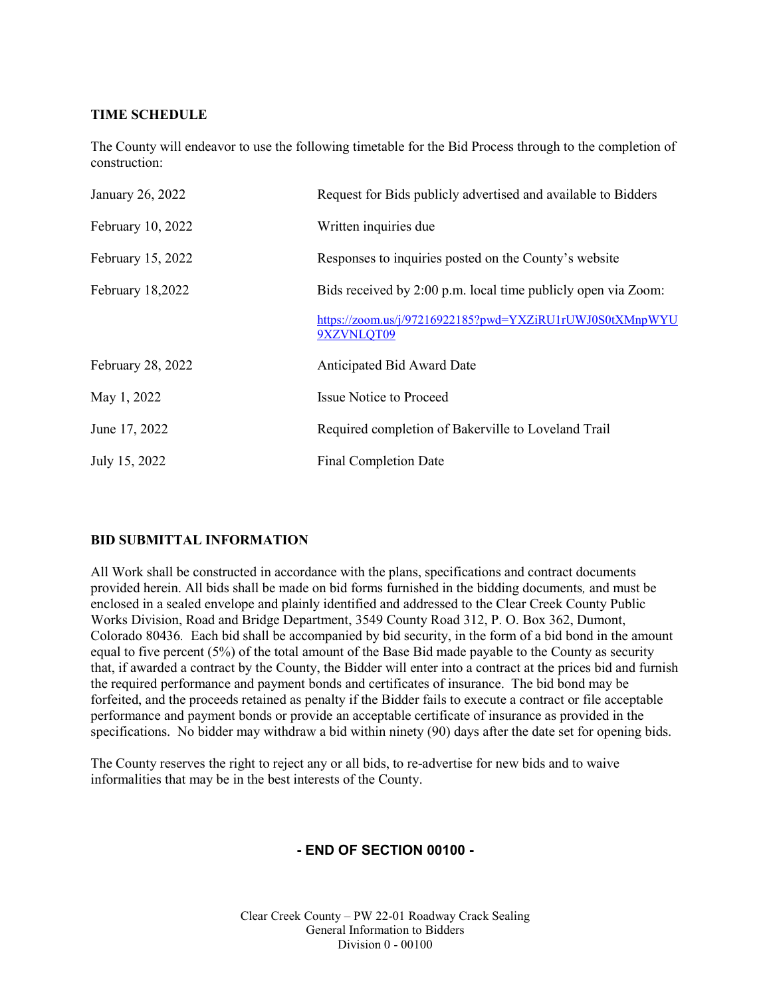#### **TIME SCHEDULE**

The County will endeavor to use the following timetable for the Bid Process through to the completion of construction:

| January 26, 2022  | Request for Bids publicly advertised and available to Bidders          |
|-------------------|------------------------------------------------------------------------|
| February 10, 2022 | Written inquiries due                                                  |
| February 15, 2022 | Responses to inquiries posted on the County's website                  |
| February 18,2022  | Bids received by 2:00 p.m. local time publicly open via Zoom:          |
|                   | https://zoom.us/j/97216922185?pwd=YXZiRU1rUWJ0S0tXMnpWYU<br>9XZVNLOT09 |
| February 28, 2022 | Anticipated Bid Award Date                                             |
| May 1, 2022       | <b>Issue Notice to Proceed</b>                                         |
| June 17, 2022     | Required completion of Bakerville to Loveland Trail                    |
| July 15, 2022     | <b>Final Completion Date</b>                                           |

#### **BID SUBMITTAL INFORMATION**

All Work shall be constructed in accordance with the plans, specifications and contract documents provided herein. All bids shall be made on bid forms furnished in the bidding documents*,* and must be enclosed in a sealed envelope and plainly identified and addressed to the Clear Creek County Public Works Division, Road and Bridge Department, 3549 County Road 312, P. O. Box 362, Dumont, Colorado 80436*.* Each bid shall be accompanied by bid security, in the form of a bid bond in the amount equal to five percent (5%) of the total amount of the Base Bid made payable to the County as security that, if awarded a contract by the County, the Bidder will enter into a contract at the prices bid and furnish the required performance and payment bonds and certificates of insurance. The bid bond may be forfeited, and the proceeds retained as penalty if the Bidder fails to execute a contract or file acceptable performance and payment bonds or provide an acceptable certificate of insurance as provided in the specifications. No bidder may withdraw a bid within ninety (90) days after the date set for opening bids.

The County reserves the right to reject any or all bids, to re-advertise for new bids and to waive informalities that may be in the best interests of the County.

#### **- END OF SECTION 00100 -**

Clear Creek County – PW 22-01 Roadway Crack Sealing General Information to Bidders Division 0 - 00100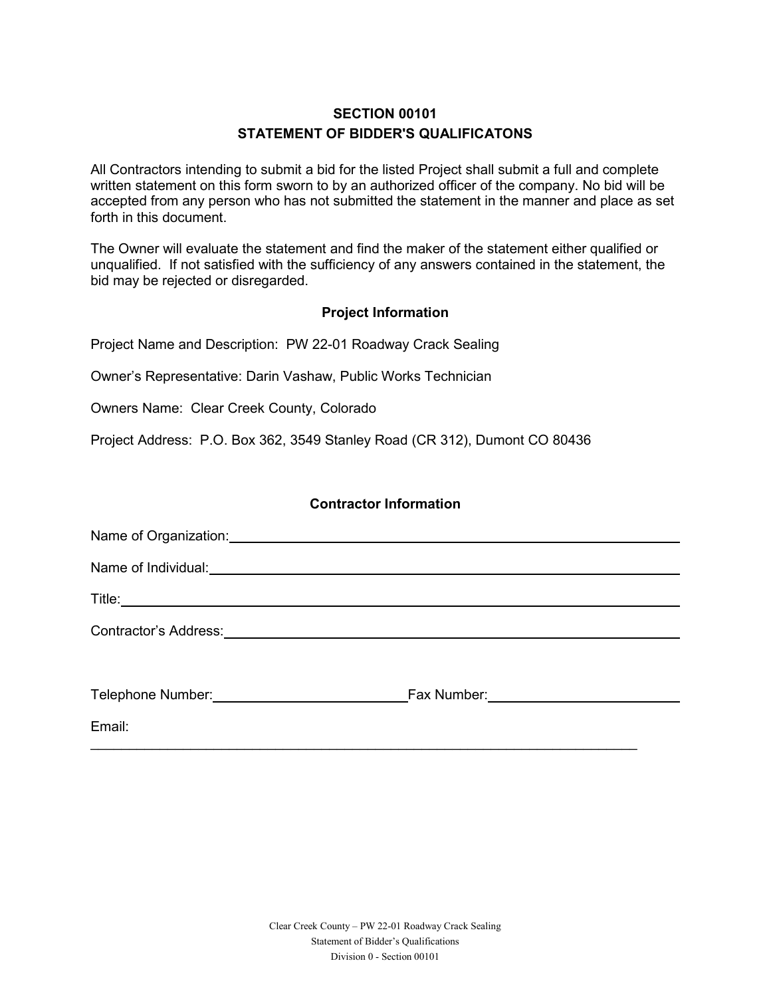## **SECTION 00101 STATEMENT OF BIDDER'S QUALIFICATONS**

All Contractors intending to submit a bid for the listed Project shall submit a full and complete written statement on this form sworn to by an authorized officer of the company. No bid will be accepted from any person who has not submitted the statement in the manner and place as set forth in this document.

The Owner will evaluate the statement and find the maker of the statement either qualified or unqualified. If not satisfied with the sufficiency of any answers contained in the statement, the bid may be rejected or disregarded.

#### **Project Information**

Project Name and Description: PW 22-01 Roadway Crack Sealing

Owner's Representative: Darin Vashaw, Public Works Technician

Owners Name: Clear Creek County, Colorado

Project Address: P.O. Box 362, 3549 Stanley Road (CR 312), Dumont CO 80436

#### **Contractor Information**

| Name of Organization: Name of Organization:                       |  |
|-------------------------------------------------------------------|--|
|                                                                   |  |
|                                                                   |  |
|                                                                   |  |
| Telephone Number: <u>Contract Community Community Fax Number:</u> |  |
| Email:                                                            |  |

 $\_$  , and the set of the set of the set of the set of the set of the set of the set of the set of the set of the set of the set of the set of the set of the set of the set of the set of the set of the set of the set of th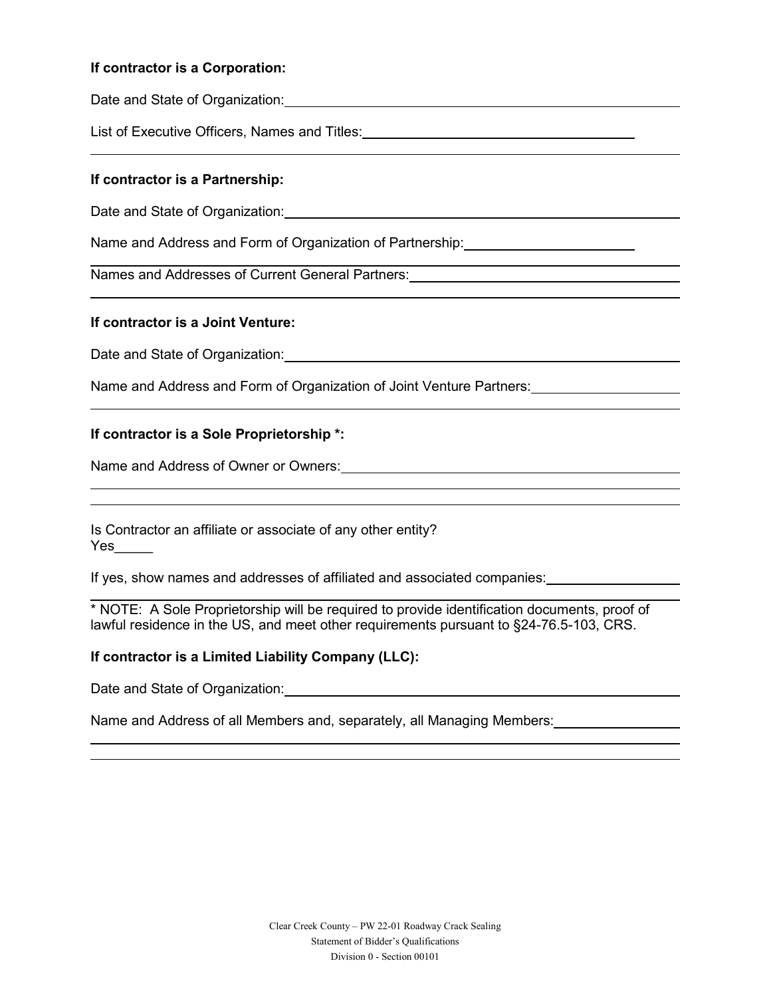#### **If contractor is a Corporation:**

Date and State of Organization: Date and State of Organization:

List of Executive Officers, Names and Titles:

#### **If contractor is a Partnership:**

Date and State of Organization: **Example 20** and State of Organization:

Name and Address and Form of Organization of Partnership:

Names and Addresses of Current General Partners:

#### **If contractor is a Joint Venture:**

Date and State of Organization: **Example 20** and the state of Organization:

Name and Address and Form of Organization of Joint Venture Partners:

#### **If contractor is a Sole Proprietorship \*:**

Name and Address of Owner or Owners:

Is Contractor an affiliate or associate of any other entity? Yes\_\_\_\_\_

If yes, show names and addresses of affiliated and associated companies:

\* NOTE: A Sole Proprietorship will be required to provide identification documents, proof of lawful residence in the US, and meet other requirements pursuant to §24-76.5-103, CRS.

#### **If contractor is a Limited Liability Company (LLC):**

Date and State of Organization: Date and State of Organization:

Name and Address of all Members and, separately, all Managing Members: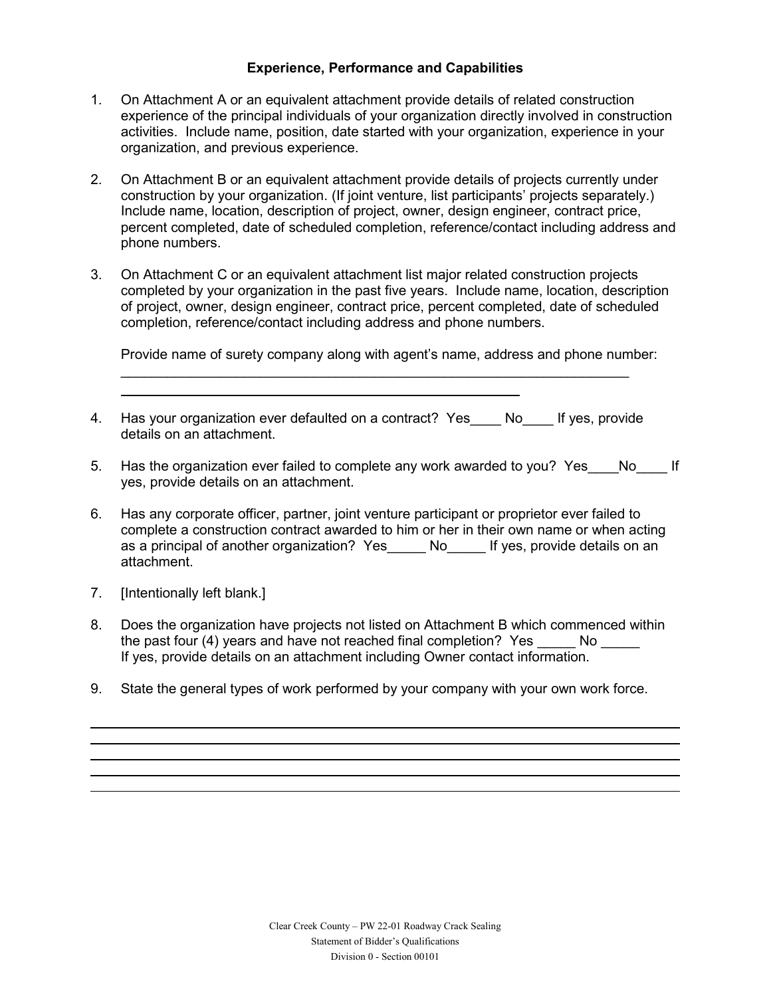#### **Experience, Performance and Capabilities**

- 1. On Attachment A or an equivalent attachment provide details of related construction experience of the principal individuals of your organization directly involved in construction activities. Include name, position, date started with your organization, experience in your organization, and previous experience.
- 2. On Attachment B or an equivalent attachment provide details of projects currently under construction by your organization. (If joint venture, list participants' projects separately.) Include name, location, description of project, owner, design engineer, contract price, percent completed, date of scheduled completion, reference/contact including address and phone numbers.
- 3. On Attachment C or an equivalent attachment list major related construction projects completed by your organization in the past five years. Include name, location, description of project, owner, design engineer, contract price, percent completed, date of scheduled completion, reference/contact including address and phone numbers.

Provide name of surety company along with agent's name, address and phone number:

 $\overline{\phantom{a}}$  , and the contribution of the contribution of the contribution of the contribution of the contribution of the contribution of the contribution of the contribution of the contribution of the contribution of the

- 4. Has your organization ever defaulted on a contract? Yes No If yes, provide details on an attachment.
- 5. Has the organization ever failed to complete any work awarded to you? Yes No If yes, provide details on an attachment.
- 6. Has any corporate officer, partner, joint venture participant or proprietor ever failed to complete a construction contract awarded to him or her in their own name or when acting as a principal of another organization? Yes No Mouss If yes, provide details on an attachment.
- 7. [Intentionally left blank.]
- 8. Does the organization have projects not listed on Attachment B which commenced within the past four (4) years and have not reached final completion? Yes No If yes, provide details on an attachment including Owner contact information.
- 9. State the general types of work performed by your company with your own work force.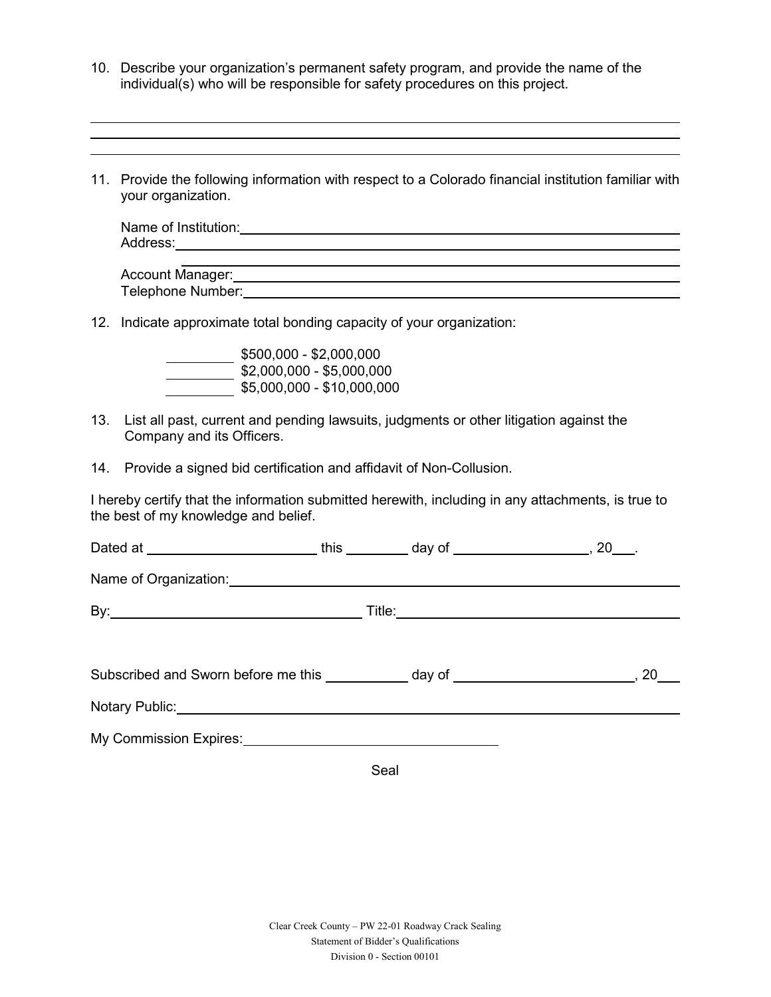- 10. Describe your organization's permanent safety program, and provide the name of the individual(s) who will be responsible for safety procedures on this project.
- 11. Provide the following information with respect to a Colorado financial institution familiar with your organization.

| Name of Institution: |  |  |  |
|----------------------|--|--|--|
| Address:             |  |  |  |
|                      |  |  |  |

| Account Manager:  |  |
|-------------------|--|
| Telephone Number: |  |

12. Indicate approximate total bonding capacity of your organization:

| $$500,000 - $2,000,000$    |
|----------------------------|
| $$2,000,000 - $5,000,000$  |
| \$5,000,000 - \$10,000,000 |

- 13. List all past, current and pending lawsuits, judgments or other litigation against the Company and its Officers.
- 14. Provide a signed bid certification and affidavit of Non-Collusion.

I hereby certify that the information submitted herewith, including in any attachments, is true to the best of my knowledge and belief.

| Dated at __________________________this _____________day of _____________________, 20____.                                                                                                                                           |  |  |
|--------------------------------------------------------------------------------------------------------------------------------------------------------------------------------------------------------------------------------------|--|--|
| Name of Organization: <u>contained a series of property and a series of property and a series of property and a series of the series of the series of the series of the series of the series of the series of the series of the </u> |  |  |
|                                                                                                                                                                                                                                      |  |  |
|                                                                                                                                                                                                                                      |  |  |
| Subscribed and Sworn before me this ___________ day of ________________________, 20                                                                                                                                                  |  |  |
| Notary Public: Notary Public:                                                                                                                                                                                                        |  |  |
| My Commission Expires: Manual Commission Expires:                                                                                                                                                                                    |  |  |

Seal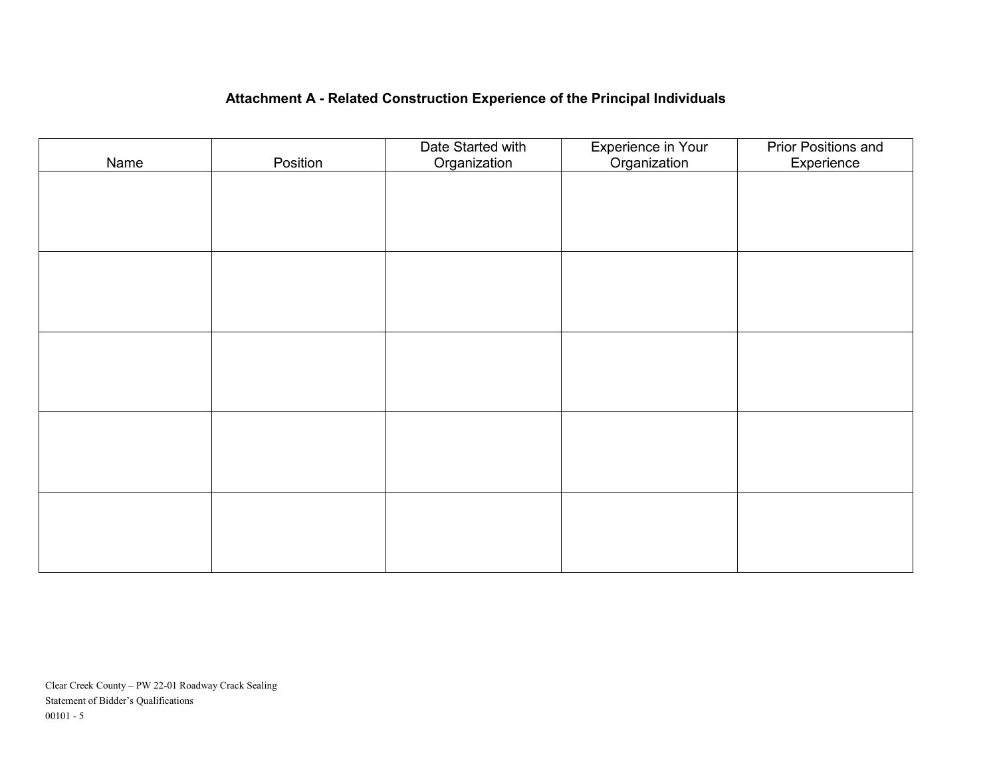## **Attachment A - Related Construction Experience of the Principal Individuals**

| Name | Position | Date Started with<br>Organization | Experience in Your<br>Organization | <b>Prior Positions and</b><br>Experience |
|------|----------|-----------------------------------|------------------------------------|------------------------------------------|
|      |          |                                   |                                    |                                          |
|      |          |                                   |                                    |                                          |
|      |          |                                   |                                    |                                          |
|      |          |                                   |                                    |                                          |
|      |          |                                   |                                    |                                          |
|      |          |                                   |                                    |                                          |
|      |          |                                   |                                    |                                          |
|      |          |                                   |                                    |                                          |
|      |          |                                   |                                    |                                          |
|      |          |                                   |                                    |                                          |
|      |          |                                   |                                    |                                          |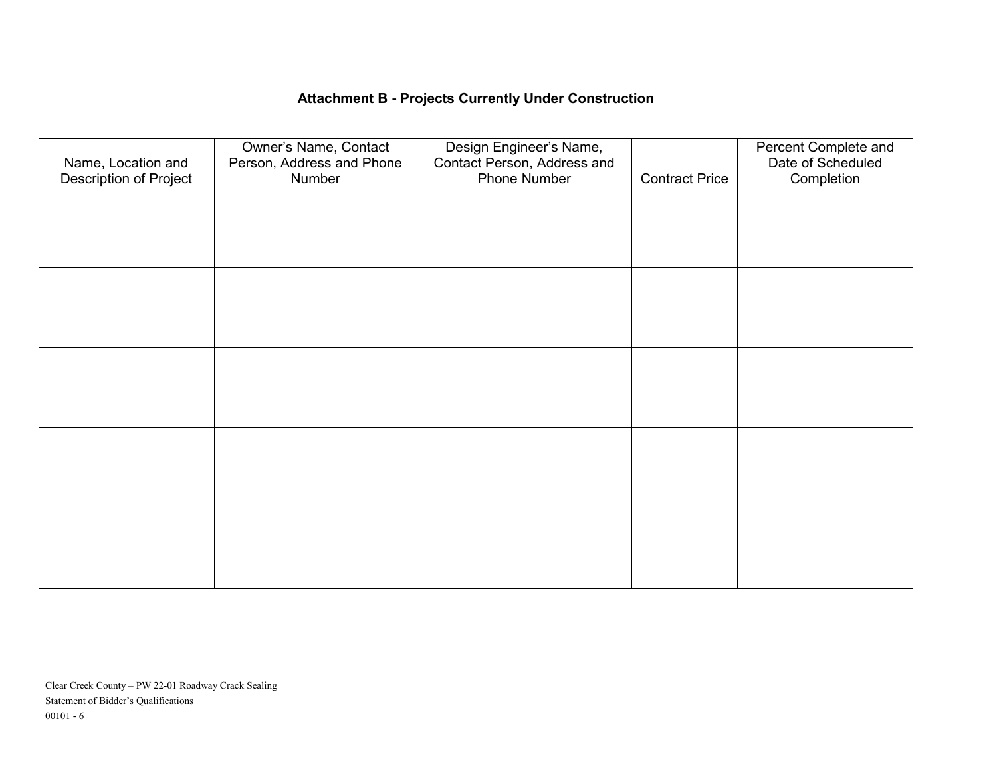## **Attachment B - Projects Currently Under Construction**

| Name, Location and<br>Description of Project | Owner's Name, Contact<br>Person, Address and Phone<br>Number | Design Engineer's Name,<br>Contact Person, Address and<br>Phone Number | <b>Contract Price</b> | Percent Complete and<br>Date of Scheduled<br>Completion |
|----------------------------------------------|--------------------------------------------------------------|------------------------------------------------------------------------|-----------------------|---------------------------------------------------------|
|                                              |                                                              |                                                                        |                       |                                                         |
|                                              |                                                              |                                                                        |                       |                                                         |
|                                              |                                                              |                                                                        |                       |                                                         |
|                                              |                                                              |                                                                        |                       |                                                         |
|                                              |                                                              |                                                                        |                       |                                                         |
|                                              |                                                              |                                                                        |                       |                                                         |
|                                              |                                                              |                                                                        |                       |                                                         |
|                                              |                                                              |                                                                        |                       |                                                         |
|                                              |                                                              |                                                                        |                       |                                                         |
|                                              |                                                              |                                                                        |                       |                                                         |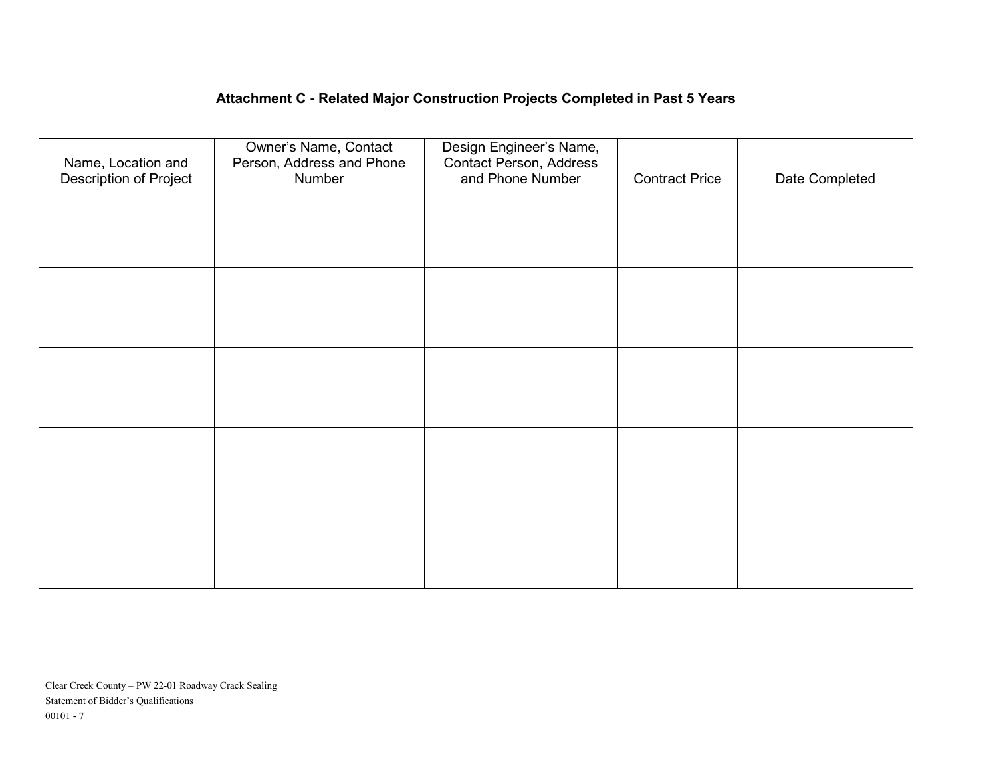## **Attachment C - Related Major Construction Projects Completed in Past 5 Years**

| Name, Location and<br><b>Description of Project</b> | Owner's Name, Contact<br>Person, Address and Phone<br>Number | Design Engineer's Name,<br><b>Contact Person, Address</b><br>and Phone Number | <b>Contract Price</b> | Date Completed |
|-----------------------------------------------------|--------------------------------------------------------------|-------------------------------------------------------------------------------|-----------------------|----------------|
|                                                     |                                                              |                                                                               |                       |                |
|                                                     |                                                              |                                                                               |                       |                |
|                                                     |                                                              |                                                                               |                       |                |
|                                                     |                                                              |                                                                               |                       |                |
|                                                     |                                                              |                                                                               |                       |                |
|                                                     |                                                              |                                                                               |                       |                |
|                                                     |                                                              |                                                                               |                       |                |
|                                                     |                                                              |                                                                               |                       |                |
|                                                     |                                                              |                                                                               |                       |                |
|                                                     |                                                              |                                                                               |                       |                |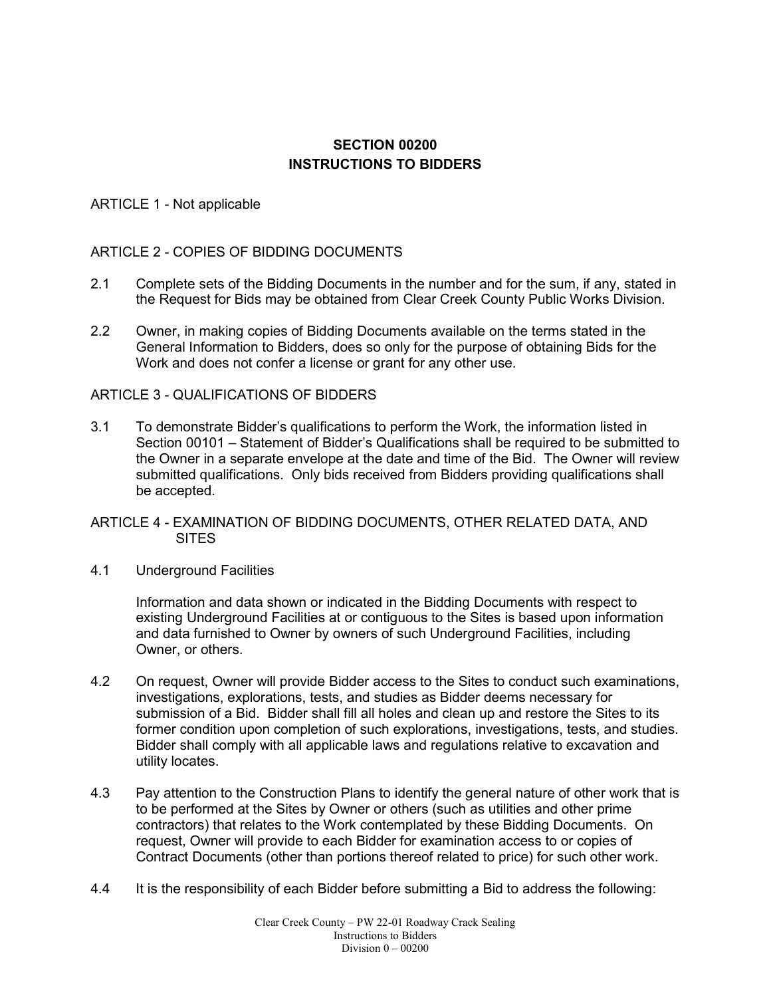## **SECTION 00200 INSTRUCTIONS TO BIDDERS**

#### ARTICLE 1 - Not applicable

#### ARTICLE 2 - COPIES OF BIDDING DOCUMENTS

- 2.1 Complete sets of the Bidding Documents in the number and for the sum, if any, stated in the Request for Bids may be obtained from Clear Creek County Public Works Division.
- 2.2 Owner, in making copies of Bidding Documents available on the terms stated in the General Information to Bidders, does so only for the purpose of obtaining Bids for the Work and does not confer a license or grant for any other use.

#### ARTICLE 3 - QUALIFICATIONS OF BIDDERS

3.1 To demonstrate Bidder's qualifications to perform the Work, the information listed in Section 00101 – Statement of Bidder's Qualifications shall be required to be submitted to the Owner in a separate envelope at the date and time of the Bid. The Owner will review submitted qualifications. Only bids received from Bidders providing qualifications shall be accepted.

#### ARTICLE 4 - EXAMINATION OF BIDDING DOCUMENTS, OTHER RELATED DATA, AND **SITES**

4.1 Underground Facilities

Information and data shown or indicated in the Bidding Documents with respect to existing Underground Facilities at or contiguous to the Sites is based upon information and data furnished to Owner by owners of such Underground Facilities, including Owner, or others.

- 4.2 On request, Owner will provide Bidder access to the Sites to conduct such examinations, investigations, explorations, tests, and studies as Bidder deems necessary for submission of a Bid. Bidder shall fill all holes and clean up and restore the Sites to its former condition upon completion of such explorations, investigations, tests, and studies. Bidder shall comply with all applicable laws and regulations relative to excavation and utility locates.
- 4.3 Pay attention to the Construction Plans to identify the general nature of other work that is to be performed at the Sites by Owner or others (such as utilities and other prime contractors) that relates to the Work contemplated by these Bidding Documents. On request, Owner will provide to each Bidder for examination access to or copies of Contract Documents (other than portions thereof related to price) for such other work.
- 4.4 It is the responsibility of each Bidder before submitting a Bid to address the following: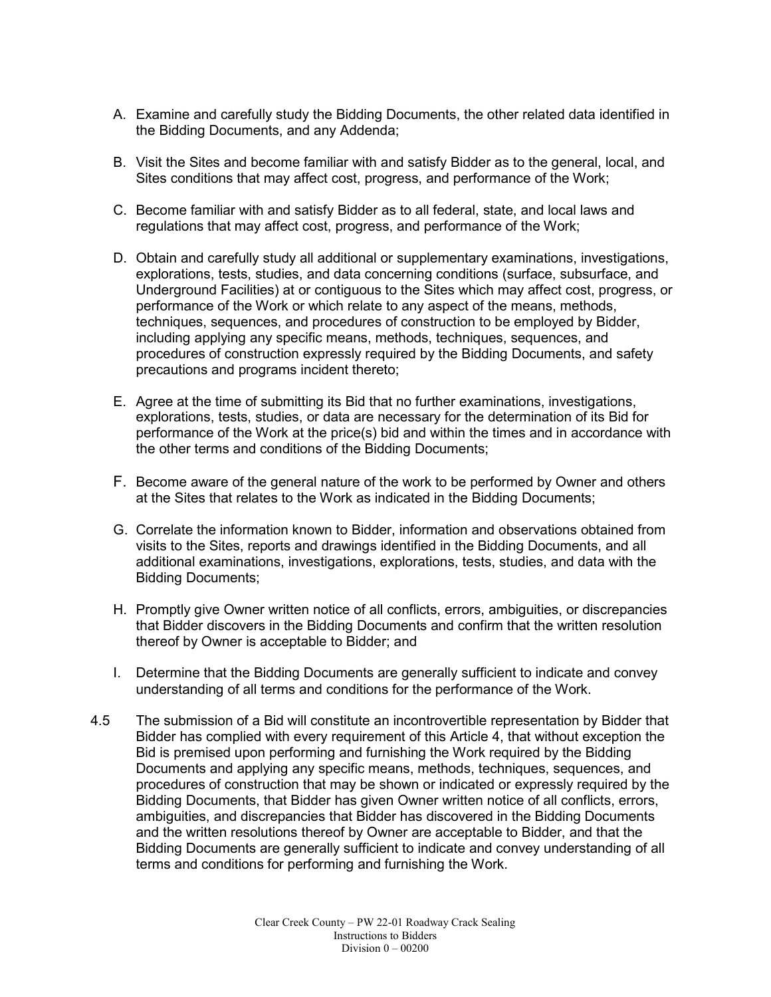- A. Examine and carefully study the Bidding Documents, the other related data identified in the Bidding Documents, and any Addenda;
- B. Visit the Sites and become familiar with and satisfy Bidder as to the general, local, and Sites conditions that may affect cost, progress, and performance of the Work;
- C. Become familiar with and satisfy Bidder as to all federal, state, and local laws and regulations that may affect cost, progress, and performance of the Work;
- D. Obtain and carefully study all additional or supplementary examinations, investigations, explorations, tests, studies, and data concerning conditions (surface, subsurface, and Underground Facilities) at or contiguous to the Sites which may affect cost, progress, or performance of the Work or which relate to any aspect of the means, methods, techniques, sequences, and procedures of construction to be employed by Bidder, including applying any specific means, methods, techniques, sequences, and procedures of construction expressly required by the Bidding Documents, and safety precautions and programs incident thereto;
- E. Agree at the time of submitting its Bid that no further examinations, investigations, explorations, tests, studies, or data are necessary for the determination of its Bid for performance of the Work at the price(s) bid and within the times and in accordance with the other terms and conditions of the Bidding Documents;
- F. Become aware of the general nature of the work to be performed by Owner and others at the Sites that relates to the Work as indicated in the Bidding Documents;
- G. Correlate the information known to Bidder, information and observations obtained from visits to the Sites, reports and drawings identified in the Bidding Documents, and all additional examinations, investigations, explorations, tests, studies, and data with the Bidding Documents;
- H. Promptly give Owner written notice of all conflicts, errors, ambiguities, or discrepancies that Bidder discovers in the Bidding Documents and confirm that the written resolution thereof by Owner is acceptable to Bidder; and
- I. Determine that the Bidding Documents are generally sufficient to indicate and convey understanding of all terms and conditions for the performance of the Work.
- 4.5 The submission of a Bid will constitute an incontrovertible representation by Bidder that Bidder has complied with every requirement of this Article 4, that without exception the Bid is premised upon performing and furnishing the Work required by the Bidding Documents and applying any specific means, methods, techniques, sequences, and procedures of construction that may be shown or indicated or expressly required by the Bidding Documents, that Bidder has given Owner written notice of all conflicts, errors, ambiguities, and discrepancies that Bidder has discovered in the Bidding Documents and the written resolutions thereof by Owner are acceptable to Bidder, and that the Bidding Documents are generally sufficient to indicate and convey understanding of all terms and conditions for performing and furnishing the Work.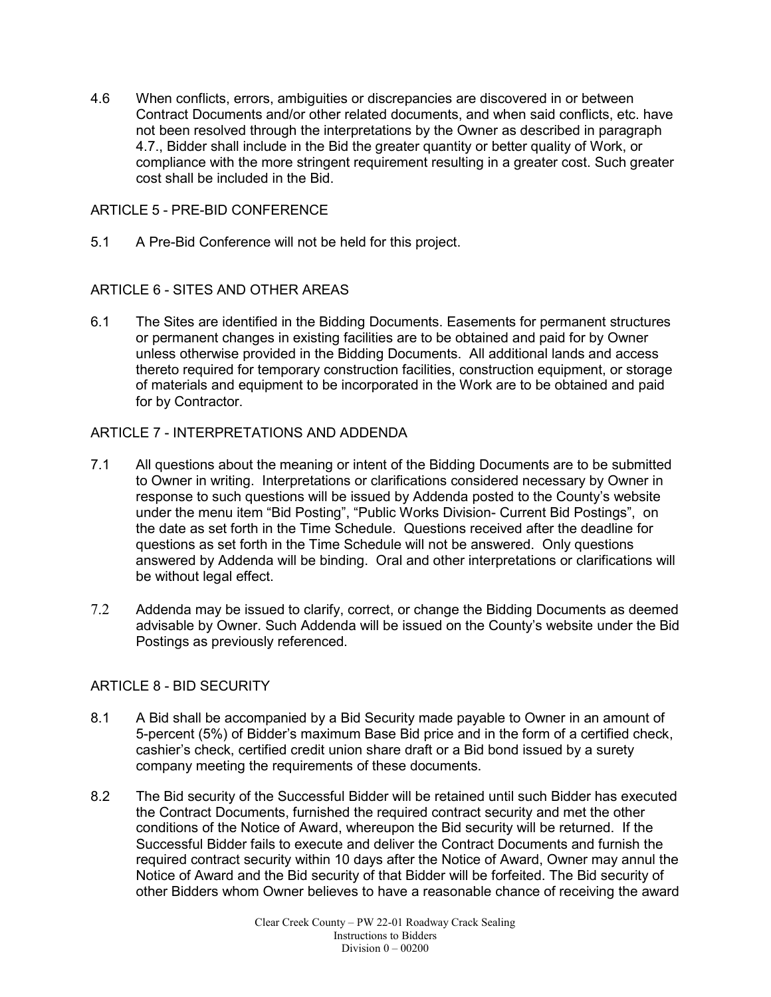4.6 When conflicts, errors, ambiguities or discrepancies are discovered in or between Contract Documents and/or other related documents, and when said conflicts, etc. have not been resolved through the interpretations by the Owner as described in paragraph 4.7., Bidder shall include in the Bid the greater quantity or better quality of Work, or compliance with the more stringent requirement resulting in a greater cost. Such greater cost shall be included in the Bid.

#### ARTICLE 5 - PRE-BID CONFERENCE

5.1 A Pre-Bid Conference will not be held for this project.

### ARTICLE 6 - SITES AND OTHER AREAS

6.1 The Sites are identified in the Bidding Documents. Easements for permanent structures or permanent changes in existing facilities are to be obtained and paid for by Owner unless otherwise provided in the Bidding Documents. All additional lands and access thereto required for temporary construction facilities, construction equipment, or storage of materials and equipment to be incorporated in the Work are to be obtained and paid for by Contractor.

### ARTICLE 7 - INTERPRETATIONS AND ADDENDA

- 7.1 All questions about the meaning or intent of the Bidding Documents are to be submitted to Owner in writing. Interpretations or clarifications considered necessary by Owner in response to such questions will be issued by Addenda posted to the County's website under the menu item "Bid Posting", "Public Works Division- Current Bid Postings", on the date as set forth in the Time Schedule. Questions received after the deadline for questions as set forth in the Time Schedule will not be answered. Only questions answered by Addenda will be binding. Oral and other interpretations or clarifications will be without legal effect.
- 7.2 Addenda may be issued to clarify, correct, or change the Bidding Documents as deemed advisable by Owner. Such Addenda will be issued on the County's website under the Bid Postings as previously referenced.

#### ARTICLE 8 - BID SECURITY

- 8.1 A Bid shall be accompanied by a Bid Security made payable to Owner in an amount of 5-percent (5%) of Bidder's maximum Base Bid price and in the form of a certified check, cashier's check, certified credit union share draft or a Bid bond issued by a surety company meeting the requirements of these documents.
- 8.2 The Bid security of the Successful Bidder will be retained until such Bidder has executed the Contract Documents, furnished the required contract security and met the other conditions of the Notice of Award, whereupon the Bid security will be returned. If the Successful Bidder fails to execute and deliver the Contract Documents and furnish the required contract security within 10 days after the Notice of Award, Owner may annul the Notice of Award and the Bid security of that Bidder will be forfeited. The Bid security of other Bidders whom Owner believes to have a reasonable chance of receiving the award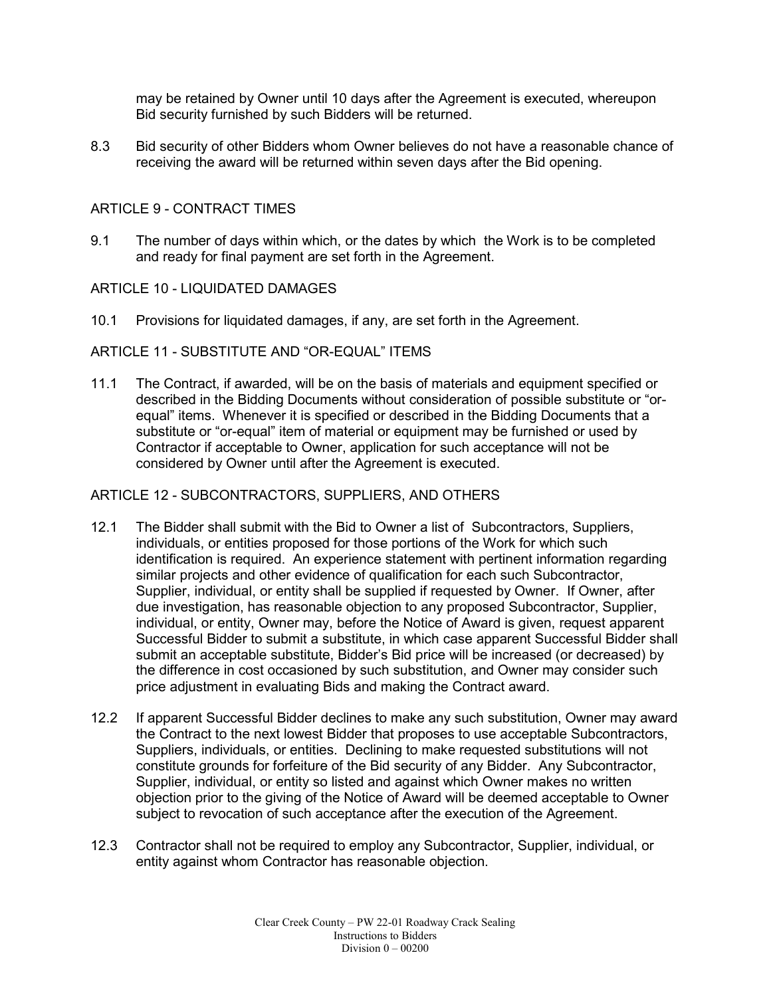may be retained by Owner until 10 days after the Agreement is executed, whereupon Bid security furnished by such Bidders will be returned.

8.3 Bid security of other Bidders whom Owner believes do not have a reasonable chance of receiving the award will be returned within seven days after the Bid opening.

#### ARTICLE 9 - CONTRACT TIMES

9.1 The number of days within which, or the dates by which the Work is to be completed and ready for final payment are set forth in the Agreement.

#### ARTICLE 10 - LIQUIDATED DAMAGES

10.1 Provisions for liquidated damages, if any, are set forth in the Agreement.

#### ARTICLE 11 - SUBSTITUTE AND "OR-EQUAL" ITEMS

11.1 The Contract, if awarded, will be on the basis of materials and equipment specified or described in the Bidding Documents without consideration of possible substitute or "orequal" items. Whenever it is specified or described in the Bidding Documents that a substitute or "or-equal" item of material or equipment may be furnished or used by Contractor if acceptable to Owner, application for such acceptance will not be considered by Owner until after the Agreement is executed.

#### ARTICLE 12 - SUBCONTRACTORS, SUPPLIERS, AND OTHERS

- 12.1 The Bidder shall submit with the Bid to Owner a list of Subcontractors, Suppliers, individuals, or entities proposed for those portions of the Work for which such identification is required. An experience statement with pertinent information regarding similar projects and other evidence of qualification for each such Subcontractor, Supplier, individual, or entity shall be supplied if requested by Owner. If Owner, after due investigation, has reasonable objection to any proposed Subcontractor, Supplier, individual, or entity, Owner may, before the Notice of Award is given, request apparent Successful Bidder to submit a substitute, in which case apparent Successful Bidder shall submit an acceptable substitute, Bidder's Bid price will be increased (or decreased) by the difference in cost occasioned by such substitution, and Owner may consider such price adjustment in evaluating Bids and making the Contract award.
- 12.2 If apparent Successful Bidder declines to make any such substitution, Owner may award the Contract to the next lowest Bidder that proposes to use acceptable Subcontractors, Suppliers, individuals, or entities. Declining to make requested substitutions will not constitute grounds for forfeiture of the Bid security of any Bidder. Any Subcontractor, Supplier, individual, or entity so listed and against which Owner makes no written objection prior to the giving of the Notice of Award will be deemed acceptable to Owner subject to revocation of such acceptance after the execution of the Agreement.
- 12.3 Contractor shall not be required to employ any Subcontractor, Supplier, individual, or entity against whom Contractor has reasonable objection.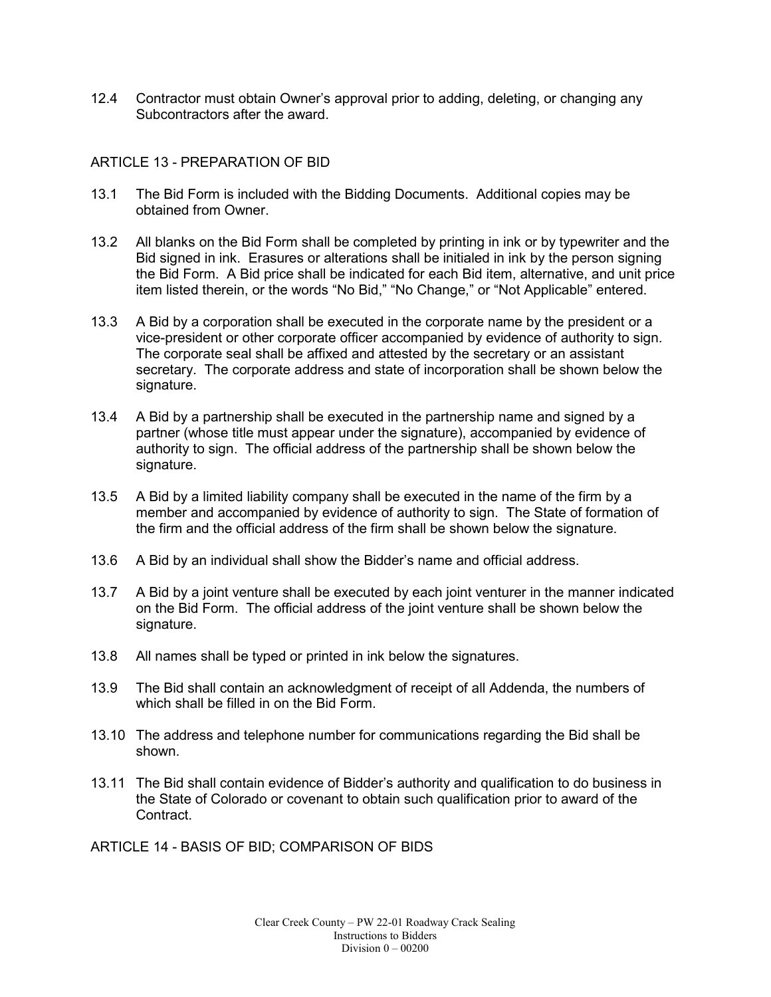12.4 Contractor must obtain Owner's approval prior to adding, deleting, or changing any Subcontractors after the award.

#### ARTICLE 13 - PREPARATION OF BID

- 13.1 The Bid Form is included with the Bidding Documents. Additional copies may be obtained from Owner.
- 13.2 All blanks on the Bid Form shall be completed by printing in ink or by typewriter and the Bid signed in ink. Erasures or alterations shall be initialed in ink by the person signing the Bid Form. A Bid price shall be indicated for each Bid item, alternative, and unit price item listed therein, or the words "No Bid," "No Change," or "Not Applicable" entered.
- 13.3 A Bid by a corporation shall be executed in the corporate name by the president or a vice-president or other corporate officer accompanied by evidence of authority to sign. The corporate seal shall be affixed and attested by the secretary or an assistant secretary. The corporate address and state of incorporation shall be shown below the signature.
- 13.4 A Bid by a partnership shall be executed in the partnership name and signed by a partner (whose title must appear under the signature), accompanied by evidence of authority to sign. The official address of the partnership shall be shown below the signature.
- 13.5 A Bid by a limited liability company shall be executed in the name of the firm by a member and accompanied by evidence of authority to sign. The State of formation of the firm and the official address of the firm shall be shown below the signature.
- 13.6 A Bid by an individual shall show the Bidder's name and official address.
- 13.7 A Bid by a joint venture shall be executed by each joint venturer in the manner indicated on the Bid Form. The official address of the joint venture shall be shown below the signature.
- 13.8 All names shall be typed or printed in ink below the signatures.
- 13.9 The Bid shall contain an acknowledgment of receipt of all Addenda, the numbers of which shall be filled in on the Bid Form.
- 13.10 The address and telephone number for communications regarding the Bid shall be shown.
- 13.11 The Bid shall contain evidence of Bidder's authority and qualification to do business in the State of Colorado or covenant to obtain such qualification prior to award of the **Contract**

ARTICLE 14 - BASIS OF BID; COMPARISON OF BIDS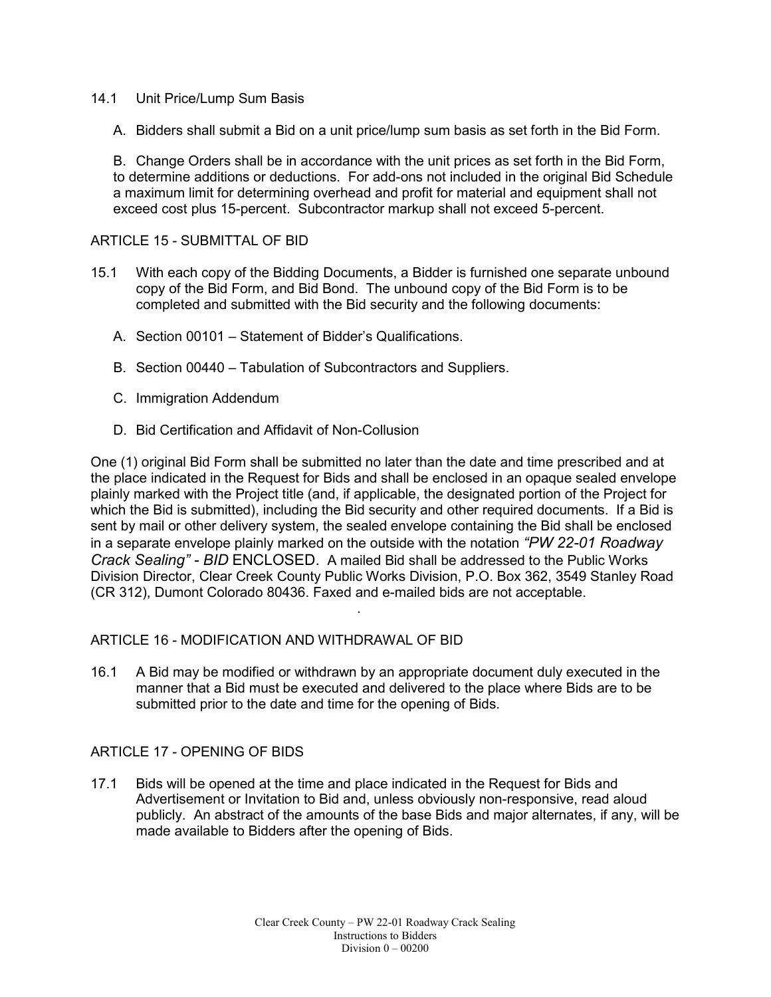- 14.1 Unit Price/Lump Sum Basis
	- A. Bidders shall submit a Bid on a unit price/lump sum basis as set forth in the Bid Form.

B. Change Orders shall be in accordance with the unit prices as set forth in the Bid Form, to determine additions or deductions. For add-ons not included in the original Bid Schedule a maximum limit for determining overhead and profit for material and equipment shall not exceed cost plus 15-percent. Subcontractor markup shall not exceed 5-percent.

#### ARTICLE 15 - SUBMITTAL OF BID

- 15.1 With each copy of the Bidding Documents, a Bidder is furnished one separate unbound copy of the Bid Form, and Bid Bond. The unbound copy of the Bid Form is to be completed and submitted with the Bid security and the following documents:
	- A. Section 00101 Statement of Bidder's Qualifications.
	- B. Section 00440 Tabulation of Subcontractors and Suppliers.
	- C. Immigration Addendum
	- D. Bid Certification and Affidavit of Non-Collusion

One (1) original Bid Form shall be submitted no later than the date and time prescribed and at the place indicated in the Request for Bids and shall be enclosed in an opaque sealed envelope plainly marked with the Project title (and, if applicable, the designated portion of the Project for which the Bid is submitted), including the Bid security and other required documents. If a Bid is sent by mail or other delivery system, the sealed envelope containing the Bid shall be enclosed in a separate envelope plainly marked on the outside with the notation *"PW 22-01 Roadway Crack Sealing" - BID* ENCLOSED. A mailed Bid shall be addressed to the Public Works Division Director, Clear Creek County Public Works Division, P.O. Box 362, 3549 Stanley Road (CR 312), Dumont Colorado 80436. Faxed and e-mailed bids are not acceptable.

#### ARTICLE 16 - MODIFICATION AND WITHDRAWAL OF BID

16.1 A Bid may be modified or withdrawn by an appropriate document duly executed in the manner that a Bid must be executed and delivered to the place where Bids are to be submitted prior to the date and time for the opening of Bids.

.

#### ARTICLE 17 - OPENING OF BIDS

17.1 Bids will be opened at the time and place indicated in the Request for Bids and Advertisement or Invitation to Bid and, unless obviously non-responsive, read aloud publicly. An abstract of the amounts of the base Bids and major alternates, if any, will be made available to Bidders after the opening of Bids.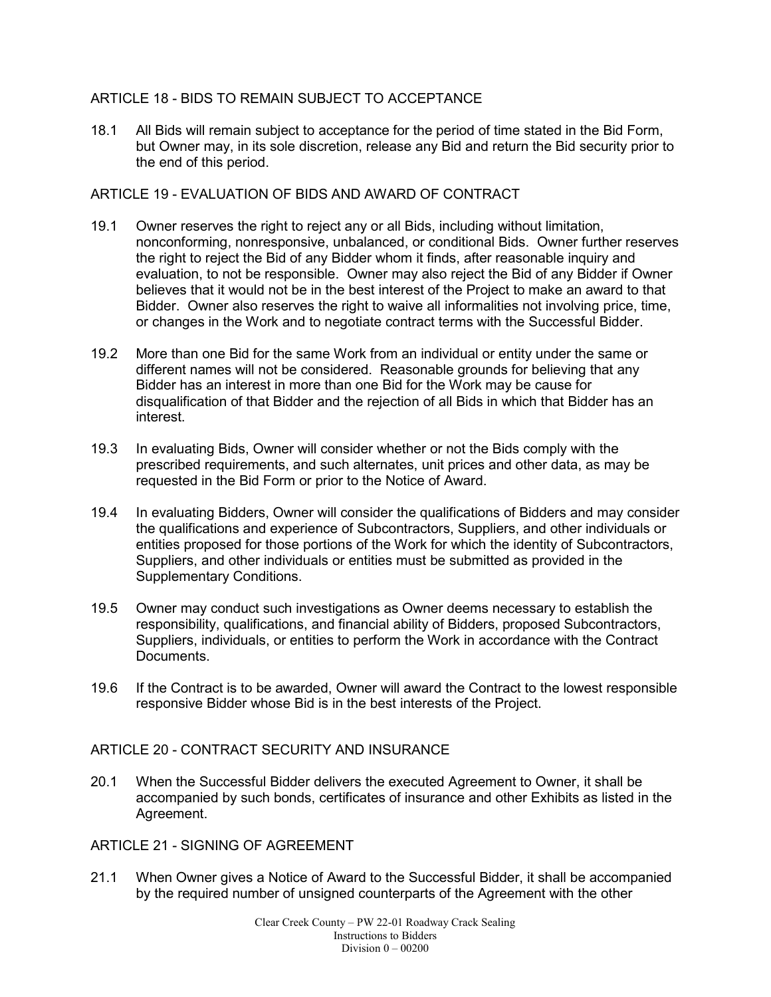### ARTICLE 18 - BIDS TO REMAIN SUBJECT TO ACCEPTANCE

18.1 All Bids will remain subject to acceptance for the period of time stated in the Bid Form, but Owner may, in its sole discretion, release any Bid and return the Bid security prior to the end of this period.

#### ARTICLE 19 - EVALUATION OF BIDS AND AWARD OF CONTRACT

- 19.1 Owner reserves the right to reject any or all Bids, including without limitation, nonconforming, nonresponsive, unbalanced, or conditional Bids. Owner further reserves the right to reject the Bid of any Bidder whom it finds, after reasonable inquiry and evaluation, to not be responsible. Owner may also reject the Bid of any Bidder if Owner believes that it would not be in the best interest of the Project to make an award to that Bidder. Owner also reserves the right to waive all informalities not involving price, time, or changes in the Work and to negotiate contract terms with the Successful Bidder.
- 19.2 More than one Bid for the same Work from an individual or entity under the same or different names will not be considered. Reasonable grounds for believing that any Bidder has an interest in more than one Bid for the Work may be cause for disqualification of that Bidder and the rejection of all Bids in which that Bidder has an interest.
- 19.3 In evaluating Bids, Owner will consider whether or not the Bids comply with the prescribed requirements, and such alternates, unit prices and other data, as may be requested in the Bid Form or prior to the Notice of Award.
- 19.4 In evaluating Bidders, Owner will consider the qualifications of Bidders and may consider the qualifications and experience of Subcontractors, Suppliers, and other individuals or entities proposed for those portions of the Work for which the identity of Subcontractors, Suppliers, and other individuals or entities must be submitted as provided in the Supplementary Conditions.
- 19.5 Owner may conduct such investigations as Owner deems necessary to establish the responsibility, qualifications, and financial ability of Bidders, proposed Subcontractors, Suppliers, individuals, or entities to perform the Work in accordance with the Contract Documents.
- 19.6 If the Contract is to be awarded, Owner will award the Contract to the lowest responsible responsive Bidder whose Bid is in the best interests of the Project.

#### ARTICLE 20 - CONTRACT SECURITY AND INSURANCE

20.1 When the Successful Bidder delivers the executed Agreement to Owner, it shall be accompanied by such bonds, certificates of insurance and other Exhibits as listed in the Agreement.

ARTICLE 21 - SIGNING OF AGREEMENT

21.1 When Owner gives a Notice of Award to the Successful Bidder, it shall be accompanied by the required number of unsigned counterparts of the Agreement with the other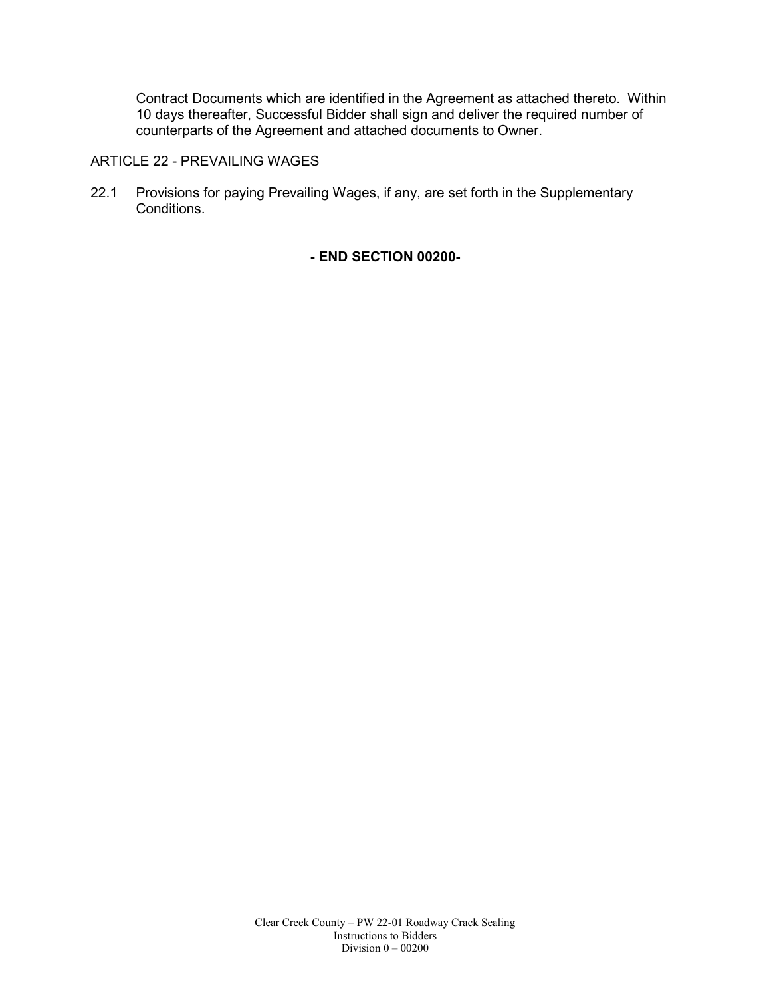Contract Documents which are identified in the Agreement as attached thereto. Within 10 days thereafter, Successful Bidder shall sign and deliver the required number of counterparts of the Agreement and attached documents to Owner.

## ARTICLE 22 - PREVAILING WAGES

22.1 Provisions for paying Prevailing Wages, if any, are set forth in the Supplementary Conditions.

**- END SECTION 00200-**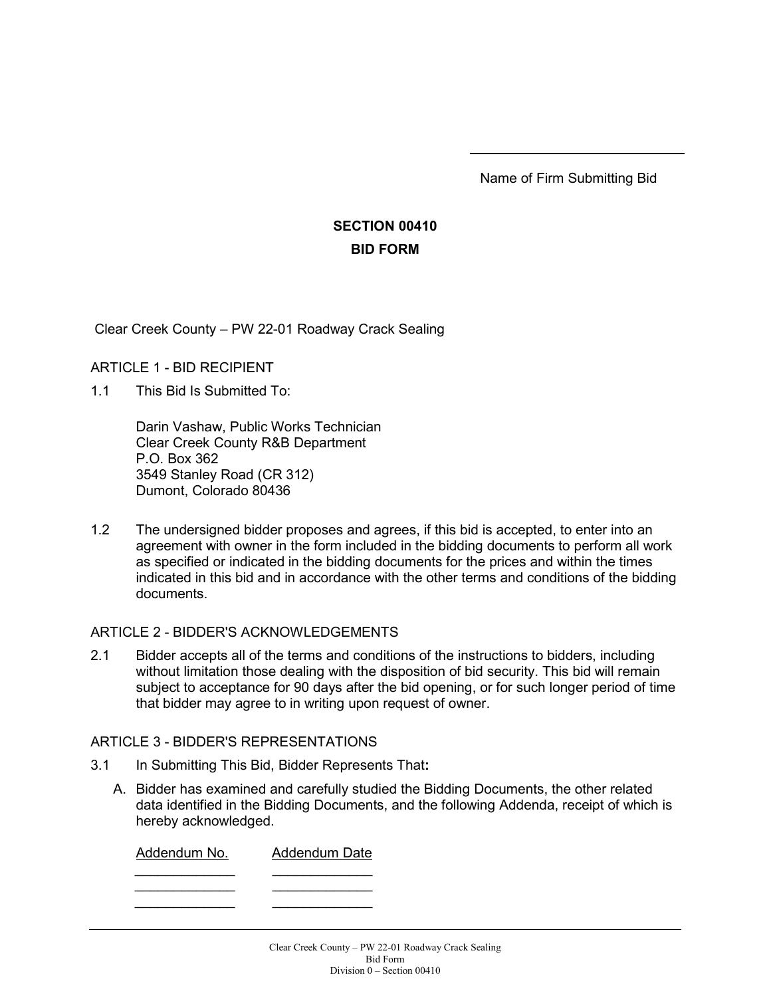Name of Firm Submitting Bid

# **SECTION 00410 BID FORM**

Clear Creek County – PW 22-01 Roadway Crack Sealing

## ARTICLE 1 - BID RECIPIENT

1.1 This Bid Is Submitted To:

Darin Vashaw, Public Works Technician Clear Creek County R&B Department P.O. Box 362 3549 Stanley Road (CR 312) Dumont, Colorado 80436

1.2 The undersigned bidder proposes and agrees, if this bid is accepted, to enter into an agreement with owner in the form included in the bidding documents to perform all work as specified or indicated in the bidding documents for the prices and within the times indicated in this bid and in accordance with the other terms and conditions of the bidding documents.

#### ARTICLE 2 - BIDDER'S ACKNOWLEDGEMENTS

2.1 Bidder accepts all of the terms and conditions of the instructions to bidders, including without limitation those dealing with the disposition of bid security. This bid will remain subject to acceptance for 90 days after the bid opening, or for such longer period of time that bidder may agree to in writing upon request of owner.

### ARTICLE 3 - BIDDER'S REPRESENTATIONS

- 3.1 In Submitting This Bid, Bidder Represents That**:**
	- A. Bidder has examined and carefully studied the Bidding Documents, the other related data identified in the Bidding Documents, and the following Addenda, receipt of which is hereby acknowledged.

| Addendum No. | <b>Addendum Date</b> |
|--------------|----------------------|
|              |                      |
|              |                      |
|              |                      |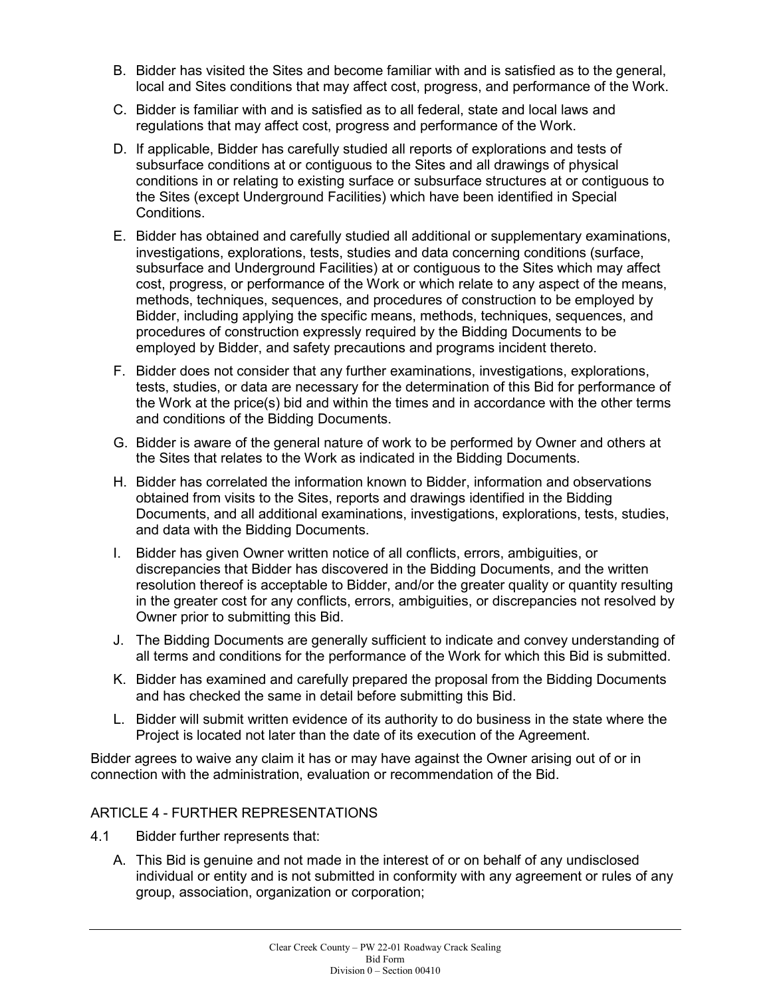- B. Bidder has visited the Sites and become familiar with and is satisfied as to the general, local and Sites conditions that may affect cost, progress, and performance of the Work.
- C. Bidder is familiar with and is satisfied as to all federal, state and local laws and regulations that may affect cost, progress and performance of the Work.
- D. If applicable, Bidder has carefully studied all reports of explorations and tests of subsurface conditions at or contiguous to the Sites and all drawings of physical conditions in or relating to existing surface or subsurface structures at or contiguous to the Sites (except Underground Facilities) which have been identified in Special Conditions.
- E. Bidder has obtained and carefully studied all additional or supplementary examinations, investigations, explorations, tests, studies and data concerning conditions (surface, subsurface and Underground Facilities) at or contiguous to the Sites which may affect cost, progress, or performance of the Work or which relate to any aspect of the means, methods, techniques, sequences, and procedures of construction to be employed by Bidder, including applying the specific means, methods, techniques, sequences, and procedures of construction expressly required by the Bidding Documents to be employed by Bidder, and safety precautions and programs incident thereto.
- F. Bidder does not consider that any further examinations, investigations, explorations, tests, studies, or data are necessary for the determination of this Bid for performance of the Work at the price(s) bid and within the times and in accordance with the other terms and conditions of the Bidding Documents.
- G. Bidder is aware of the general nature of work to be performed by Owner and others at the Sites that relates to the Work as indicated in the Bidding Documents.
- H. Bidder has correlated the information known to Bidder, information and observations obtained from visits to the Sites, reports and drawings identified in the Bidding Documents, and all additional examinations, investigations, explorations, tests, studies, and data with the Bidding Documents.
- I. Bidder has given Owner written notice of all conflicts, errors, ambiguities, or discrepancies that Bidder has discovered in the Bidding Documents, and the written resolution thereof is acceptable to Bidder, and/or the greater quality or quantity resulting in the greater cost for any conflicts, errors, ambiguities, or discrepancies not resolved by Owner prior to submitting this Bid.
- J. The Bidding Documents are generally sufficient to indicate and convey understanding of all terms and conditions for the performance of the Work for which this Bid is submitted.
- K. Bidder has examined and carefully prepared the proposal from the Bidding Documents and has checked the same in detail before submitting this Bid.
- L. Bidder will submit written evidence of its authority to do business in the state where the Project is located not later than the date of its execution of the Agreement.

Bidder agrees to waive any claim it has or may have against the Owner arising out of or in connection with the administration, evaluation or recommendation of the Bid.

## ARTICLE 4 - FURTHER REPRESENTATIONS

- 4.1 Bidder further represents that:
	- A. This Bid is genuine and not made in the interest of or on behalf of any undisclosed individual or entity and is not submitted in conformity with any agreement or rules of any group, association, organization or corporation;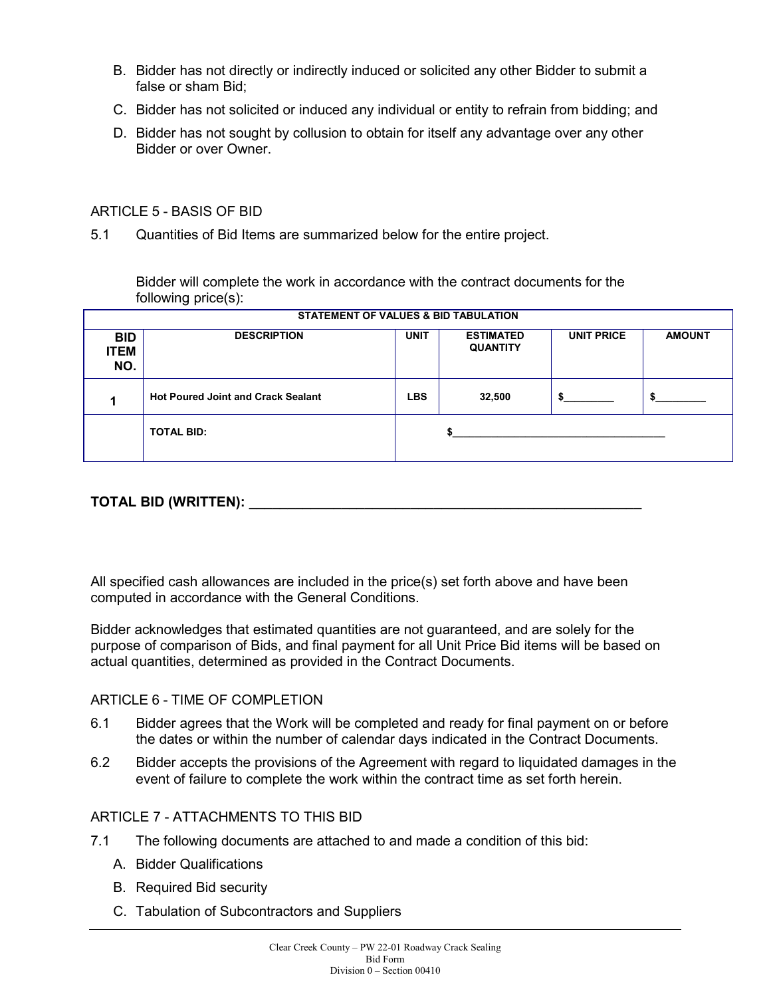- B. Bidder has not directly or indirectly induced or solicited any other Bidder to submit a false or sham Bid;
- C. Bidder has not solicited or induced any individual or entity to refrain from bidding; and
- D. Bidder has not sought by collusion to obtain for itself any advantage over any other Bidder or over Owner.

#### ARTICLE 5 - BASIS OF BID

5.1 Quantities of Bid Items are summarized below for the entire project.

Bidder will complete the work in accordance with the contract documents for the following price(s):

|                                  | STATEMENT OF VALUES & BID TABULATION      |             |                                     |                   |               |
|----------------------------------|-------------------------------------------|-------------|-------------------------------------|-------------------|---------------|
| <b>BID</b><br><b>ITEM</b><br>NO. | <b>DESCRIPTION</b>                        | <b>UNIT</b> | <b>ESTIMATED</b><br><b>QUANTITY</b> | <b>UNIT PRICE</b> | <b>AMOUNT</b> |
|                                  | <b>Hot Poured Joint and Crack Sealant</b> | <b>LBS</b>  | 32,500                              |                   |               |
|                                  | <b>TOTAL BID:</b>                         |             |                                     |                   |               |

## **TOTAL BID (WRITTEN): \_\_\_\_\_\_\_\_\_\_\_\_\_\_\_\_\_\_\_\_\_\_\_\_\_\_\_\_\_\_\_\_\_\_\_\_\_\_\_\_\_\_\_\_\_\_\_\_\_\_\_**

All specified cash allowances are included in the price(s) set forth above and have been computed in accordance with the General Conditions.

Bidder acknowledges that estimated quantities are not guaranteed, and are solely for the purpose of comparison of Bids, and final payment for all Unit Price Bid items will be based on actual quantities, determined as provided in the Contract Documents.

#### ARTICLE 6 - TIME OF COMPLETION

- 6.1 Bidder agrees that the Work will be completed and ready for final payment on or before the dates or within the number of calendar days indicated in the Contract Documents.
- 6.2 Bidder accepts the provisions of the Agreement with regard to liquidated damages in the event of failure to complete the work within the contract time as set forth herein.

#### ARTICLE 7 - ATTACHMENTS TO THIS BID

- 7.1 The following documents are attached to and made a condition of this bid:
	- A. Bidder Qualifications
	- B. Required Bid security
	- C. Tabulation of Subcontractors and Suppliers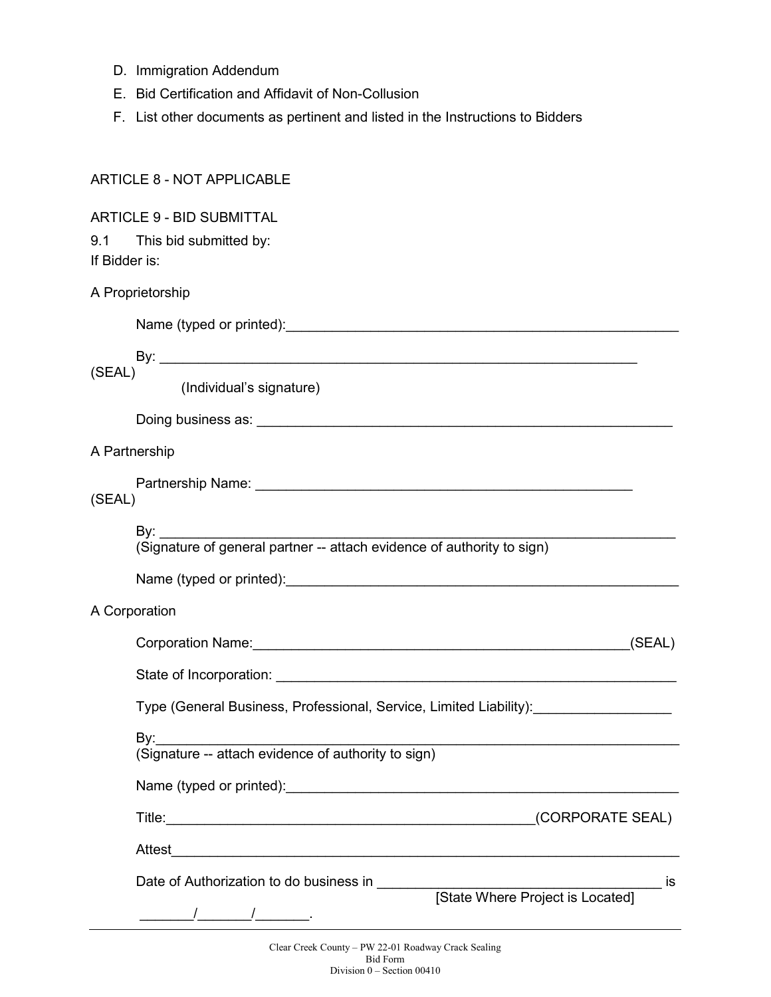- D. Immigration Addendum
- E. Bid Certification and Affidavit of Non-Collusion
- F. List other documents as pertinent and listed in the Instructions to Bidders

|               | ARTICLE 8 - NOT APPLICABLE                                                                                                                                                                                                     |
|---------------|--------------------------------------------------------------------------------------------------------------------------------------------------------------------------------------------------------------------------------|
| If Bidder is: | <b>ARTICLE 9 - BID SUBMITTAL</b><br>9.1 This bid submitted by:                                                                                                                                                                 |
|               | A Proprietorship                                                                                                                                                                                                               |
|               | Name (typed or printed): Name (typed or printed):                                                                                                                                                                              |
| (SEAL)        | (Individual's signature)                                                                                                                                                                                                       |
|               |                                                                                                                                                                                                                                |
| A Partnership |                                                                                                                                                                                                                                |
| (SEAL)        |                                                                                                                                                                                                                                |
|               | By: ______                                                                                                                                                                                                                     |
|               |                                                                                                                                                                                                                                |
| A Corporation |                                                                                                                                                                                                                                |
|               | Corporation Name: <u>contract and a series of the series of the series of the series of the series of the series of</u><br>(SEAL)                                                                                              |
|               | State of Incorporation: example of the state of the state of the state of the state of the state of the state of the state of the state of the state of the state of the state of the state of the state of the state of the s |
|               | Type (General Business, Professional, Service, Limited Liability):                                                                                                                                                             |
|               | By:<br>رت<br>(Signature -- attach evidence of authority to sign)                                                                                                                                                               |
|               |                                                                                                                                                                                                                                |
|               |                                                                                                                                                                                                                                |
|               |                                                                                                                                                                                                                                |
|               |                                                                                                                                                                                                                                |
|               |                                                                                                                                                                                                                                |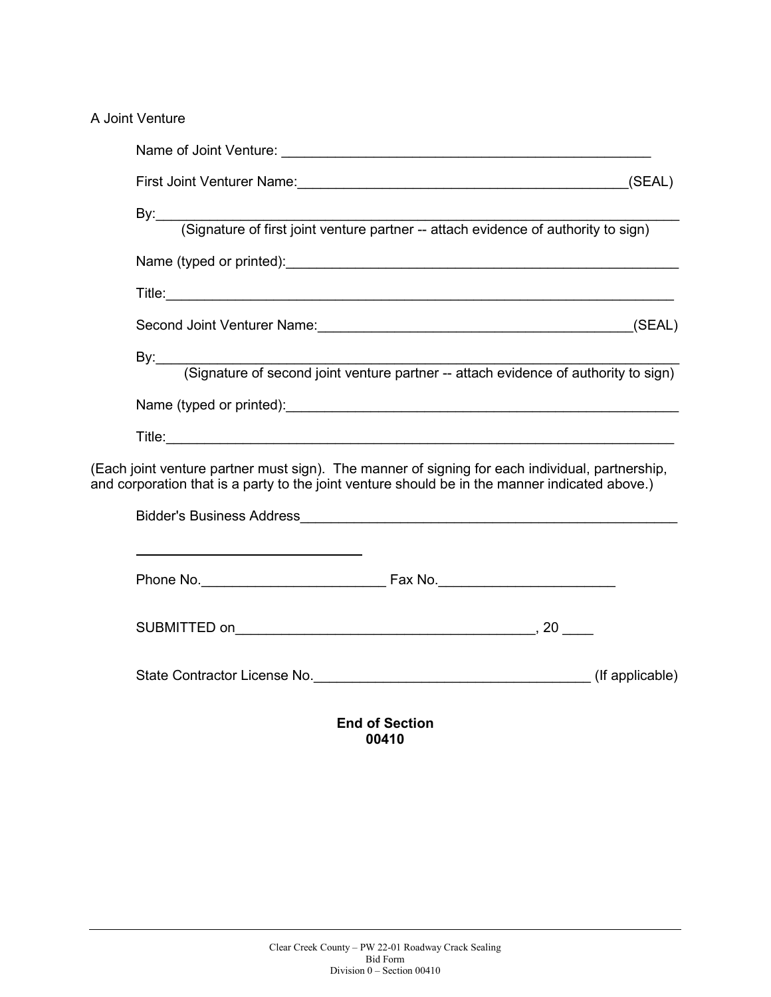A Joint Venture

|                                                                                                                                                                                                   | By: (Signature of first joint venture partner -- attach evidence of authority to sign)        |  |  |  |
|---------------------------------------------------------------------------------------------------------------------------------------------------------------------------------------------------|-----------------------------------------------------------------------------------------------|--|--|--|
|                                                                                                                                                                                                   |                                                                                               |  |  |  |
|                                                                                                                                                                                                   |                                                                                               |  |  |  |
|                                                                                                                                                                                                   |                                                                                               |  |  |  |
|                                                                                                                                                                                                   | By: <u>Gignature of second joint venture partner</u> -- attach evidence of authority to sign) |  |  |  |
|                                                                                                                                                                                                   |                                                                                               |  |  |  |
|                                                                                                                                                                                                   |                                                                                               |  |  |  |
| (Each joint venture partner must sign). The manner of signing for each individual, partnership,<br>and corporation that is a party to the joint venture should be in the manner indicated above.) |                                                                                               |  |  |  |
|                                                                                                                                                                                                   |                                                                                               |  |  |  |
|                                                                                                                                                                                                   |                                                                                               |  |  |  |
|                                                                                                                                                                                                   |                                                                                               |  |  |  |
|                                                                                                                                                                                                   |                                                                                               |  |  |  |
|                                                                                                                                                                                                   | State Contractor License No. 2008 (If applicable)                                             |  |  |  |
|                                                                                                                                                                                                   |                                                                                               |  |  |  |

**End of Section 00410**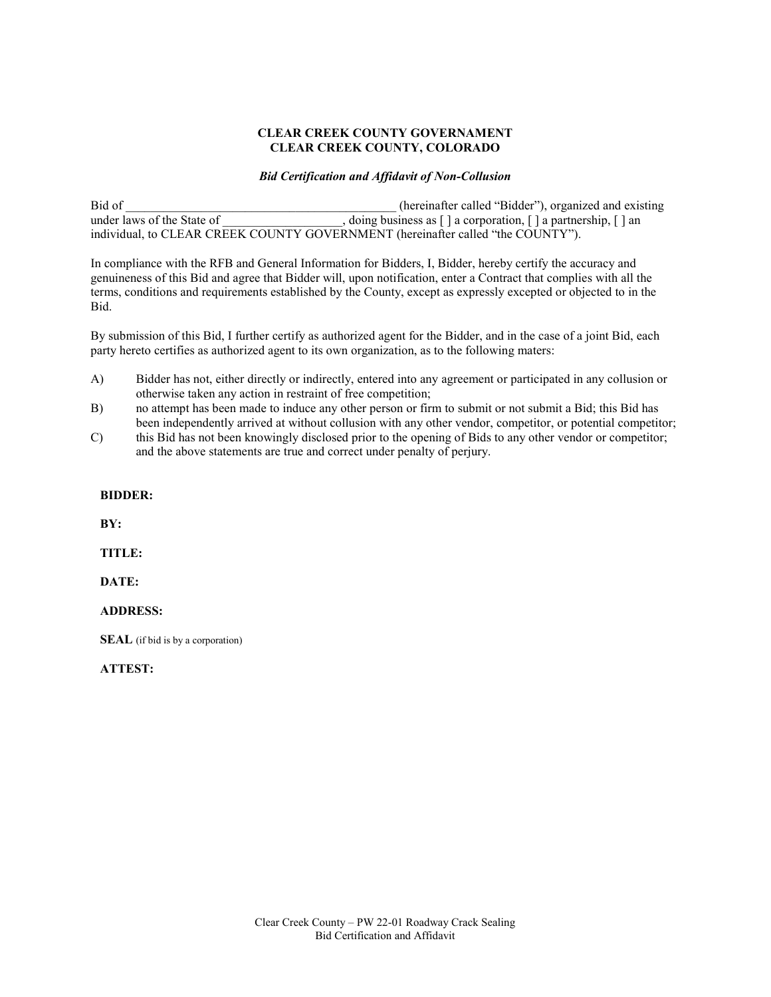#### **CLEAR CREEK COUNTY GOVERNAMENT CLEAR CREEK COUNTY, COLORADO**

#### *Bid Certification and Affidavit of Non-Collusion*

Bid of the contract of the contract of the contract of the contract of the contract of the contract of the contract of the contract of the contract of the contract of the contract of the contract of the contract of the con under laws of the State of \_\_\_\_\_\_\_\_\_\_\_\_\_\_\_\_\_\_\_\_\_\_\_\_, doing business as [ ] a corporation, [ ] a partnership, [ ] an individual, to CLEAR CREEK COUNTY GOVERNMENT (hereinafter called "the COUNTY").

In compliance with the RFB and General Information for Bidders, I, Bidder, hereby certify the accuracy and genuineness of this Bid and agree that Bidder will, upon notification, enter a Contract that complies with all the terms, conditions and requirements established by the County, except as expressly excepted or objected to in the Bid.

By submission of this Bid, I further certify as authorized agent for the Bidder, and in the case of a joint Bid, each party hereto certifies as authorized agent to its own organization, as to the following maters:

- A) Bidder has not, either directly or indirectly, entered into any agreement or participated in any collusion or otherwise taken any action in restraint of free competition;
- B) no attempt has been made to induce any other person or firm to submit or not submit a Bid; this Bid has been independently arrived at without collusion with any other vendor, competitor, or potential competitor;
- C) this Bid has not been knowingly disclosed prior to the opening of Bids to any other vendor or competitor; and the above statements are true and correct under penalty of perjury.

#### **BIDDER:**

 **BY:**

 **TITLE:**

 **DATE:**

#### **ADDRESS:**

**SEAL** (if bid is by a corporation)

#### **ATTEST:**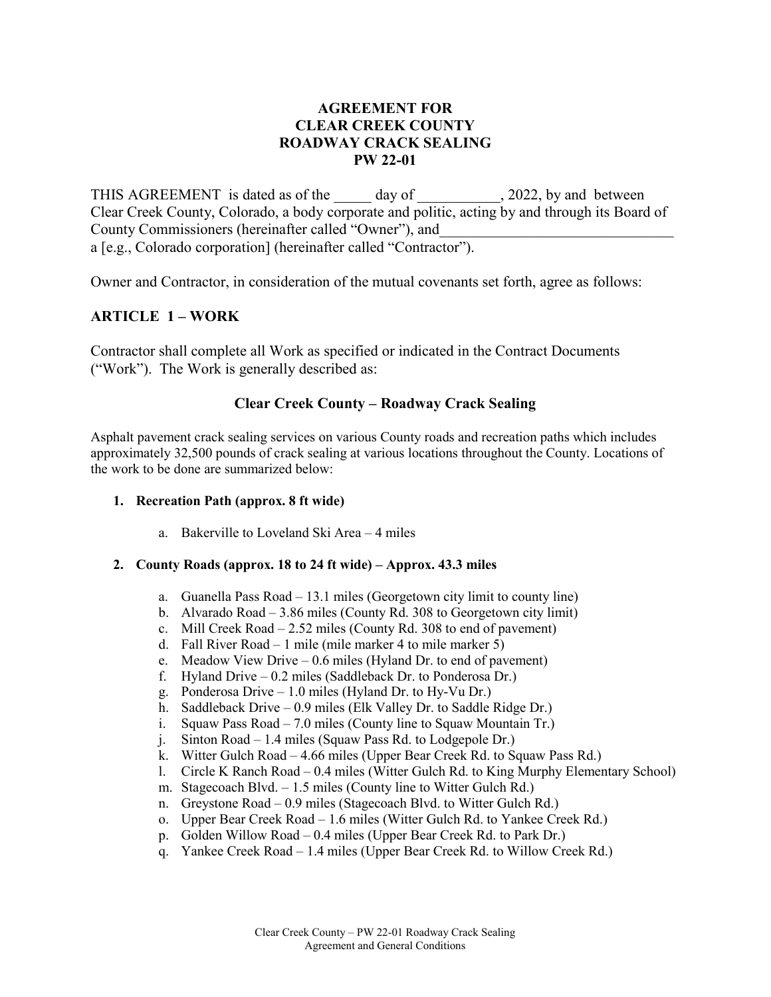### **AGREEMENT FOR CLEAR CREEK COUNTY ROADWAY CRACK SEALING PW 22-01**

THIS AGREEMENT is dated as of the day of the 2022, by and between Clear Creek County, Colorado, a body corporate and politic, acting by and through its Board of County Commissioners (hereinafter called "Owner"), and a [e.g., Colorado corporation] (hereinafter called "Contractor").

Owner and Contractor, in consideration of the mutual covenants set forth, agree as follows:

### **ARTICLE 1 – WORK**

Contractor shall complete all Work as specified or indicated in the Contract Documents ("Work"). The Work is generally described as:

#### **Clear Creek County – Roadway Crack Sealing**

Asphalt pavement crack sealing services on various County roads and recreation paths which includes approximately 32,500 pounds of crack sealing at various locations throughout the County. Locations of the work to be done are summarized below:

#### **1. Recreation Path (approx. 8 ft wide)**

a. Bakerville to Loveland Ski Area – 4 miles

#### **2. County Roads (approx. 18 to 24 ft wide) – Approx. 43.3 miles**

- a. Guanella Pass Road 13.1 miles (Georgetown city limit to county line)
- b. Alvarado Road 3.86 miles (County Rd. 308 to Georgetown city limit)
- c. Mill Creek Road 2.52 miles (County Rd. 308 to end of pavement)
- d. Fall River Road 1 mile (mile marker 4 to mile marker 5)
- e. Meadow View Drive 0.6 miles (Hyland Dr. to end of pavement)
- f. Hyland Drive 0.2 miles (Saddleback Dr. to Ponderosa Dr.)
- g. Ponderosa Drive 1.0 miles (Hyland Dr. to Hy-Vu Dr.)
- h. Saddleback Drive 0.9 miles (Elk Valley Dr. to Saddle Ridge Dr.)
- i. Squaw Pass Road 7.0 miles (County line to Squaw Mountain Tr.)
- j. Sinton Road 1.4 miles (Squaw Pass Rd. to Lodgepole Dr.)
- k. Witter Gulch Road 4.66 miles (Upper Bear Creek Rd. to Squaw Pass Rd.)
- l. Circle K Ranch Road 0.4 miles (Witter Gulch Rd. to King Murphy Elementary School)
- m. Stagecoach Blvd. 1.5 miles (County line to Witter Gulch Rd.)
- n. Greystone Road 0.9 miles (Stagecoach Blvd. to Witter Gulch Rd.)
- o. Upper Bear Creek Road 1.6 miles (Witter Gulch Rd. to Yankee Creek Rd.)
- p. Golden Willow Road 0.4 miles (Upper Bear Creek Rd. to Park Dr.)
- q. Yankee Creek Road 1.4 miles (Upper Bear Creek Rd. to Willow Creek Rd.)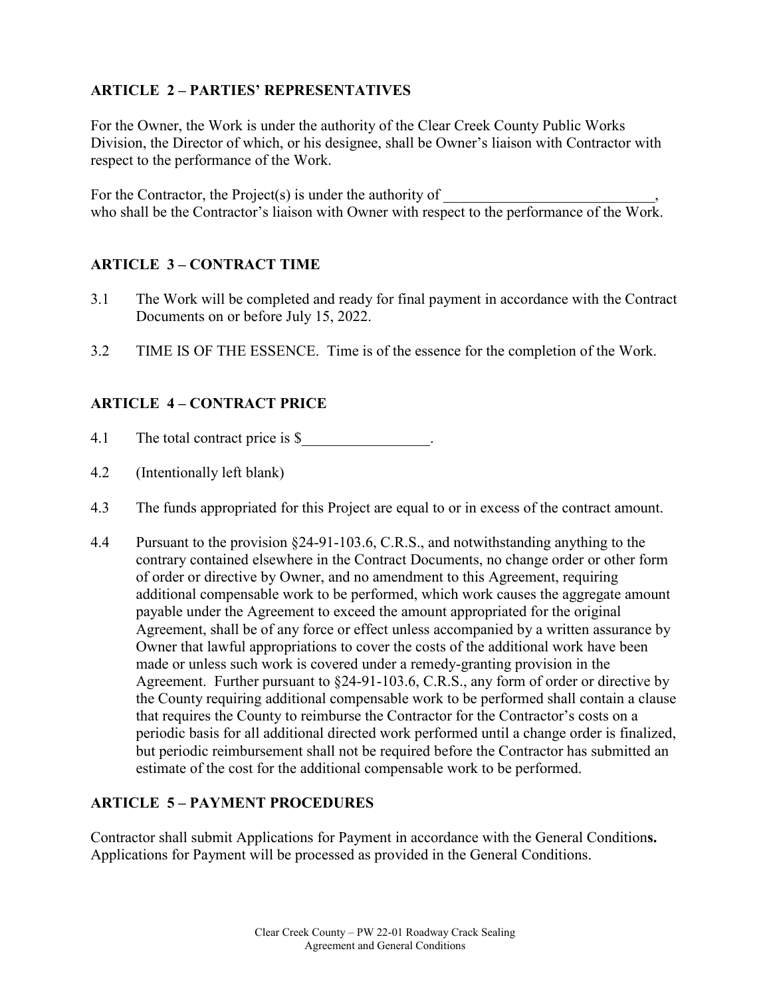## **ARTICLE 2 – PARTIES' REPRESENTATIVES**

For the Owner, the Work is under the authority of the Clear Creek County Public Works Division, the Director of which, or his designee, shall be Owner's liaison with Contractor with respect to the performance of the Work.

For the Contractor, the Project $(s)$  is under the authority of who shall be the Contractor's liaison with Owner with respect to the performance of the Work.

## **ARTICLE 3 – CONTRACT TIME**

- 3.1 The Work will be completed and ready for final payment in accordance with the Contract Documents on or before July 15, 2022.
- 3.2 TIME IS OF THE ESSENCE. Time is of the essence for the completion of the Work.

### **ARTICLE 4 – CONTRACT PRICE**

- 4.1 The total contract price is \$
- 4.2 (Intentionally left blank)
- 4.3 The funds appropriated for this Project are equal to or in excess of the contract amount.
- 4.4 Pursuant to the provision §24-91-103.6, C.R.S., and notwithstanding anything to the contrary contained elsewhere in the Contract Documents, no change order or other form of order or directive by Owner, and no amendment to this Agreement, requiring additional compensable work to be performed, which work causes the aggregate amount payable under the Agreement to exceed the amount appropriated for the original Agreement, shall be of any force or effect unless accompanied by a written assurance by Owner that lawful appropriations to cover the costs of the additional work have been made or unless such work is covered under a remedy-granting provision in the Agreement. Further pursuant to §24-91-103.6, C.R.S., any form of order or directive by the County requiring additional compensable work to be performed shall contain a clause that requires the County to reimburse the Contractor for the Contractor's costs on a periodic basis for all additional directed work performed until a change order is finalized, but periodic reimbursement shall not be required before the Contractor has submitted an estimate of the cost for the additional compensable work to be performed.

## **ARTICLE 5 – PAYMENT PROCEDURES**

Contractor shall submit Applications for Payment in accordance with the General Condition**s.** Applications for Payment will be processed as provided in the General Conditions.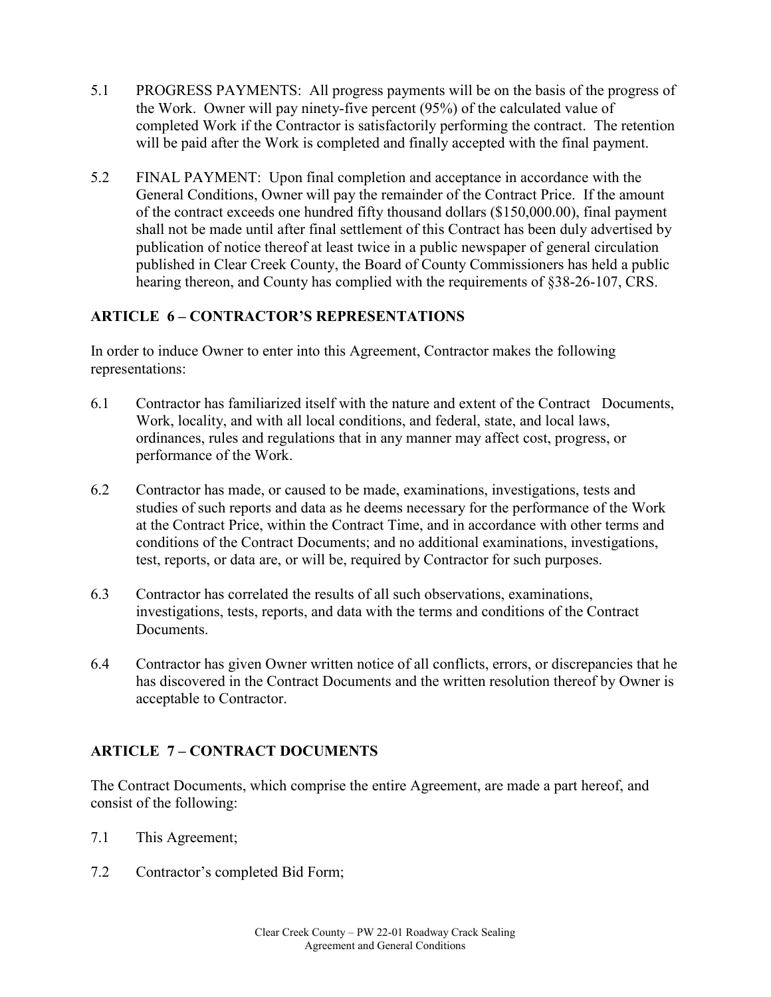- 5.1 PROGRESS PAYMENTS: All progress payments will be on the basis of the progress of the Work. Owner will pay ninety-five percent (95%) of the calculated value of completed Work if the Contractor is satisfactorily performing the contract. The retention will be paid after the Work is completed and finally accepted with the final payment.
- 5.2 FINAL PAYMENT: Upon final completion and acceptance in accordance with the General Conditions, Owner will pay the remainder of the Contract Price. If the amount of the contract exceeds one hundred fifty thousand dollars (\$150,000.00), final payment shall not be made until after final settlement of this Contract has been duly advertised by publication of notice thereof at least twice in a public newspaper of general circulation published in Clear Creek County, the Board of County Commissioners has held a public hearing thereon, and County has complied with the requirements of §38-26-107, CRS.

## **ARTICLE 6 – CONTRACTOR'S REPRESENTATIONS**

In order to induce Owner to enter into this Agreement, Contractor makes the following representations:

- 6.1 Contractor has familiarized itself with the nature and extent of the Contract Documents, Work, locality, and with all local conditions, and federal, state, and local laws, ordinances, rules and regulations that in any manner may affect cost, progress, or performance of the Work.
- 6.2 Contractor has made, or caused to be made, examinations, investigations, tests and studies of such reports and data as he deems necessary for the performance of the Work at the Contract Price, within the Contract Time, and in accordance with other terms and conditions of the Contract Documents; and no additional examinations, investigations, test, reports, or data are, or will be, required by Contractor for such purposes.
- 6.3 Contractor has correlated the results of all such observations, examinations, investigations, tests, reports, and data with the terms and conditions of the Contract Documents.
- 6.4 Contractor has given Owner written notice of all conflicts, errors, or discrepancies that he has discovered in the Contract Documents and the written resolution thereof by Owner is acceptable to Contractor.

## **ARTICLE 7 – CONTRACT DOCUMENTS**

The Contract Documents, which comprise the entire Agreement, are made a part hereof, and consist of the following:

- 7.1 This Agreement;
- 7.2 Contractor's completed Bid Form;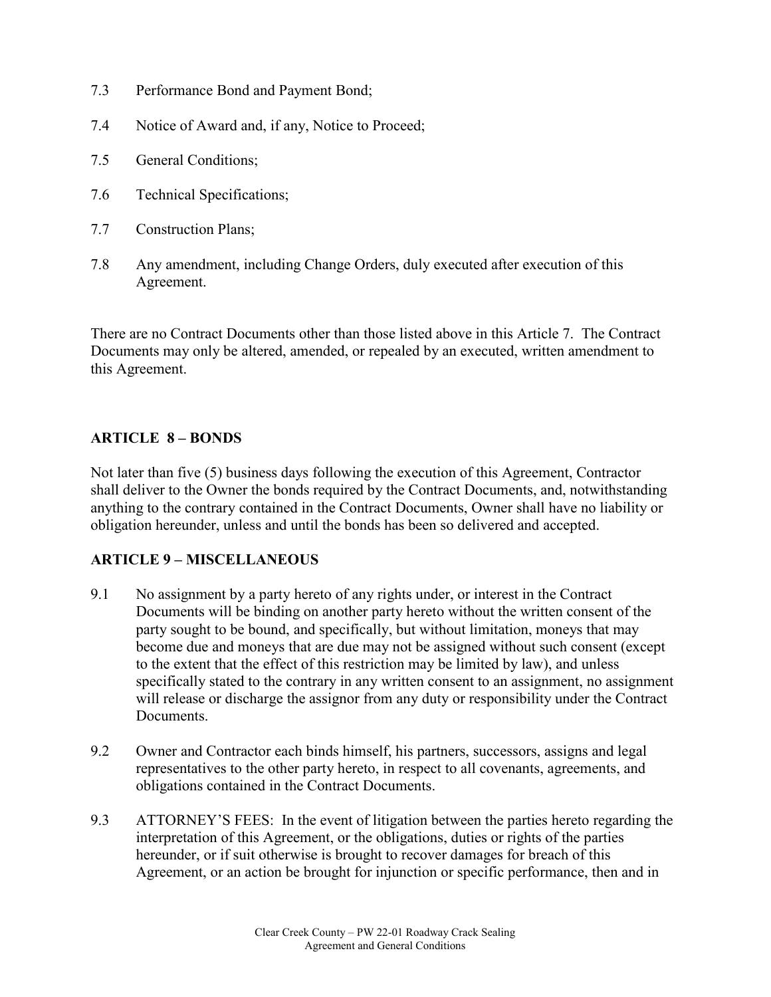- 7.3 Performance Bond and Payment Bond;
- 7.4 Notice of Award and, if any, Notice to Proceed;
- 7.5 General Conditions;
- 7.6 Technical Specifications;
- 7.7 Construction Plans;
- 7.8 Any amendment, including Change Orders, duly executed after execution of this Agreement.

There are no Contract Documents other than those listed above in this Article 7. The Contract Documents may only be altered, amended, or repealed by an executed, written amendment to this Agreement.

### **ARTICLE 8 – BONDS**

Not later than five (5) business days following the execution of this Agreement, Contractor shall deliver to the Owner the bonds required by the Contract Documents, and, notwithstanding anything to the contrary contained in the Contract Documents, Owner shall have no liability or obligation hereunder, unless and until the bonds has been so delivered and accepted.

## **ARTICLE 9 – MISCELLANEOUS**

- 9.1 No assignment by a party hereto of any rights under, or interest in the Contract Documents will be binding on another party hereto without the written consent of the party sought to be bound, and specifically, but without limitation, moneys that may become due and moneys that are due may not be assigned without such consent (except to the extent that the effect of this restriction may be limited by law), and unless specifically stated to the contrary in any written consent to an assignment, no assignment will release or discharge the assignor from any duty or responsibility under the Contract Documents.
- 9.2 Owner and Contractor each binds himself, his partners, successors, assigns and legal representatives to the other party hereto, in respect to all covenants, agreements, and obligations contained in the Contract Documents.
- 9.3 ATTORNEY'S FEES: In the event of litigation between the parties hereto regarding the interpretation of this Agreement, or the obligations, duties or rights of the parties hereunder, or if suit otherwise is brought to recover damages for breach of this Agreement, or an action be brought for injunction or specific performance, then and in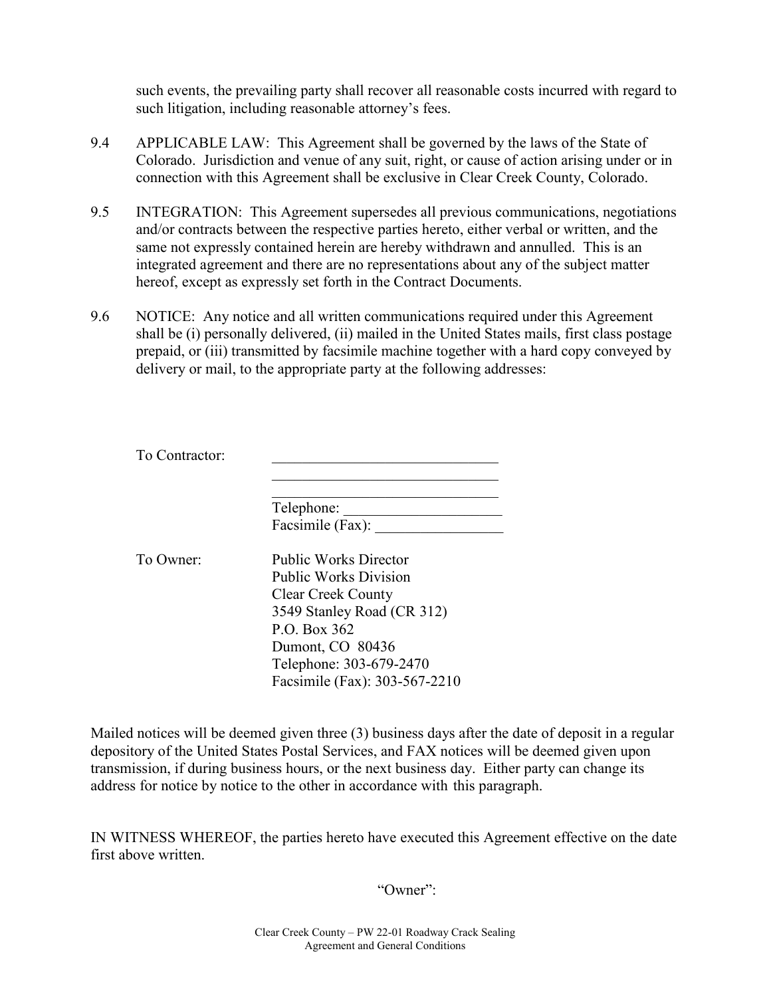such events, the prevailing party shall recover all reasonable costs incurred with regard to such litigation, including reasonable attorney's fees.

- 9.4 APPLICABLE LAW: This Agreement shall be governed by the laws of the State of Colorado. Jurisdiction and venue of any suit, right, or cause of action arising under or in connection with this Agreement shall be exclusive in Clear Creek County, Colorado.
- 9.5 INTEGRATION: This Agreement supersedes all previous communications, negotiations and/or contracts between the respective parties hereto, either verbal or written, and the same not expressly contained herein are hereby withdrawn and annulled. This is an integrated agreement and there are no representations about any of the subject matter hereof, except as expressly set forth in the Contract Documents.
- 9.6 NOTICE: Any notice and all written communications required under this Agreement shall be (i) personally delivered, (ii) mailed in the United States mails, first class postage prepaid, or (iii) transmitted by facsimile machine together with a hard copy conveyed by delivery or mail, to the appropriate party at the following addresses:

| To Contractor: |                                                                                                                                                             |
|----------------|-------------------------------------------------------------------------------------------------------------------------------------------------------------|
|                | Telephone:<br>Facsimile (Fax):                                                                                                                              |
| To Owner:      | <b>Public Works Director</b><br><b>Public Works Division</b><br><b>Clear Creek County</b><br>3549 Stanley Road (CR 312)<br>P.O. Box 362<br>Dumont, CO 80436 |
|                | Telephone: 303-679-2470<br>Facsimile (Fax): 303-567-2210                                                                                                    |

Mailed notices will be deemed given three (3) business days after the date of deposit in a regular depository of the United States Postal Services, and FAX notices will be deemed given upon transmission, if during business hours, or the next business day. Either party can change its address for notice by notice to the other in accordance with this paragraph.

IN WITNESS WHEREOF, the parties hereto have executed this Agreement effective on the date first above written.

"Owner":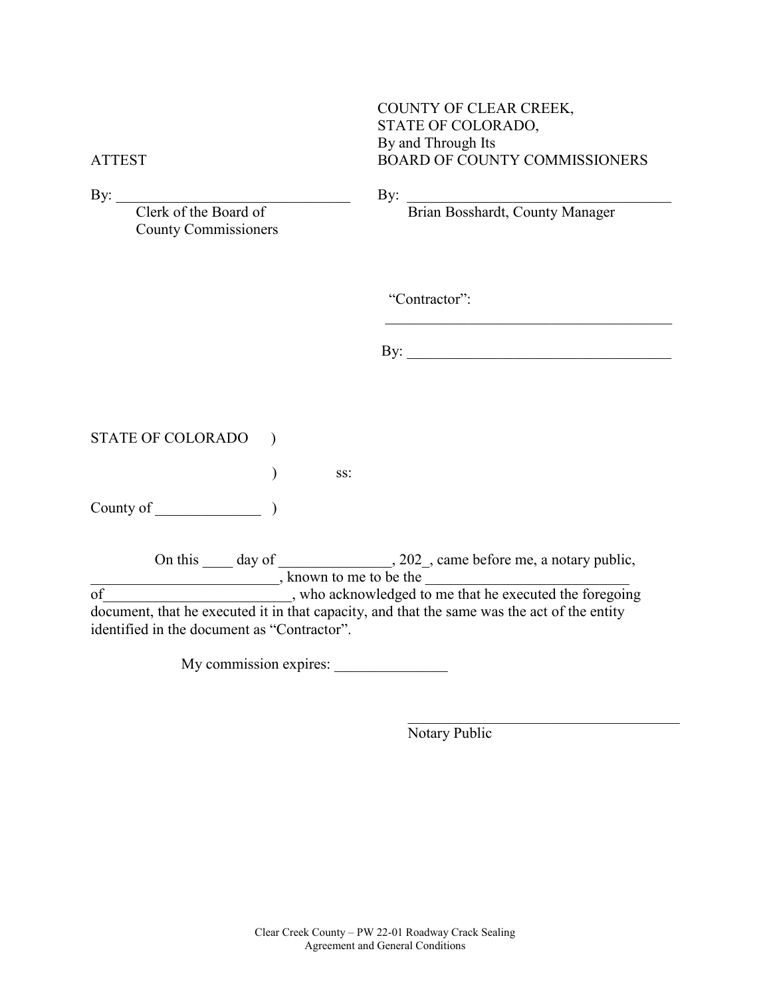|        | COUNTY OF CLEAR CREEK,        |
|--------|-------------------------------|
|        | STATE OF COLORADO,            |
|        | By and Through Its            |
| ATTEST | BOARD OF COUNTY COMMISSIONERS |
|        |                               |

County Commissioners

By: \_\_\_\_\_\_\_\_\_\_\_\_\_\_\_\_\_\_\_\_\_\_\_\_\_\_\_\_\_\_\_ By: \_\_\_\_\_\_\_\_\_\_\_\_\_\_\_\_\_\_\_\_\_\_\_\_\_\_\_\_\_\_\_\_\_\_\_

Clerk of the Board of **Brian Bosshardt**, County Manager

"Contractor":

 $\mathbf{By:}$ 

\_\_\_\_\_\_\_\_\_\_\_\_\_\_\_\_\_\_\_\_\_\_\_\_\_\_\_\_\_\_\_\_\_\_\_\_\_\_

STATE OF COLORADO )

 $\qquad \qquad \text{ss:}$ 

County of \_\_\_\_\_\_\_\_\_\_\_\_\_\_ )

On this \_\_\_\_ day of \_\_\_\_\_\_\_\_\_\_\_\_\_\_, 202\_, came before me, a notary public,  $\blacksquare$ , known to me to be the  $\blacksquare$  $\overline{\text{of}}$  , who acknowledged to me that he executed the foregoing document, that he executed it in that capacity, and that the same was the act of the entity identified in the document as "Contractor".

My commission expires:

Notary Public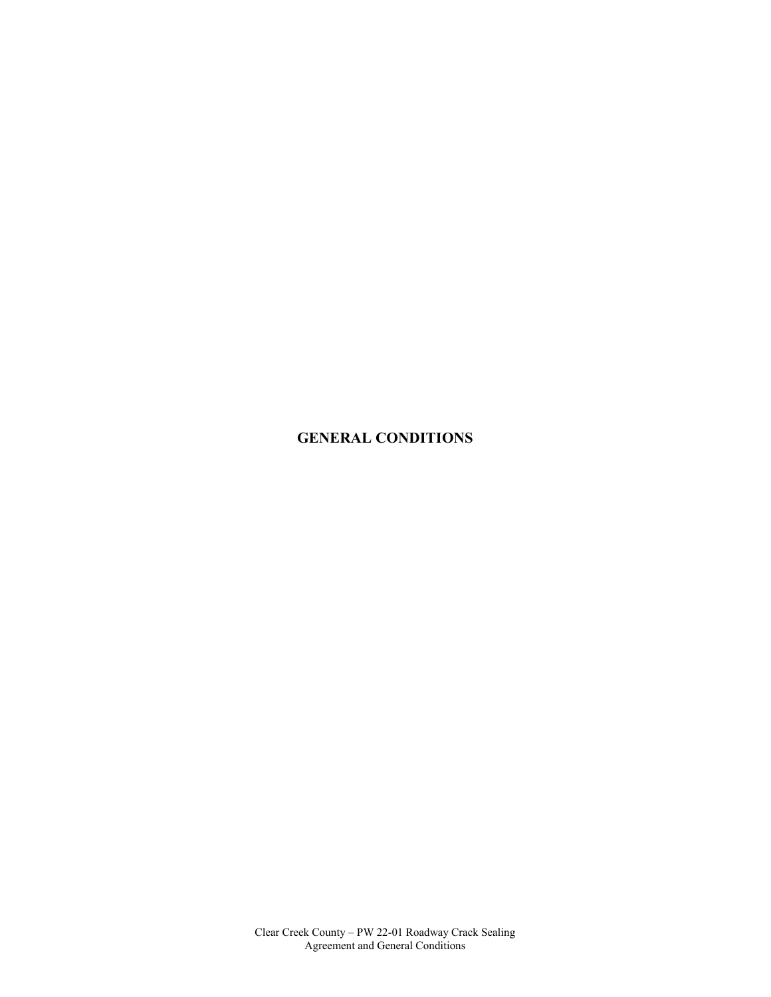## **GENERAL CONDITIONS**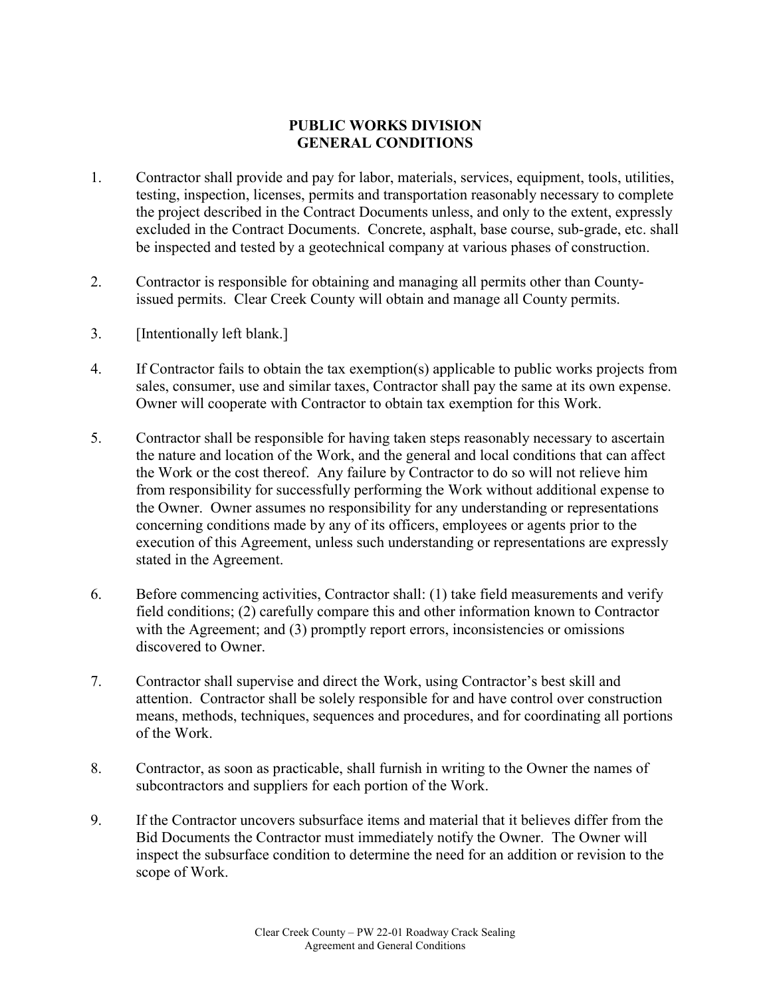## **PUBLIC WORKS DIVISION GENERAL CONDITIONS**

- 1. Contractor shall provide and pay for labor, materials, services, equipment, tools, utilities, testing, inspection, licenses, permits and transportation reasonably necessary to complete the project described in the Contract Documents unless, and only to the extent, expressly excluded in the Contract Documents. Concrete, asphalt, base course, sub-grade, etc. shall be inspected and tested by a geotechnical company at various phases of construction.
- 2. Contractor is responsible for obtaining and managing all permits other than Countyissued permits. Clear Creek County will obtain and manage all County permits.
- 3. [Intentionally left blank.]
- 4. If Contractor fails to obtain the tax exemption(s) applicable to public works projects from sales, consumer, use and similar taxes, Contractor shall pay the same at its own expense. Owner will cooperate with Contractor to obtain tax exemption for this Work.
- 5. Contractor shall be responsible for having taken steps reasonably necessary to ascertain the nature and location of the Work, and the general and local conditions that can affect the Work or the cost thereof. Any failure by Contractor to do so will not relieve him from responsibility for successfully performing the Work without additional expense to the Owner. Owner assumes no responsibility for any understanding or representations concerning conditions made by any of its officers, employees or agents prior to the execution of this Agreement, unless such understanding or representations are expressly stated in the Agreement.
- 6. Before commencing activities, Contractor shall: (1) take field measurements and verify field conditions; (2) carefully compare this and other information known to Contractor with the Agreement; and (3) promptly report errors, inconsistencies or omissions discovered to Owner.
- 7. Contractor shall supervise and direct the Work, using Contractor's best skill and attention. Contractor shall be solely responsible for and have control over construction means, methods, techniques, sequences and procedures, and for coordinating all portions of the Work.
- 8. Contractor, as soon as practicable, shall furnish in writing to the Owner the names of subcontractors and suppliers for each portion of the Work.
- 9. If the Contractor uncovers subsurface items and material that it believes differ from the Bid Documents the Contractor must immediately notify the Owner. The Owner will inspect the subsurface condition to determine the need for an addition or revision to the scope of Work.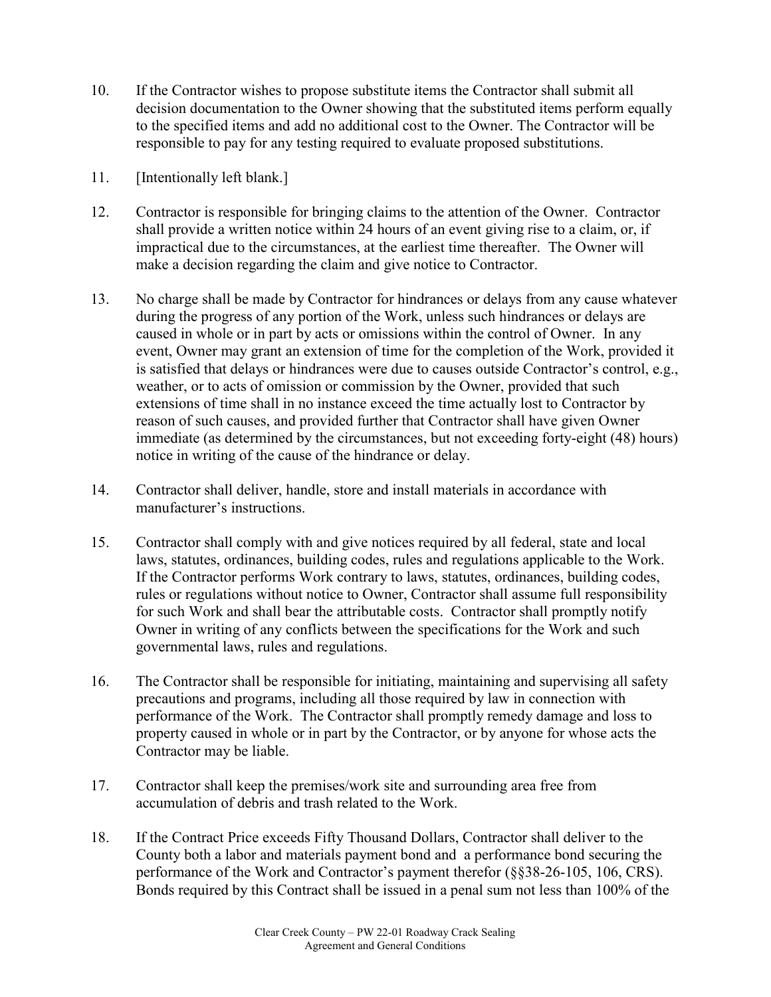- 10. If the Contractor wishes to propose substitute items the Contractor shall submit all decision documentation to the Owner showing that the substituted items perform equally to the specified items and add no additional cost to the Owner. The Contractor will be responsible to pay for any testing required to evaluate proposed substitutions.
- 11. [Intentionally left blank.]
- 12. Contractor is responsible for bringing claims to the attention of the Owner. Contractor shall provide a written notice within 24 hours of an event giving rise to a claim, or, if impractical due to the circumstances, at the earliest time thereafter. The Owner will make a decision regarding the claim and give notice to Contractor.
- 13. No charge shall be made by Contractor for hindrances or delays from any cause whatever during the progress of any portion of the Work, unless such hindrances or delays are caused in whole or in part by acts or omissions within the control of Owner. In any event, Owner may grant an extension of time for the completion of the Work, provided it is satisfied that delays or hindrances were due to causes outside Contractor's control, e.g., weather, or to acts of omission or commission by the Owner, provided that such extensions of time shall in no instance exceed the time actually lost to Contractor by reason of such causes, and provided further that Contractor shall have given Owner immediate (as determined by the circumstances, but not exceeding forty-eight (48) hours) notice in writing of the cause of the hindrance or delay.
- 14. Contractor shall deliver, handle, store and install materials in accordance with manufacturer's instructions.
- 15. Contractor shall comply with and give notices required by all federal, state and local laws, statutes, ordinances, building codes, rules and regulations applicable to the Work. If the Contractor performs Work contrary to laws, statutes, ordinances, building codes, rules or regulations without notice to Owner, Contractor shall assume full responsibility for such Work and shall bear the attributable costs. Contractor shall promptly notify Owner in writing of any conflicts between the specifications for the Work and such governmental laws, rules and regulations.
- 16. The Contractor shall be responsible for initiating, maintaining and supervising all safety precautions and programs, including all those required by law in connection with performance of the Work. The Contractor shall promptly remedy damage and loss to property caused in whole or in part by the Contractor, or by anyone for whose acts the Contractor may be liable.
- 17. Contractor shall keep the premises/work site and surrounding area free from accumulation of debris and trash related to the Work.
- 18. If the Contract Price exceeds Fifty Thousand Dollars, Contractor shall deliver to the County both a labor and materials payment bond and a performance bond securing the performance of the Work and Contractor's payment therefor (§§38-26-105, 106, CRS). Bonds required by this Contract shall be issued in a penal sum not less than 100% of the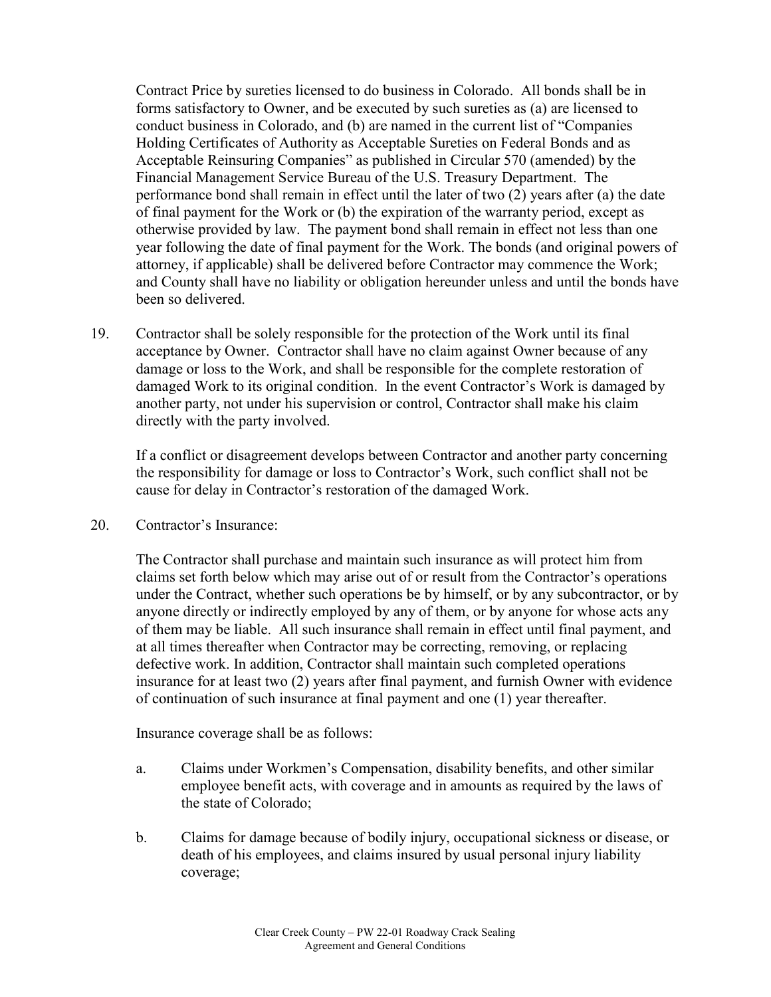Contract Price by sureties licensed to do business in Colorado. All bonds shall be in forms satisfactory to Owner, and be executed by such sureties as (a) are licensed to conduct business in Colorado, and (b) are named in the current list of "Companies Holding Certificates of Authority as Acceptable Sureties on Federal Bonds and as Acceptable Reinsuring Companies" as published in Circular 570 (amended) by the Financial Management Service Bureau of the U.S. Treasury Department. The performance bond shall remain in effect until the later of two (2) years after (a) the date of final payment for the Work or (b) the expiration of the warranty period, except as otherwise provided by law. The payment bond shall remain in effect not less than one year following the date of final payment for the Work. The bonds (and original powers of attorney, if applicable) shall be delivered before Contractor may commence the Work; and County shall have no liability or obligation hereunder unless and until the bonds have been so delivered.

19. Contractor shall be solely responsible for the protection of the Work until its final acceptance by Owner. Contractor shall have no claim against Owner because of any damage or loss to the Work, and shall be responsible for the complete restoration of damaged Work to its original condition. In the event Contractor's Work is damaged by another party, not under his supervision or control, Contractor shall make his claim directly with the party involved.

If a conflict or disagreement develops between Contractor and another party concerning the responsibility for damage or loss to Contractor's Work, such conflict shall not be cause for delay in Contractor's restoration of the damaged Work.

20. Contractor's Insurance:

The Contractor shall purchase and maintain such insurance as will protect him from claims set forth below which may arise out of or result from the Contractor's operations under the Contract, whether such operations be by himself, or by any subcontractor, or by anyone directly or indirectly employed by any of them, or by anyone for whose acts any of them may be liable. All such insurance shall remain in effect until final payment, and at all times thereafter when Contractor may be correcting, removing, or replacing defective work. In addition, Contractor shall maintain such completed operations insurance for at least two (2) years after final payment, and furnish Owner with evidence of continuation of such insurance at final payment and one (1) year thereafter.

Insurance coverage shall be as follows:

- a. Claims under Workmen's Compensation, disability benefits, and other similar employee benefit acts, with coverage and in amounts as required by the laws of the state of Colorado;
- b. Claims for damage because of bodily injury, occupational sickness or disease, or death of his employees, and claims insured by usual personal injury liability coverage;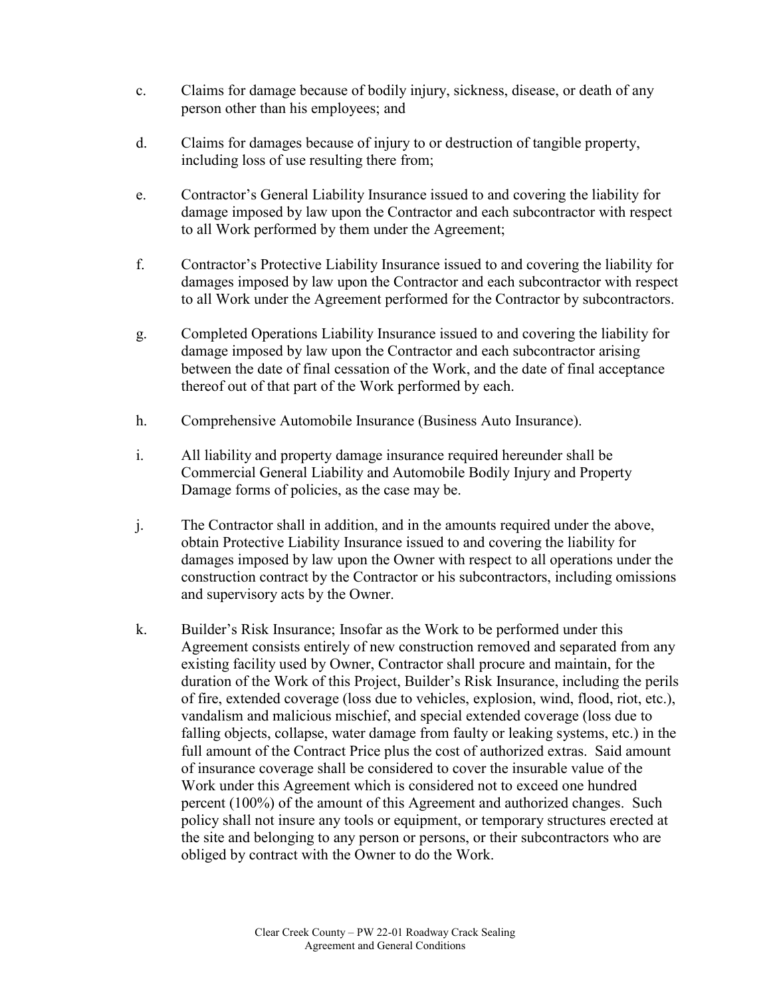- c. Claims for damage because of bodily injury, sickness, disease, or death of any person other than his employees; and
- d. Claims for damages because of injury to or destruction of tangible property, including loss of use resulting there from;
- e. Contractor's General Liability Insurance issued to and covering the liability for damage imposed by law upon the Contractor and each subcontractor with respect to all Work performed by them under the Agreement;
- f. Contractor's Protective Liability Insurance issued to and covering the liability for damages imposed by law upon the Contractor and each subcontractor with respect to all Work under the Agreement performed for the Contractor by subcontractors.
- g. Completed Operations Liability Insurance issued to and covering the liability for damage imposed by law upon the Contractor and each subcontractor arising between the date of final cessation of the Work, and the date of final acceptance thereof out of that part of the Work performed by each.
- h. Comprehensive Automobile Insurance (Business Auto Insurance).
- i. All liability and property damage insurance required hereunder shall be Commercial General Liability and Automobile Bodily Injury and Property Damage forms of policies, as the case may be.
- j. The Contractor shall in addition, and in the amounts required under the above, obtain Protective Liability Insurance issued to and covering the liability for damages imposed by law upon the Owner with respect to all operations under the construction contract by the Contractor or his subcontractors, including omissions and supervisory acts by the Owner.
- k. Builder's Risk Insurance; Insofar as the Work to be performed under this Agreement consists entirely of new construction removed and separated from any existing facility used by Owner, Contractor shall procure and maintain, for the duration of the Work of this Project, Builder's Risk Insurance, including the perils of fire, extended coverage (loss due to vehicles, explosion, wind, flood, riot, etc.), vandalism and malicious mischief, and special extended coverage (loss due to falling objects, collapse, water damage from faulty or leaking systems, etc.) in the full amount of the Contract Price plus the cost of authorized extras. Said amount of insurance coverage shall be considered to cover the insurable value of the Work under this Agreement which is considered not to exceed one hundred percent (100%) of the amount of this Agreement and authorized changes. Such policy shall not insure any tools or equipment, or temporary structures erected at the site and belonging to any person or persons, or their subcontractors who are obliged by contract with the Owner to do the Work.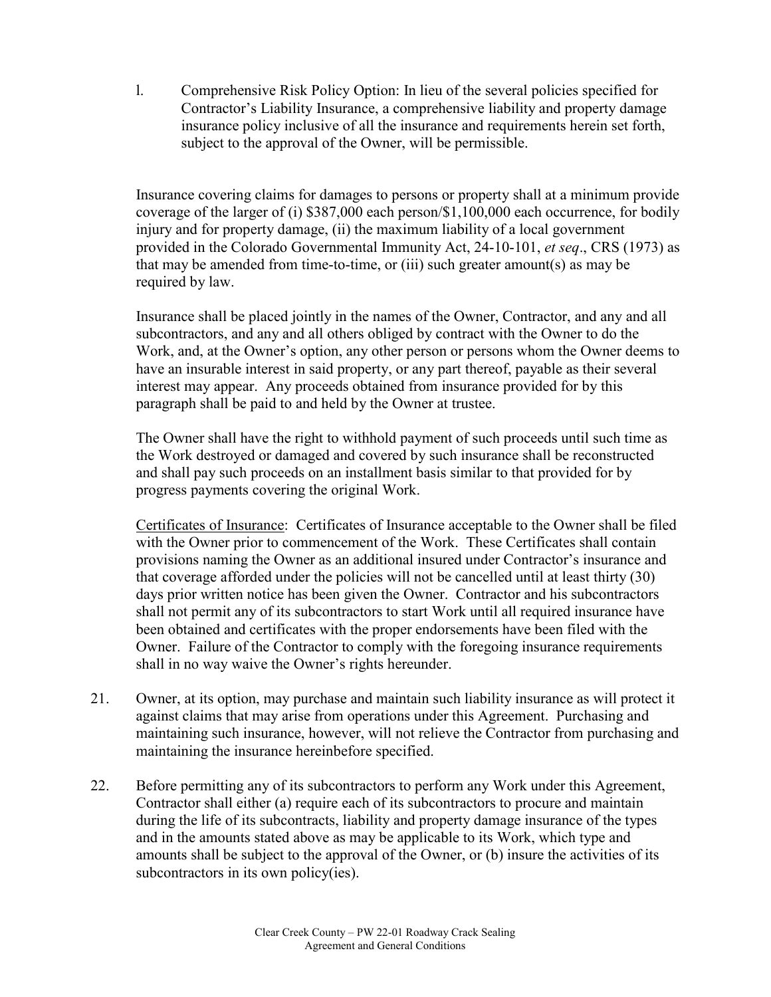l. Comprehensive Risk Policy Option: In lieu of the several policies specified for Contractor's Liability Insurance, a comprehensive liability and property damage insurance policy inclusive of all the insurance and requirements herein set forth, subject to the approval of the Owner, will be permissible.

Insurance covering claims for damages to persons or property shall at a minimum provide coverage of the larger of (i) \$387,000 each person/\$1,100,000 each occurrence, for bodily injury and for property damage, (ii) the maximum liability of a local government provided in the Colorado Governmental Immunity Act, 24-10-101, *et seq*., CRS (1973) as that may be amended from time-to-time, or (iii) such greater amount(s) as may be required by law.

Insurance shall be placed jointly in the names of the Owner, Contractor, and any and all subcontractors, and any and all others obliged by contract with the Owner to do the Work, and, at the Owner's option, any other person or persons whom the Owner deems to have an insurable interest in said property, or any part thereof, payable as their several interest may appear. Any proceeds obtained from insurance provided for by this paragraph shall be paid to and held by the Owner at trustee.

The Owner shall have the right to withhold payment of such proceeds until such time as the Work destroyed or damaged and covered by such insurance shall be reconstructed and shall pay such proceeds on an installment basis similar to that provided for by progress payments covering the original Work.

Certificates of Insurance: Certificates of Insurance acceptable to the Owner shall be filed with the Owner prior to commencement of the Work. These Certificates shall contain provisions naming the Owner as an additional insured under Contractor's insurance and that coverage afforded under the policies will not be cancelled until at least thirty (30) days prior written notice has been given the Owner. Contractor and his subcontractors shall not permit any of its subcontractors to start Work until all required insurance have been obtained and certificates with the proper endorsements have been filed with the Owner. Failure of the Contractor to comply with the foregoing insurance requirements shall in no way waive the Owner's rights hereunder.

- 21. Owner, at its option, may purchase and maintain such liability insurance as will protect it against claims that may arise from operations under this Agreement. Purchasing and maintaining such insurance, however, will not relieve the Contractor from purchasing and maintaining the insurance hereinbefore specified.
- 22. Before permitting any of its subcontractors to perform any Work under this Agreement, Contractor shall either (a) require each of its subcontractors to procure and maintain during the life of its subcontracts, liability and property damage insurance of the types and in the amounts stated above as may be applicable to its Work, which type and amounts shall be subject to the approval of the Owner, or (b) insure the activities of its subcontractors in its own policy(ies).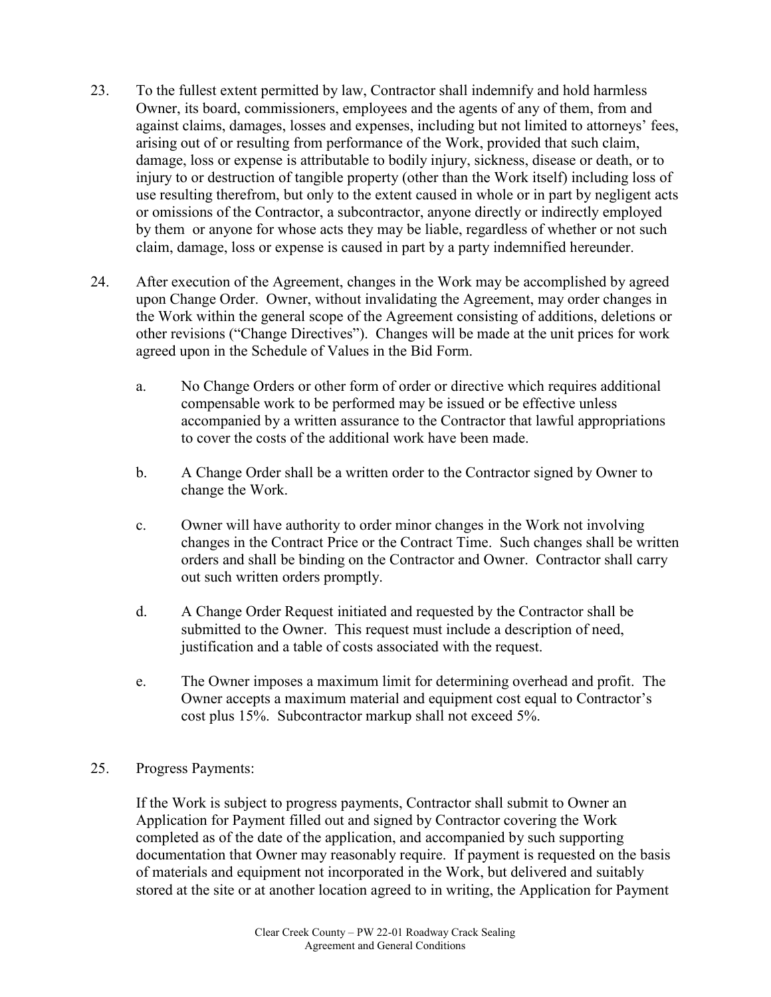- 23. To the fullest extent permitted by law, Contractor shall indemnify and hold harmless Owner, its board, commissioners, employees and the agents of any of them, from and against claims, damages, losses and expenses, including but not limited to attorneys' fees, arising out of or resulting from performance of the Work, provided that such claim, damage, loss or expense is attributable to bodily injury, sickness, disease or death, or to injury to or destruction of tangible property (other than the Work itself) including loss of use resulting therefrom, but only to the extent caused in whole or in part by negligent acts or omissions of the Contractor, a subcontractor, anyone directly or indirectly employed by them or anyone for whose acts they may be liable, regardless of whether or not such claim, damage, loss or expense is caused in part by a party indemnified hereunder.
- 24. After execution of the Agreement, changes in the Work may be accomplished by agreed upon Change Order. Owner, without invalidating the Agreement, may order changes in the Work within the general scope of the Agreement consisting of additions, deletions or other revisions ("Change Directives"). Changes will be made at the unit prices for work agreed upon in the Schedule of Values in the Bid Form.
	- a. No Change Orders or other form of order or directive which requires additional compensable work to be performed may be issued or be effective unless accompanied by a written assurance to the Contractor that lawful appropriations to cover the costs of the additional work have been made.
	- b. A Change Order shall be a written order to the Contractor signed by Owner to change the Work.
	- c. Owner will have authority to order minor changes in the Work not involving changes in the Contract Price or the Contract Time. Such changes shall be written orders and shall be binding on the Contractor and Owner. Contractor shall carry out such written orders promptly.
	- d. A Change Order Request initiated and requested by the Contractor shall be submitted to the Owner. This request must include a description of need, justification and a table of costs associated with the request.
	- e. The Owner imposes a maximum limit for determining overhead and profit. The Owner accepts a maximum material and equipment cost equal to Contractor's cost plus 15%. Subcontractor markup shall not exceed 5%.
- 25. Progress Payments:

If the Work is subject to progress payments, Contractor shall submit to Owner an Application for Payment filled out and signed by Contractor covering the Work completed as of the date of the application, and accompanied by such supporting documentation that Owner may reasonably require. If payment is requested on the basis of materials and equipment not incorporated in the Work, but delivered and suitably stored at the site or at another location agreed to in writing, the Application for Payment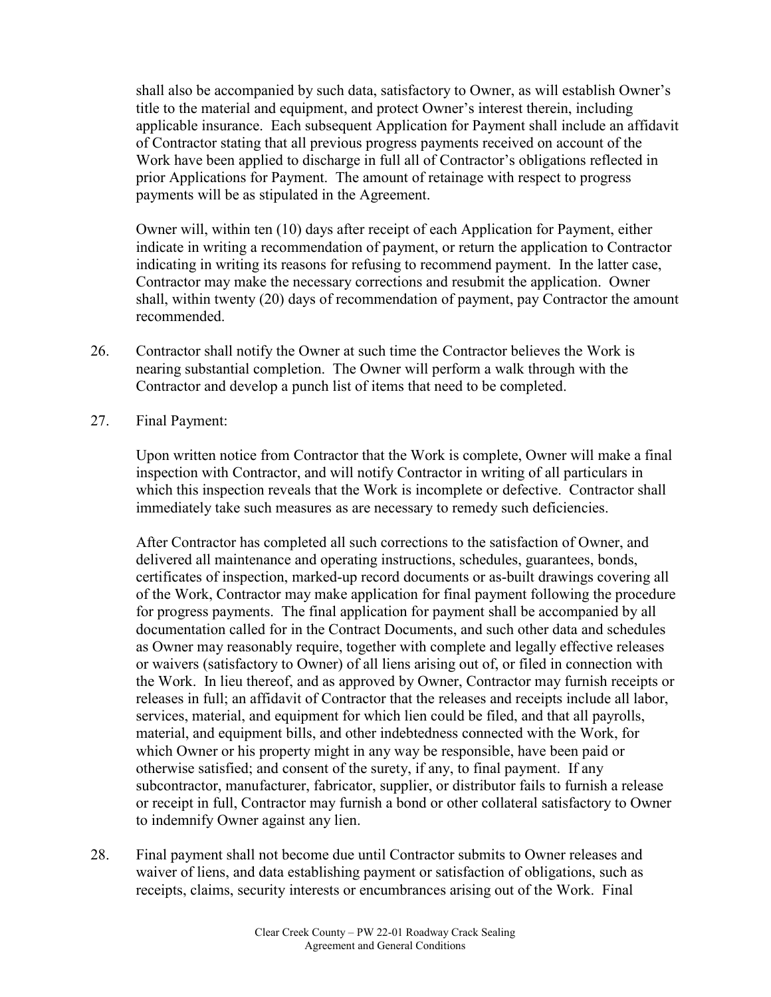shall also be accompanied by such data, satisfactory to Owner, as will establish Owner's title to the material and equipment, and protect Owner's interest therein, including applicable insurance. Each subsequent Application for Payment shall include an affidavit of Contractor stating that all previous progress payments received on account of the Work have been applied to discharge in full all of Contractor's obligations reflected in prior Applications for Payment. The amount of retainage with respect to progress payments will be as stipulated in the Agreement.

Owner will, within ten (10) days after receipt of each Application for Payment, either indicate in writing a recommendation of payment, or return the application to Contractor indicating in writing its reasons for refusing to recommend payment. In the latter case, Contractor may make the necessary corrections and resubmit the application. Owner shall, within twenty (20) days of recommendation of payment, pay Contractor the amount recommended.

- 26. Contractor shall notify the Owner at such time the Contractor believes the Work is nearing substantial completion. The Owner will perform a walk through with the Contractor and develop a punch list of items that need to be completed.
- 27. Final Payment:

Upon written notice from Contractor that the Work is complete, Owner will make a final inspection with Contractor, and will notify Contractor in writing of all particulars in which this inspection reveals that the Work is incomplete or defective. Contractor shall immediately take such measures as are necessary to remedy such deficiencies.

After Contractor has completed all such corrections to the satisfaction of Owner, and delivered all maintenance and operating instructions, schedules, guarantees, bonds, certificates of inspection, marked-up record documents or as-built drawings covering all of the Work, Contractor may make application for final payment following the procedure for progress payments. The final application for payment shall be accompanied by all documentation called for in the Contract Documents, and such other data and schedules as Owner may reasonably require, together with complete and legally effective releases or waivers (satisfactory to Owner) of all liens arising out of, or filed in connection with the Work. In lieu thereof, and as approved by Owner, Contractor may furnish receipts or releases in full; an affidavit of Contractor that the releases and receipts include all labor, services, material, and equipment for which lien could be filed, and that all payrolls, material, and equipment bills, and other indebtedness connected with the Work, for which Owner or his property might in any way be responsible, have been paid or otherwise satisfied; and consent of the surety, if any, to final payment. If any subcontractor, manufacturer, fabricator, supplier, or distributor fails to furnish a release or receipt in full, Contractor may furnish a bond or other collateral satisfactory to Owner to indemnify Owner against any lien.

28. Final payment shall not become due until Contractor submits to Owner releases and waiver of liens, and data establishing payment or satisfaction of obligations, such as receipts, claims, security interests or encumbrances arising out of the Work. Final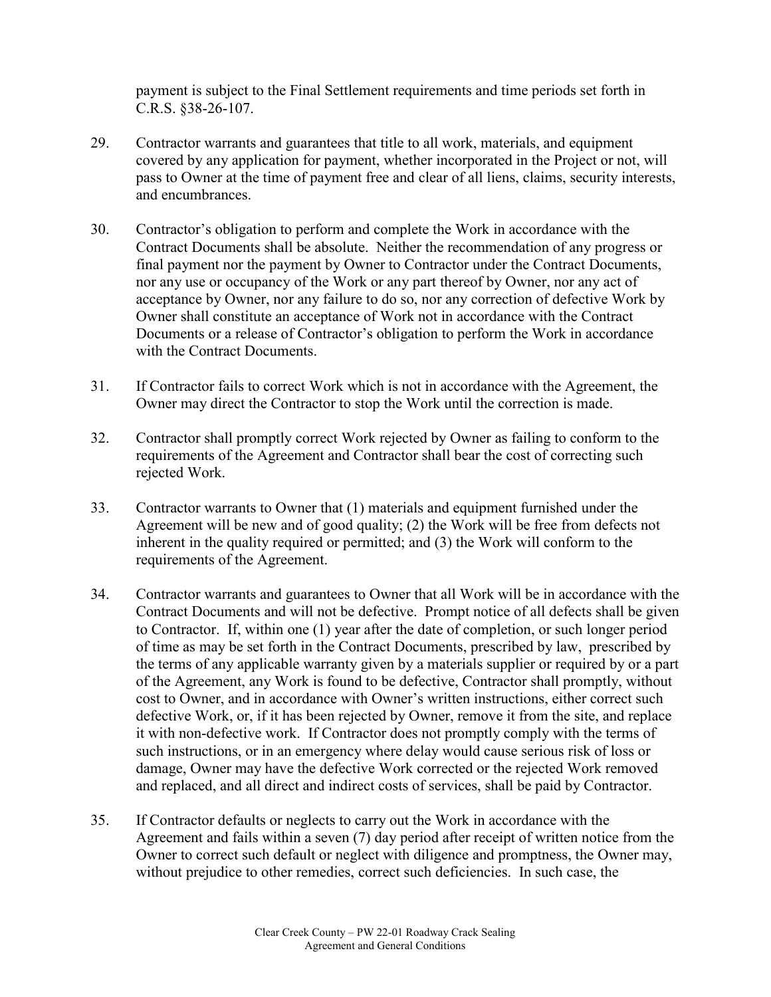payment is subject to the Final Settlement requirements and time periods set forth in C.R.S. §38-26-107.

- 29. Contractor warrants and guarantees that title to all work, materials, and equipment covered by any application for payment, whether incorporated in the Project or not, will pass to Owner at the time of payment free and clear of all liens, claims, security interests, and encumbrances.
- 30. Contractor's obligation to perform and complete the Work in accordance with the Contract Documents shall be absolute. Neither the recommendation of any progress or final payment nor the payment by Owner to Contractor under the Contract Documents, nor any use or occupancy of the Work or any part thereof by Owner, nor any act of acceptance by Owner, nor any failure to do so, nor any correction of defective Work by Owner shall constitute an acceptance of Work not in accordance with the Contract Documents or a release of Contractor's obligation to perform the Work in accordance with the Contract Documents.
- 31. If Contractor fails to correct Work which is not in accordance with the Agreement, the Owner may direct the Contractor to stop the Work until the correction is made.
- 32. Contractor shall promptly correct Work rejected by Owner as failing to conform to the requirements of the Agreement and Contractor shall bear the cost of correcting such rejected Work.
- 33. Contractor warrants to Owner that (1) materials and equipment furnished under the Agreement will be new and of good quality; (2) the Work will be free from defects not inherent in the quality required or permitted; and (3) the Work will conform to the requirements of the Agreement.
- 34. Contractor warrants and guarantees to Owner that all Work will be in accordance with the Contract Documents and will not be defective. Prompt notice of all defects shall be given to Contractor. If, within one (1) year after the date of completion, or such longer period of time as may be set forth in the Contract Documents, prescribed by law, prescribed by the terms of any applicable warranty given by a materials supplier or required by or a part of the Agreement, any Work is found to be defective, Contractor shall promptly, without cost to Owner, and in accordance with Owner's written instructions, either correct such defective Work, or, if it has been rejected by Owner, remove it from the site, and replace it with non-defective work. If Contractor does not promptly comply with the terms of such instructions, or in an emergency where delay would cause serious risk of loss or damage, Owner may have the defective Work corrected or the rejected Work removed and replaced, and all direct and indirect costs of services, shall be paid by Contractor.
- 35. If Contractor defaults or neglects to carry out the Work in accordance with the Agreement and fails within a seven (7) day period after receipt of written notice from the Owner to correct such default or neglect with diligence and promptness, the Owner may, without prejudice to other remedies, correct such deficiencies. In such case, the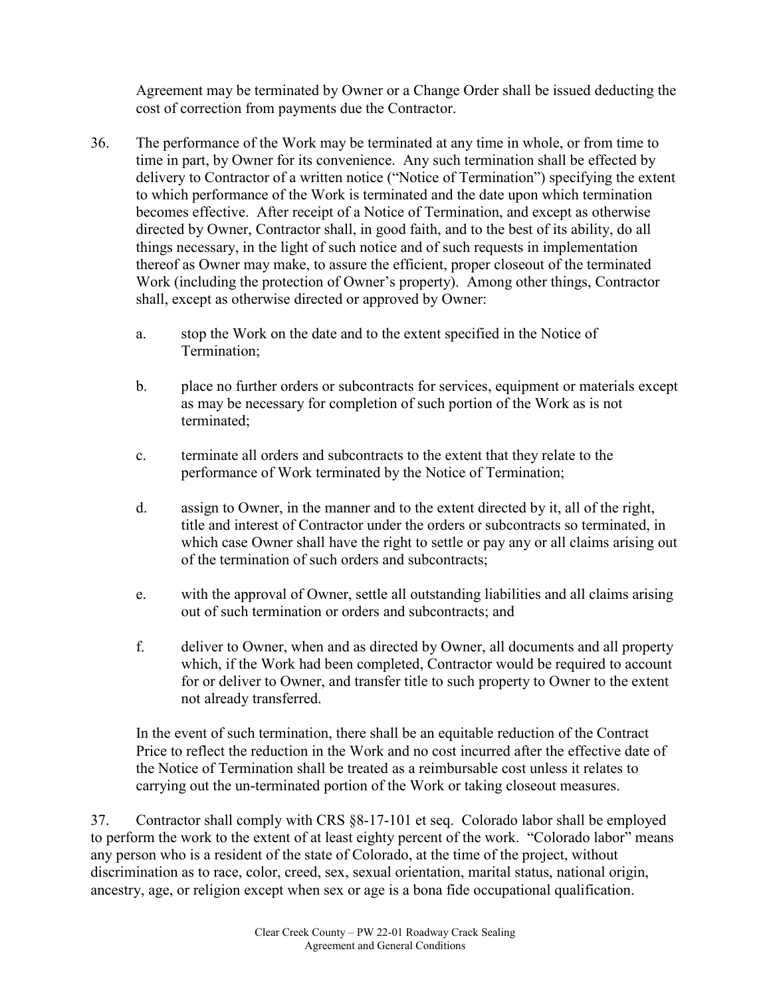Agreement may be terminated by Owner or a Change Order shall be issued deducting the cost of correction from payments due the Contractor.

- 36. The performance of the Work may be terminated at any time in whole, or from time to time in part, by Owner for its convenience. Any such termination shall be effected by delivery to Contractor of a written notice ("Notice of Termination") specifying the extent to which performance of the Work is terminated and the date upon which termination becomes effective. After receipt of a Notice of Termination, and except as otherwise directed by Owner, Contractor shall, in good faith, and to the best of its ability, do all things necessary, in the light of such notice and of such requests in implementation thereof as Owner may make, to assure the efficient, proper closeout of the terminated Work (including the protection of Owner's property). Among other things, Contractor shall, except as otherwise directed or approved by Owner:
	- a. stop the Work on the date and to the extent specified in the Notice of Termination;
	- b. place no further orders or subcontracts for services, equipment or materials except as may be necessary for completion of such portion of the Work as is not terminated;
	- c. terminate all orders and subcontracts to the extent that they relate to the performance of Work terminated by the Notice of Termination;
	- d. assign to Owner, in the manner and to the extent directed by it, all of the right, title and interest of Contractor under the orders or subcontracts so terminated, in which case Owner shall have the right to settle or pay any or all claims arising out of the termination of such orders and subcontracts;
	- e. with the approval of Owner, settle all outstanding liabilities and all claims arising out of such termination or orders and subcontracts; and
	- f. deliver to Owner, when and as directed by Owner, all documents and all property which, if the Work had been completed, Contractor would be required to account for or deliver to Owner, and transfer title to such property to Owner to the extent not already transferred.

In the event of such termination, there shall be an equitable reduction of the Contract Price to reflect the reduction in the Work and no cost incurred after the effective date of the Notice of Termination shall be treated as a reimbursable cost unless it relates to carrying out the un-terminated portion of the Work or taking closeout measures.

37. Contractor shall comply with CRS §8-17-101 et seq. Colorado labor shall be employed to perform the work to the extent of at least eighty percent of the work. "Colorado labor" means any person who is a resident of the state of Colorado, at the time of the project, without discrimination as to race, color, creed, sex, sexual orientation, marital status, national origin, ancestry, age, or religion except when sex or age is a bona fide occupational qualification.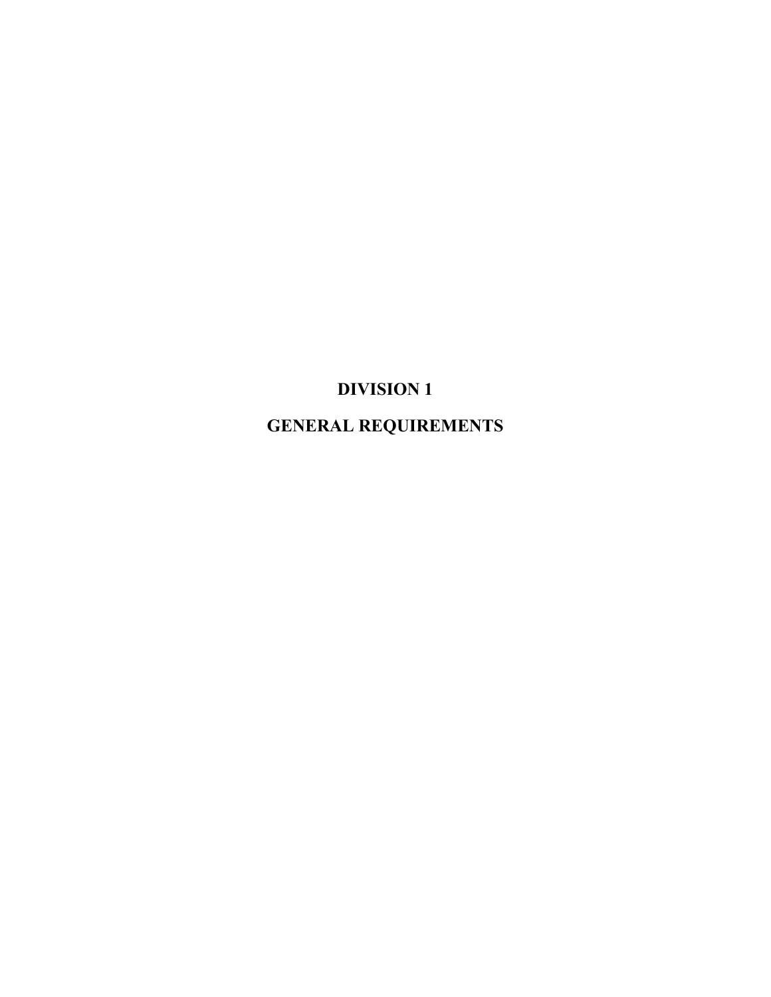# **DIVISION 1**

**GENERAL REQUIREMENTS**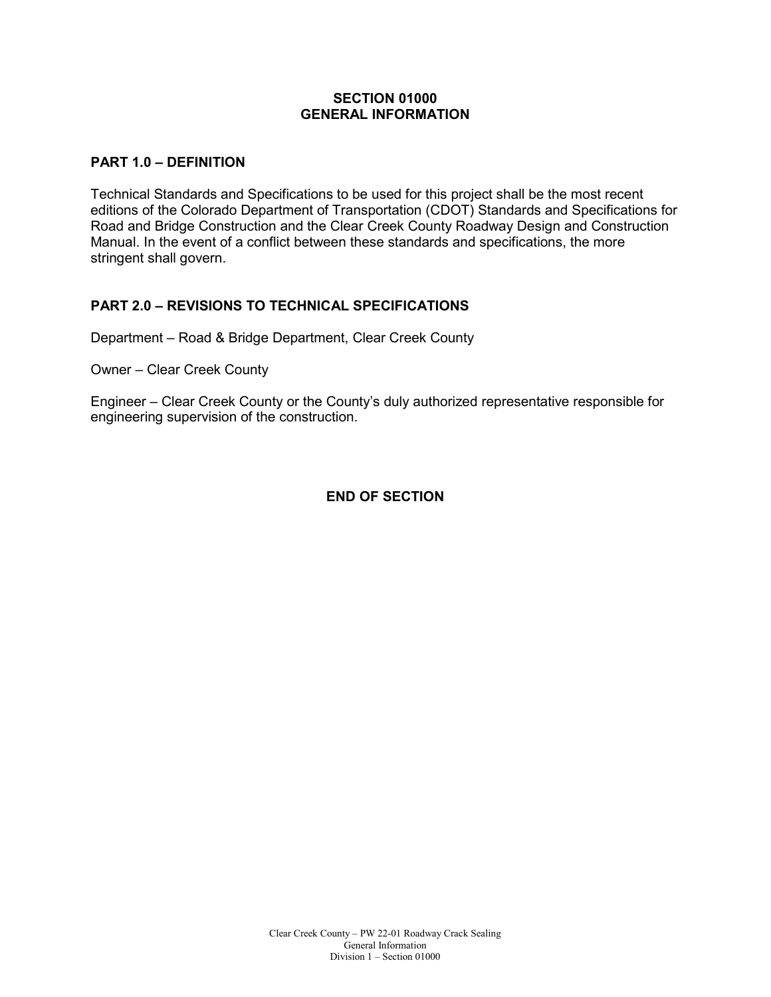#### **SECTION 01000 GENERAL INFORMATION**

#### **PART 1.0 – DEFINITION**

Technical Standards and Specifications to be used for this project shall be the most recent editions of the Colorado Department of Transportation (CDOT) Standards and Specifications for Road and Bridge Construction and the Clear Creek County Roadway Design and Construction Manual. In the event of a conflict between these standards and specifications, the more stringent shall govern.

#### **PART 2.0 – REVISIONS TO TECHNICAL SPECIFICATIONS**

Department – Road & Bridge Department, Clear Creek County

Owner – Clear Creek County

Engineer – Clear Creek County or the County's duly authorized representative responsible for engineering supervision of the construction.

**END OF SECTION**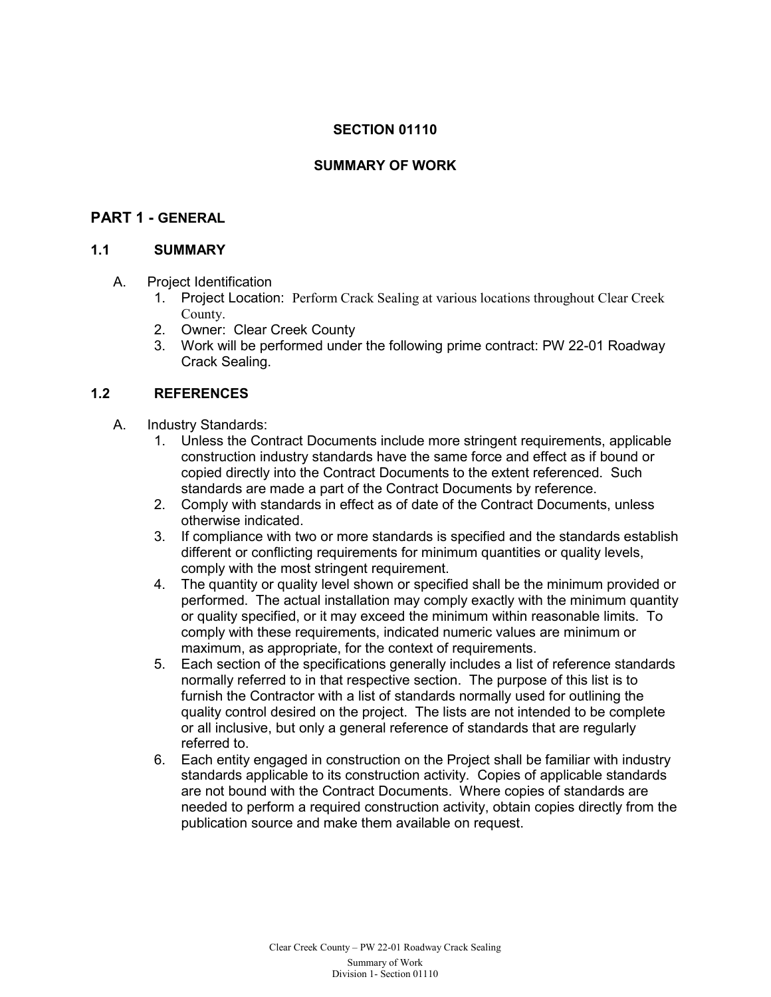## **SECTION 01110**

#### **SUMMARY OF WORK**

## **PART 1 - GENERAL**

#### **1.1 SUMMARY**

- A. Project Identification
	- 1. Project Location: Perform Crack Sealing at various locations throughout Clear Creek County.
	- 2. Owner: Clear Creek County
	- 3. Work will be performed under the following prime contract: PW 22-01 Roadway Crack Sealing.

#### **1.2 REFERENCES**

- A. Industry Standards:
	- 1. Unless the Contract Documents include more stringent requirements, applicable construction industry standards have the same force and effect as if bound or copied directly into the Contract Documents to the extent referenced. Such standards are made a part of the Contract Documents by reference.
	- 2. Comply with standards in effect as of date of the Contract Documents, unless otherwise indicated.
	- 3. If compliance with two or more standards is specified and the standards establish different or conflicting requirements for minimum quantities or quality levels, comply with the most stringent requirement.
	- 4. The quantity or quality level shown or specified shall be the minimum provided or performed. The actual installation may comply exactly with the minimum quantity or quality specified, or it may exceed the minimum within reasonable limits. To comply with these requirements, indicated numeric values are minimum or maximum, as appropriate, for the context of requirements.
	- 5. Each section of the specifications generally includes a list of reference standards normally referred to in that respective section. The purpose of this list is to furnish the Contractor with a list of standards normally used for outlining the quality control desired on the project. The lists are not intended to be complete or all inclusive, but only a general reference of standards that are regularly referred to.
	- 6. Each entity engaged in construction on the Project shall be familiar with industry standards applicable to its construction activity. Copies of applicable standards are not bound with the Contract Documents. Where copies of standards are needed to perform a required construction activity, obtain copies directly from the publication source and make them available on request.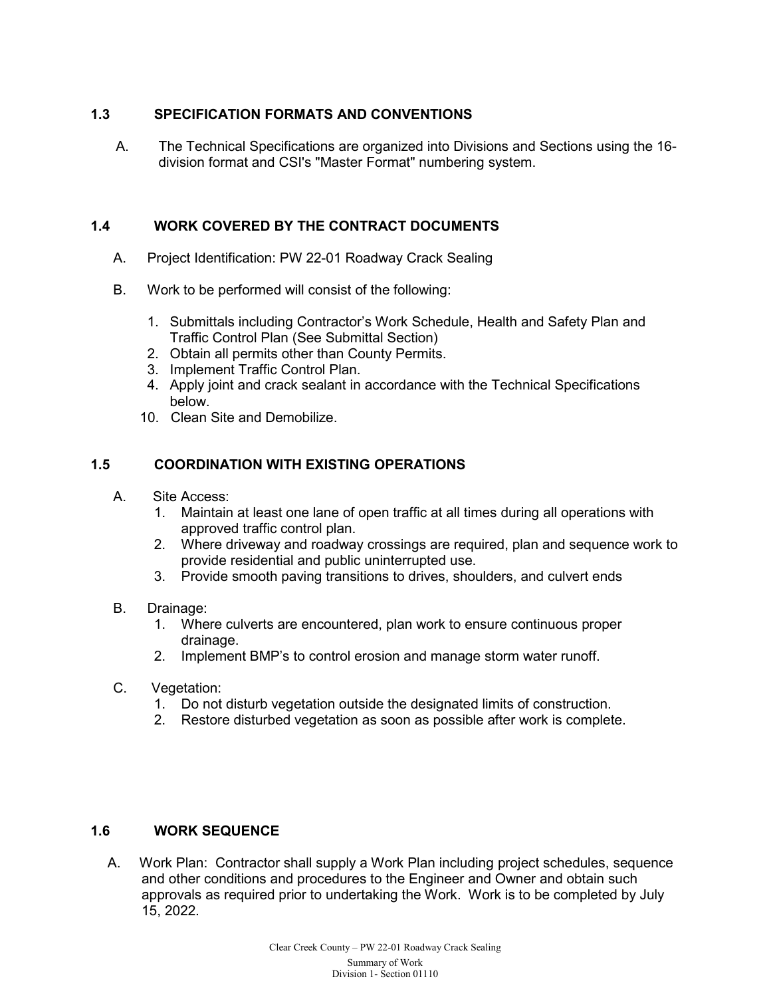## **1.3 SPECIFICATION FORMATS AND CONVENTIONS**

A. The Technical Specifications are organized into Divisions and Sections using the 16 division format and CSI's "Master Format" numbering system.

#### **1.4 WORK COVERED BY THE CONTRACT DOCUMENTS**

- A. Project Identification: PW 22-01 Roadway Crack Sealing
- B. Work to be performed will consist of the following:
	- 1. Submittals including Contractor's Work Schedule, Health and Safety Plan and Traffic Control Plan (See Submittal Section)
	- 2. Obtain all permits other than County Permits.
	- 3. Implement Traffic Control Plan.
	- 4. Apply joint and crack sealant in accordance with the Technical Specifications below.
	- 10. Clean Site and Demobilize.

## **1.5 COORDINATION WITH EXISTING OPERATIONS**

- A. Site Access:
	- 1. Maintain at least one lane of open traffic at all times during all operations with approved traffic control plan.
	- 2. Where driveway and roadway crossings are required, plan and sequence work to provide residential and public uninterrupted use.
	- 3. Provide smooth paving transitions to drives, shoulders, and culvert ends
- B. Drainage:
	- 1. Where culverts are encountered, plan work to ensure continuous proper drainage.
	- 2. Implement BMP's to control erosion and manage storm water runoff.
- C. Vegetation:
	- 1. Do not disturb vegetation outside the designated limits of construction.
	- 2. Restore disturbed vegetation as soon as possible after work is complete.

#### **1.6 WORK SEQUENCE**

A. Work Plan: Contractor shall supply a Work Plan including project schedules, sequence and other conditions and procedures to the Engineer and Owner and obtain such approvals as required prior to undertaking the Work. Work is to be completed by July 15, 2022.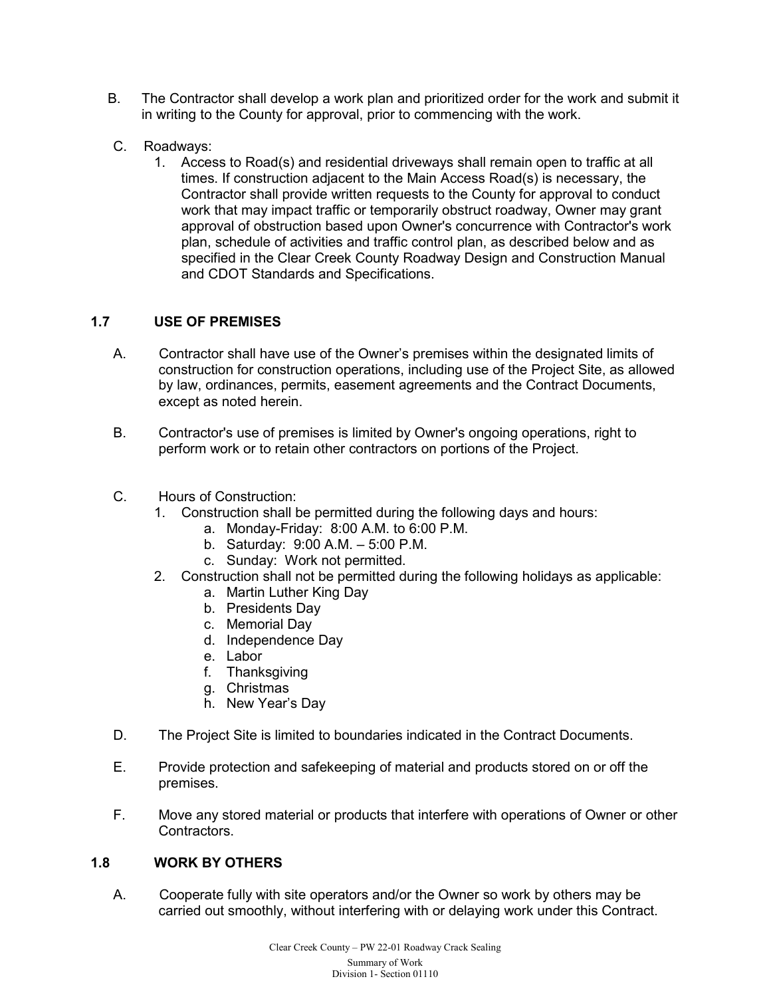- B. The Contractor shall develop a work plan and prioritized order for the work and submit it in writing to the County for approval, prior to commencing with the work.
- C. Roadways:
	- 1. Access to Road(s) and residential driveways shall remain open to traffic at all times. If construction adjacent to the Main Access Road(s) is necessary, the Contractor shall provide written requests to the County for approval to conduct work that may impact traffic or temporarily obstruct roadway, Owner may grant approval of obstruction based upon Owner's concurrence with Contractor's work plan, schedule of activities and traffic control plan, as described below and as specified in the Clear Creek County Roadway Design and Construction Manual and CDOT Standards and Specifications.

## **1.7 USE OF PREMISES**

- A. Contractor shall have use of the Owner's premises within the designated limits of construction for construction operations, including use of the Project Site, as allowed by law, ordinances, permits, easement agreements and the Contract Documents, except as noted herein.
- B. Contractor's use of premises is limited by Owner's ongoing operations, right to perform work or to retain other contractors on portions of the Project.
- C. Hours of Construction:
	- 1. Construction shall be permitted during the following days and hours:
		- a. Monday-Friday: 8:00 A.M. to 6:00 P.M.
		- b. Saturday: 9:00 A.M. 5:00 P.M.
		- c. Sunday: Work not permitted.
	- 2. Construction shall not be permitted during the following holidays as applicable:
		- a. Martin Luther King Day
		- b. Presidents Day
		- c. Memorial Day
		- d. Independence Day
		- e. Labor
		- f. Thanksgiving
		- g. Christmas
		- h. New Year's Day
- D. The Project Site is limited to boundaries indicated in the Contract Documents.
- E. Provide protection and safekeeping of material and products stored on or off the premises.
- F. Move any stored material or products that interfere with operations of Owner or other Contractors.

## **1.8 WORK BY OTHERS**

A. Cooperate fully with site operators and/or the Owner so work by others may be carried out smoothly, without interfering with or delaying work under this Contract.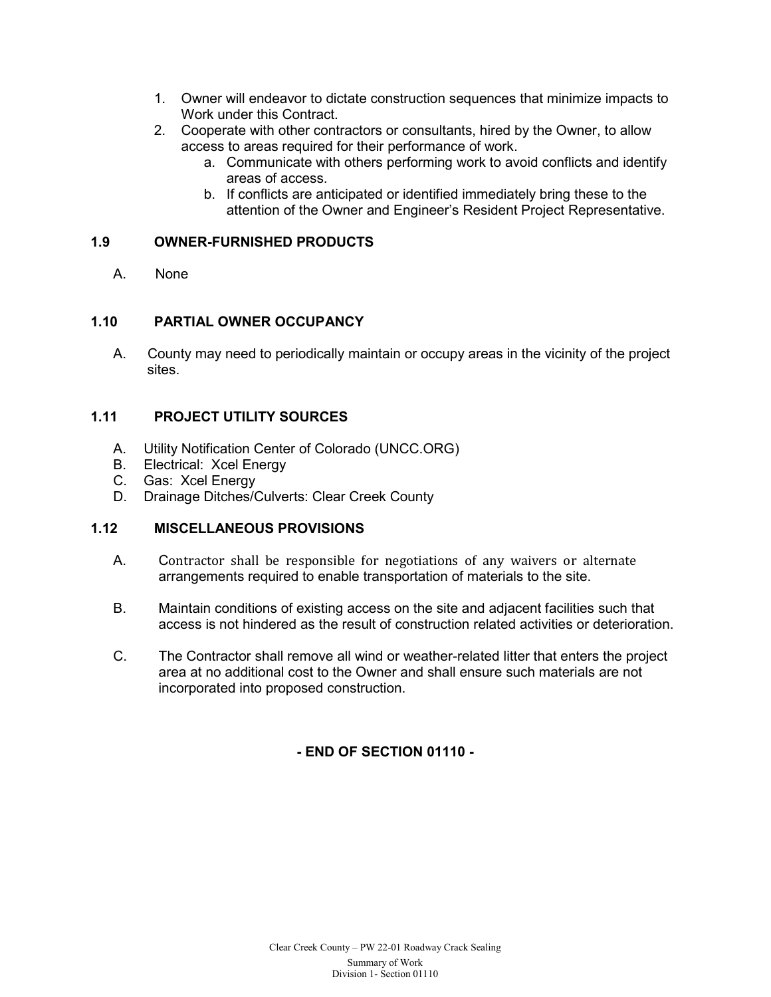- 1. Owner will endeavor to dictate construction sequences that minimize impacts to Work under this Contract.
- 2. Cooperate with other contractors or consultants, hired by the Owner, to allow access to areas required for their performance of work.
	- a. Communicate with others performing work to avoid conflicts and identify areas of access.
	- b. If conflicts are anticipated or identified immediately bring these to the attention of the Owner and Engineer's Resident Project Representative.

#### **1.9 OWNER-FURNISHED PRODUCTS**

A. None

#### **1.10 PARTIAL OWNER OCCUPANCY**

A. County may need to periodically maintain or occupy areas in the vicinity of the project sites.

## **1.11 PROJECT UTILITY SOURCES**

- A. Utility Notification Center of Colorado (UNCC.ORG)<br>B. Electrical: Xcel Energy
- Electrical: Xcel Energy
- C. Gas: Xcel Energy
- D. Drainage Ditches/Culverts: Clear Creek County

## **1.12 MISCELLANEOUS PROVISIONS**

- A. Contractor shall be responsible for negotiations of any waivers or alternate arrangements required to enable transportation of materials to the site.
- B. Maintain conditions of existing access on the site and adjacent facilities such that access is not hindered as the result of construction related activities or deterioration.
- C. The Contractor shall remove all wind or weather-related litter that enters the project area at no additional cost to the Owner and shall ensure such materials are not incorporated into proposed construction.

## **- END OF SECTION 01110 -**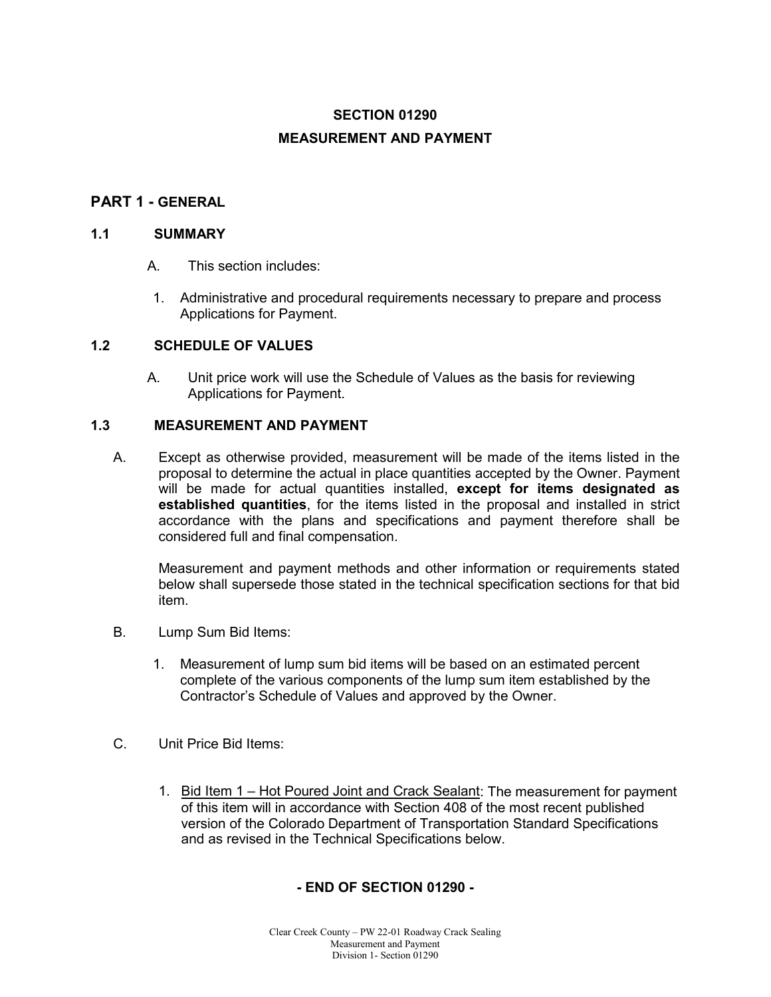## **SECTION 01290 MEASUREMENT AND PAYMENT**

## **PART 1 - GENERAL**

#### **1.1 SUMMARY**

- A. This section includes:
- 1. Administrative and procedural requirements necessary to prepare and process Applications for Payment.

#### **1.2 SCHEDULE OF VALUES**

A. Unit price work will use the Schedule of Values as the basis for reviewing Applications for Payment.

#### **1.3 MEASUREMENT AND PAYMENT**

A. Except as otherwise provided, measurement will be made of the items listed in the proposal to determine the actual in place quantities accepted by the Owner. Payment will be made for actual quantities installed, **except for items designated as established quantities**, for the items listed in the proposal and installed in strict accordance with the plans and specifications and payment therefore shall be considered full and final compensation.

Measurement and payment methods and other information or requirements stated below shall supersede those stated in the technical specification sections for that bid item.

- B. Lump Sum Bid Items:
	- 1. Measurement of lump sum bid items will be based on an estimated percent complete of the various components of the lump sum item established by the Contractor's Schedule of Values and approved by the Owner.
- C. Unit Price Bid Items:
	- 1. Bid Item 1 Hot Poured Joint and Crack Sealant: The measurement for payment of this item will in accordance with Section 408 of the most recent published version of the Colorado Department of Transportation Standard Specifications and as revised in the Technical Specifications below.

#### **- END OF SECTION 01290 -**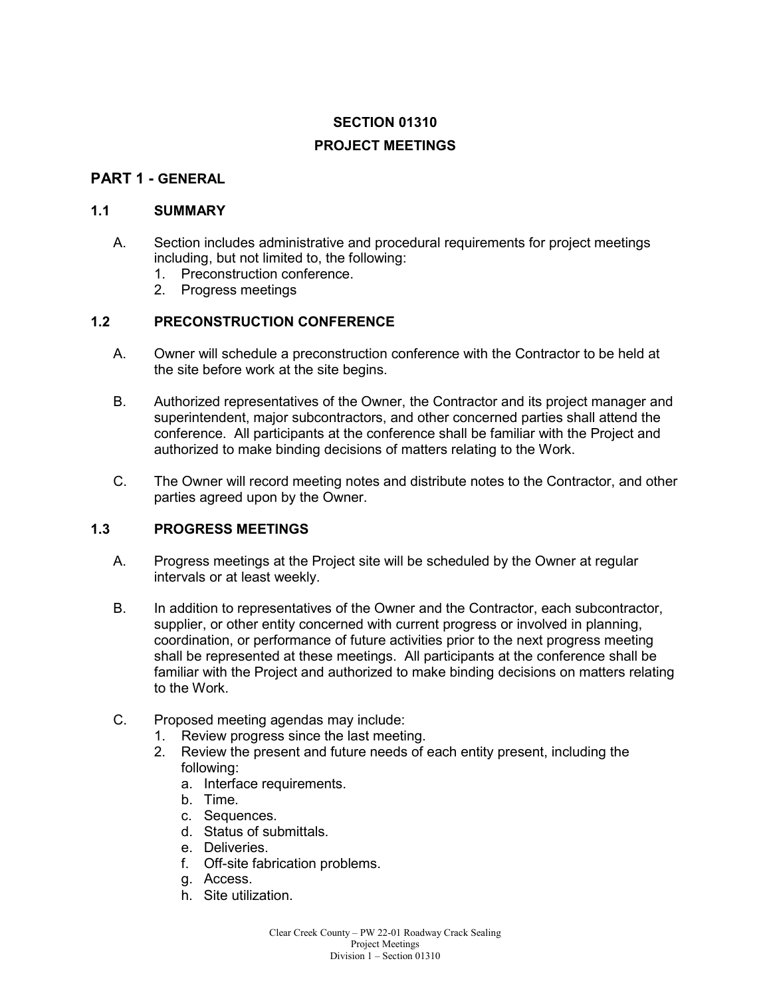## **SECTION 01310**

## **PROJECT MEETINGS**

## **PART 1 - GENERAL**

## **1.1 SUMMARY**

- A. Section includes administrative and procedural requirements for project meetings including, but not limited to, the following:
	- 1. Preconstruction conference.
	- 2. Progress meetings

## **1.2 PRECONSTRUCTION CONFERENCE**

- A. Owner will schedule a preconstruction conference with the Contractor to be held at the site before work at the site begins.
- B. Authorized representatives of the Owner, the Contractor and its project manager and superintendent, major subcontractors, and other concerned parties shall attend the conference. All participants at the conference shall be familiar with the Project and authorized to make binding decisions of matters relating to the Work.
- C. The Owner will record meeting notes and distribute notes to the Contractor, and other parties agreed upon by the Owner.

## **1.3 PROGRESS MEETINGS**

- A. Progress meetings at the Project site will be scheduled by the Owner at regular intervals or at least weekly.
- B. In addition to representatives of the Owner and the Contractor, each subcontractor, supplier, or other entity concerned with current progress or involved in planning, coordination, or performance of future activities prior to the next progress meeting shall be represented at these meetings. All participants at the conference shall be familiar with the Project and authorized to make binding decisions on matters relating to the Work.
- C. Proposed meeting agendas may include:
	- 1. Review progress since the last meeting.<br>2. Review the present and future needs of
	- 2. Review the present and future needs of each entity present, including the following:
		- a. Interface requirements.
		- b. Time.
		- c. Sequences.
		- d. Status of submittals.
		- e. Deliveries.
		- f. Off-site fabrication problems.
		- g. Access.
		- h. Site utilization.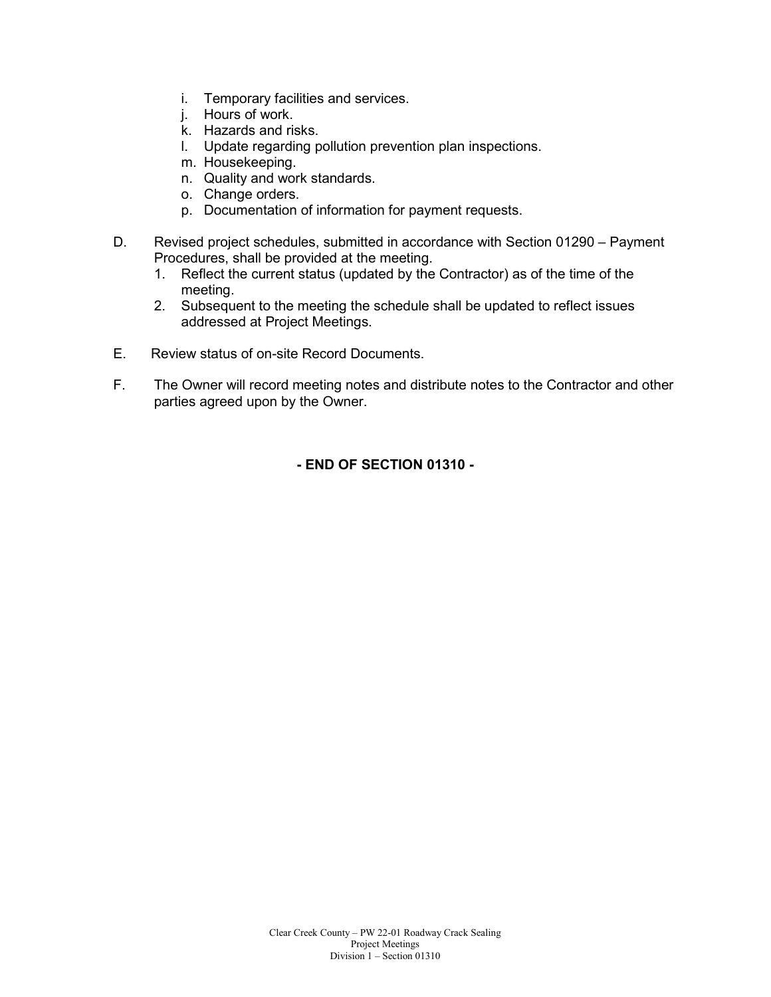- i. Temporary facilities and services.
- j. Hours of work.
- k. Hazards and risks.
- l. Update regarding pollution prevention plan inspections.
- m. Housekeeping.
- n. Quality and work standards.
- o. Change orders.
- p. Documentation of information for payment requests.
- D. Revised project schedules, submitted in accordance with Section 01290 Payment Procedures, shall be provided at the meeting.
	- 1. Reflect the current status (updated by the Contractor) as of the time of the meeting.
	- 2. Subsequent to the meeting the schedule shall be updated to reflect issues addressed at Project Meetings.
- E. Review status of on-site Record Documents.
- F. The Owner will record meeting notes and distribute notes to the Contractor and other parties agreed upon by the Owner.

**- END OF SECTION 01310 -**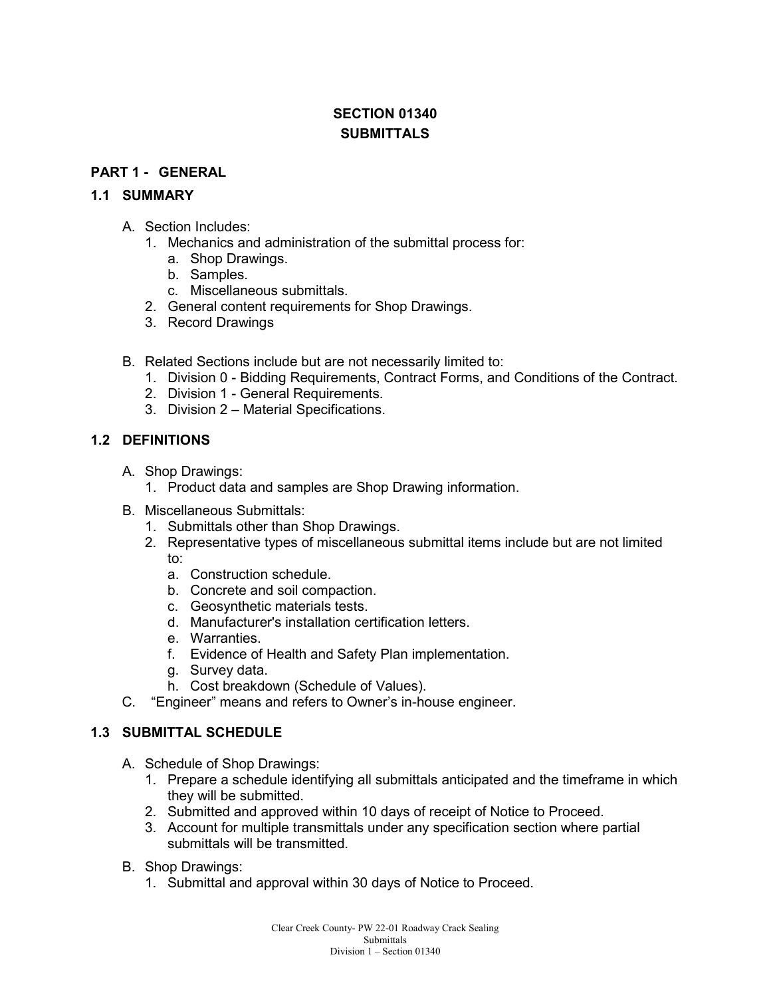## **SECTION 01340 SUBMITTALS**

#### **PART 1 - GENERAL**

#### **1.1 SUMMARY**

- A. Section Includes:
	- 1. Mechanics and administration of the submittal process for:
		- a. Shop Drawings.
		- b. Samples.
		- c. Miscellaneous submittals.
	- 2. General content requirements for Shop Drawings.
	- 3. Record Drawings
- B. Related Sections include but are not necessarily limited to:
	- 1. Division 0 Bidding Requirements, Contract Forms, and Conditions of the Contract.
	- 2. Division 1 General Requirements.
	- 3. Division 2 Material Specifications.

#### **1.2 DEFINITIONS**

- A. Shop Drawings:
	- 1. Product data and samples are Shop Drawing information.
- B. Miscellaneous Submittals:
	- 1. Submittals other than Shop Drawings.
	- 2. Representative types of miscellaneous submittal items include but are not limited to:
		- a. Construction schedule.
		- b. Concrete and soil compaction.
		- c. Geosynthetic materials tests.
		- d. Manufacturer's installation certification letters.
		- e. Warranties.
		- f. Evidence of Health and Safety Plan implementation.
		- g. Survey data.
		- h. Cost breakdown (Schedule of Values).
- C. "Engineer" means and refers to Owner's in-house engineer.

#### **1.3 SUBMITTAL SCHEDULE**

- A. Schedule of Shop Drawings:
	- 1. Prepare a schedule identifying all submittals anticipated and the timeframe in which they will be submitted.
	- 2. Submitted and approved within 10 days of receipt of Notice to Proceed.
	- 3. Account for multiple transmittals under any specification section where partial submittals will be transmitted.
- B. Shop Drawings:
	- 1. Submittal and approval within 30 days of Notice to Proceed.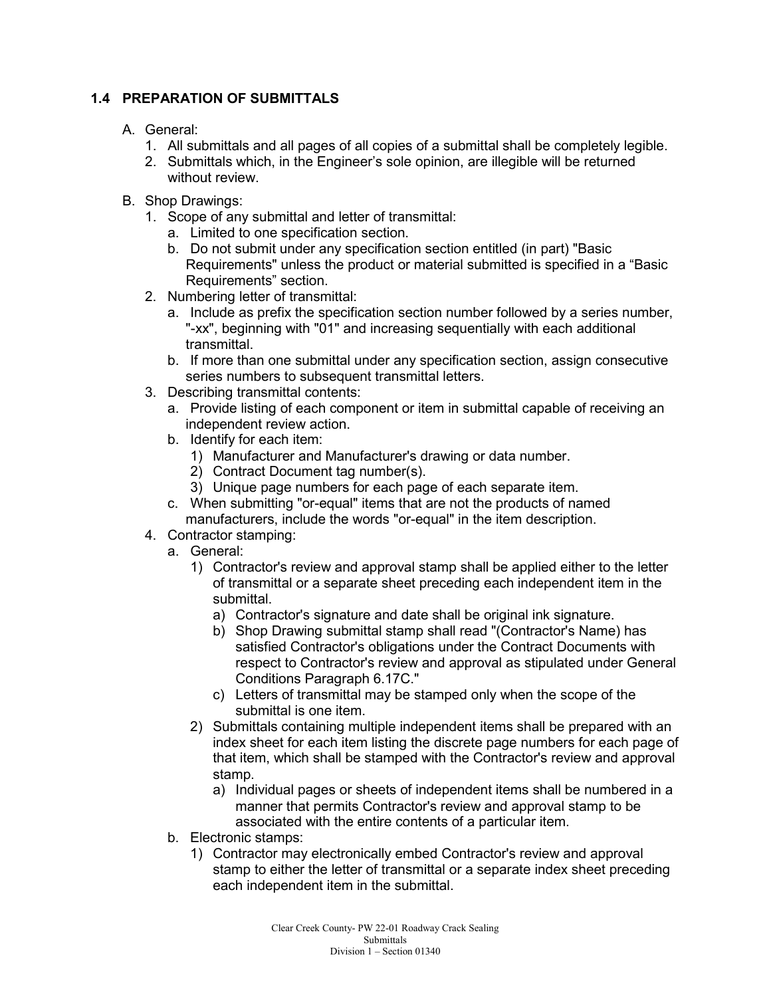## **1.4 PREPARATION OF SUBMITTALS**

#### A. General:

- 1. All submittals and all pages of all copies of a submittal shall be completely legible.
- 2. Submittals which, in the Engineer's sole opinion, are illegible will be returned without review.
- B. Shop Drawings:
	- 1. Scope of any submittal and letter of transmittal:
		- a. Limited to one specification section.
		- b. Do not submit under any specification section entitled (in part) "Basic Requirements" unless the product or material submitted is specified in a "Basic Requirements" section.
	- 2. Numbering letter of transmittal:
		- a. Include as prefix the specification section number followed by a series number, "-xx", beginning with "01" and increasing sequentially with each additional transmittal.
		- b. If more than one submittal under any specification section, assign consecutive series numbers to subsequent transmittal letters.
	- 3. Describing transmittal contents:
		- a. Provide listing of each component or item in submittal capable of receiving an independent review action.
		- b. Identify for each item:
			- 1) Manufacturer and Manufacturer's drawing or data number.
			- 2) Contract Document tag number(s).
			- 3) Unique page numbers for each page of each separate item.
		- c. When submitting "or-equal" items that are not the products of named manufacturers, include the words "or-equal" in the item description.
	- 4. Contractor stamping:
		- a. General:
			- 1) Contractor's review and approval stamp shall be applied either to the letter of transmittal or a separate sheet preceding each independent item in the submittal.
				- a) Contractor's signature and date shall be original ink signature.
				- b) Shop Drawing submittal stamp shall read "(Contractor's Name) has satisfied Contractor's obligations under the Contract Documents with respect to Contractor's review and approval as stipulated under General Conditions Paragraph 6.17C."
				- c) Letters of transmittal may be stamped only when the scope of the submittal is one item.
			- 2) Submittals containing multiple independent items shall be prepared with an index sheet for each item listing the discrete page numbers for each page of that item, which shall be stamped with the Contractor's review and approval stamp.
				- a) Individual pages or sheets of independent items shall be numbered in a manner that permits Contractor's review and approval stamp to be associated with the entire contents of a particular item.
		- b. Electronic stamps:
			- 1) Contractor may electronically embed Contractor's review and approval stamp to either the letter of transmittal or a separate index sheet preceding each independent item in the submittal.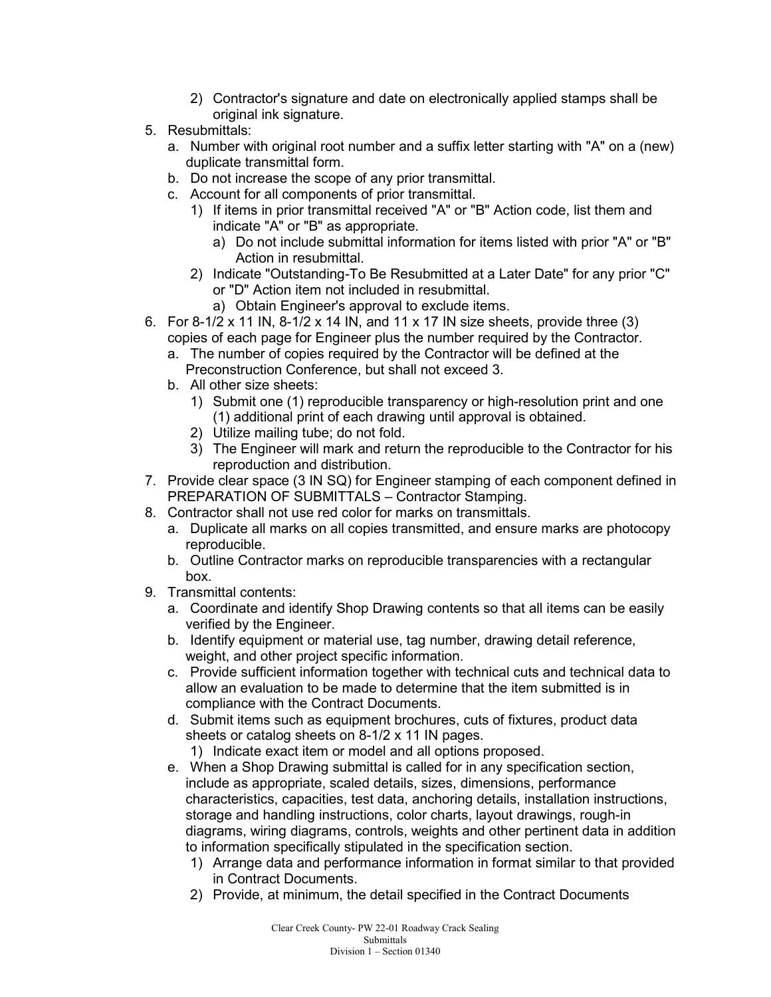- 2) Contractor's signature and date on electronically applied stamps shall be original ink signature.
- 5. Resubmittals:
	- a. Number with original root number and a suffix letter starting with "A" on a (new) duplicate transmittal form.
	- b. Do not increase the scope of any prior transmittal.
	- c. Account for all components of prior transmittal.
		- 1) If items in prior transmittal received "A" or "B" Action code, list them and indicate "A" or "B" as appropriate.
			- a) Do not include submittal information for items listed with prior "A" or "B" Action in resubmittal.
		- 2) Indicate "Outstanding-To Be Resubmitted at a Later Date" for any prior "C" or "D" Action item not included in resubmittal.
			- a) Obtain Engineer's approval to exclude items.
- 6. For 8-1/2 x 11 IN, 8-1/2 x 14 IN, and 11 x 17 IN size sheets, provide three (3) copies of each page for Engineer plus the number required by the Contractor.
	- a. The number of copies required by the Contractor will be defined at the Preconstruction Conference, but shall not exceed 3.
	- b. All other size sheets:
		- 1) Submit one (1) reproducible transparency or high-resolution print and one (1) additional print of each drawing until approval is obtained.
		- 2) Utilize mailing tube; do not fold.
		- 3) The Engineer will mark and return the reproducible to the Contractor for his reproduction and distribution.
- 7. Provide clear space (3 IN SQ) for Engineer stamping of each component defined in PREPARATION OF SUBMITTALS – Contractor Stamping.
- 8. Contractor shall not use red color for marks on transmittals.
	- a. Duplicate all marks on all copies transmitted, and ensure marks are photocopy reproducible.
	- b. Outline Contractor marks on reproducible transparencies with a rectangular box.
- 9. Transmittal contents:
	- a. Coordinate and identify Shop Drawing contents so that all items can be easily verified by the Engineer.
	- b. Identify equipment or material use, tag number, drawing detail reference, weight, and other project specific information.
	- c. Provide sufficient information together with technical cuts and technical data to allow an evaluation to be made to determine that the item submitted is in compliance with the Contract Documents.
	- d. Submit items such as equipment brochures, cuts of fixtures, product data sheets or catalog sheets on 8-1/2 x 11 IN pages.
		- 1) Indicate exact item or model and all options proposed.
	- e. When a Shop Drawing submittal is called for in any specification section, include as appropriate, scaled details, sizes, dimensions, performance characteristics, capacities, test data, anchoring details, installation instructions, storage and handling instructions, color charts, layout drawings, rough-in diagrams, wiring diagrams, controls, weights and other pertinent data in addition to information specifically stipulated in the specification section.
		- 1) Arrange data and performance information in format similar to that provided in Contract Documents.
		- 2) Provide, at minimum, the detail specified in the Contract Documents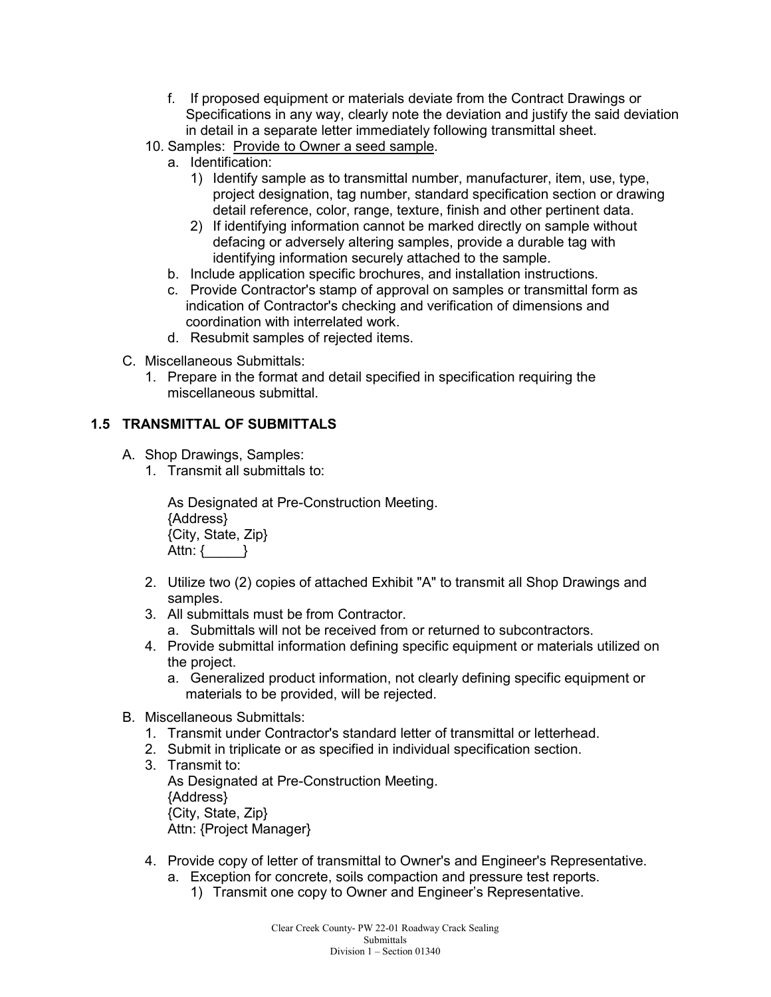- f. If proposed equipment or materials deviate from the Contract Drawings or Specifications in any way, clearly note the deviation and justify the said deviation in detail in a separate letter immediately following transmittal sheet.
- 10. Samples: Provide to Owner a seed sample.
	- a. Identification:
		- 1) Identify sample as to transmittal number, manufacturer, item, use, type, project designation, tag number, standard specification section or drawing detail reference, color, range, texture, finish and other pertinent data.
		- 2) If identifying information cannot be marked directly on sample without defacing or adversely altering samples, provide a durable tag with identifying information securely attached to the sample.
	- b. Include application specific brochures, and installation instructions.
	- c. Provide Contractor's stamp of approval on samples or transmittal form as indication of Contractor's checking and verification of dimensions and coordination with interrelated work.
	- d. Resubmit samples of rejected items.
- C. Miscellaneous Submittals:
	- 1. Prepare in the format and detail specified in specification requiring the miscellaneous submittal.

#### **1.5 TRANSMITTAL OF SUBMITTALS**

- A. Shop Drawings, Samples:
	- 1. Transmit all submittals to:

As Designated at Pre-Construction Meeting. {Address} {City, State, Zip} Attn: { \_\_\_\_\_\_ }

- 2. Utilize two (2) copies of attached Exhibit "A" to transmit all Shop Drawings and samples.
- 3. All submittals must be from Contractor.
	- a. Submittals will not be received from or returned to subcontractors.
- 4. Provide submittal information defining specific equipment or materials utilized on the project.
	- a. Generalized product information, not clearly defining specific equipment or materials to be provided, will be rejected.
- B. Miscellaneous Submittals:
	- 1. Transmit under Contractor's standard letter of transmittal or letterhead.
	- 2. Submit in triplicate or as specified in individual specification section.
	- 3. Transmit to: As Designated at Pre-Construction Meeting. {Address} {City, State, Zip} Attn: {Project Manager}
	- 4. Provide copy of letter of transmittal to Owner's and Engineer's Representative.
		- a. Exception for concrete, soils compaction and pressure test reports.
			- 1) Transmit one copy to Owner and Engineer's Representative.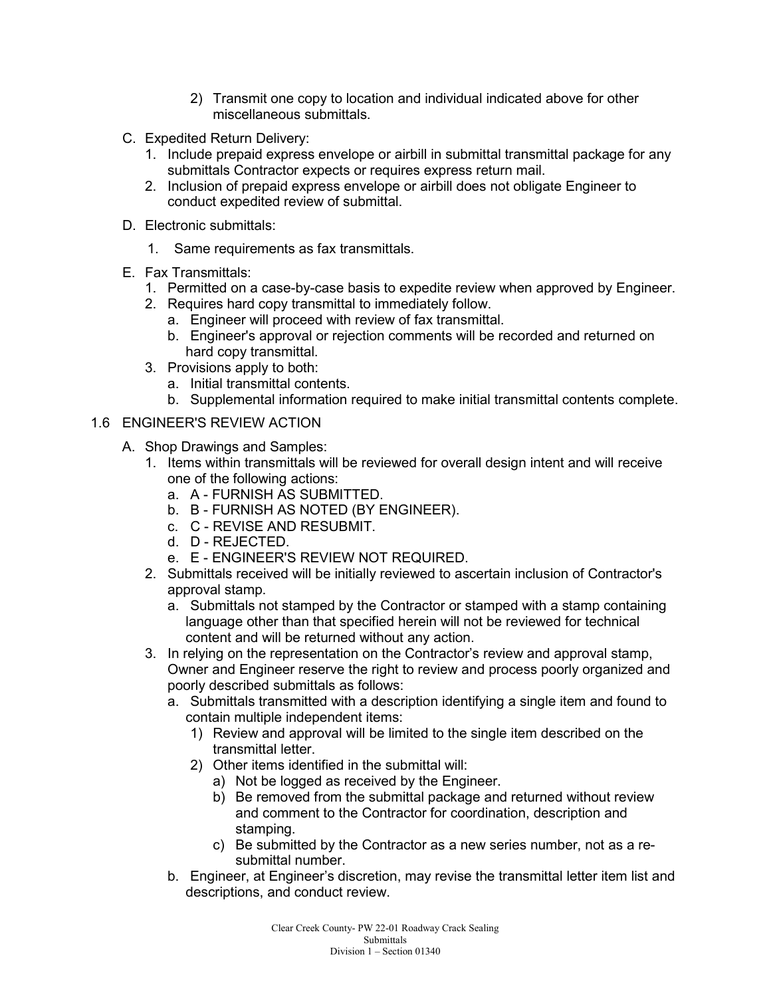- 2) Transmit one copy to location and individual indicated above for other miscellaneous submittals.
- C. Expedited Return Delivery:
	- 1. Include prepaid express envelope or airbill in submittal transmittal package for any submittals Contractor expects or requires express return mail.
	- 2. Inclusion of prepaid express envelope or airbill does not obligate Engineer to conduct expedited review of submittal.
- D. Electronic submittals:
	- 1. Same requirements as fax transmittals.
- E. Fax Transmittals:
	- 1. Permitted on a case-by-case basis to expedite review when approved by Engineer.
	- 2. Requires hard copy transmittal to immediately follow.
		- a. Engineer will proceed with review of fax transmittal.
		- b. Engineer's approval or rejection comments will be recorded and returned on hard copy transmittal.
	- 3. Provisions apply to both:
		- a. Initial transmittal contents.
		- b. Supplemental information required to make initial transmittal contents complete.

#### 1.6 ENGINEER'S REVIEW ACTION

- A. Shop Drawings and Samples:
	- 1. Items within transmittals will be reviewed for overall design intent and will receive one of the following actions:
		- a. A FURNISH AS SUBMITTED.
		- b. B FURNISH AS NOTED (BY ENGINEER).
		- c. C REVISE AND RESUBMIT.
		- d. D REJECTED.
		- e. E ENGINEER'S REVIEW NOT REQUIRED.
	- 2. Submittals received will be initially reviewed to ascertain inclusion of Contractor's approval stamp.
		- a. Submittals not stamped by the Contractor or stamped with a stamp containing language other than that specified herein will not be reviewed for technical content and will be returned without any action.
	- 3. In relying on the representation on the Contractor's review and approval stamp, Owner and Engineer reserve the right to review and process poorly organized and poorly described submittals as follows:
		- a. Submittals transmitted with a description identifying a single item and found to contain multiple independent items:
			- 1) Review and approval will be limited to the single item described on the transmittal letter.
			- 2) Other items identified in the submittal will:
				- a) Not be logged as received by the Engineer.
				- b) Be removed from the submittal package and returned without review and comment to the Contractor for coordination, description and stamping.
				- c) Be submitted by the Contractor as a new series number, not as a resubmittal number.
		- b. Engineer, at Engineer's discretion, may revise the transmittal letter item list and descriptions, and conduct review.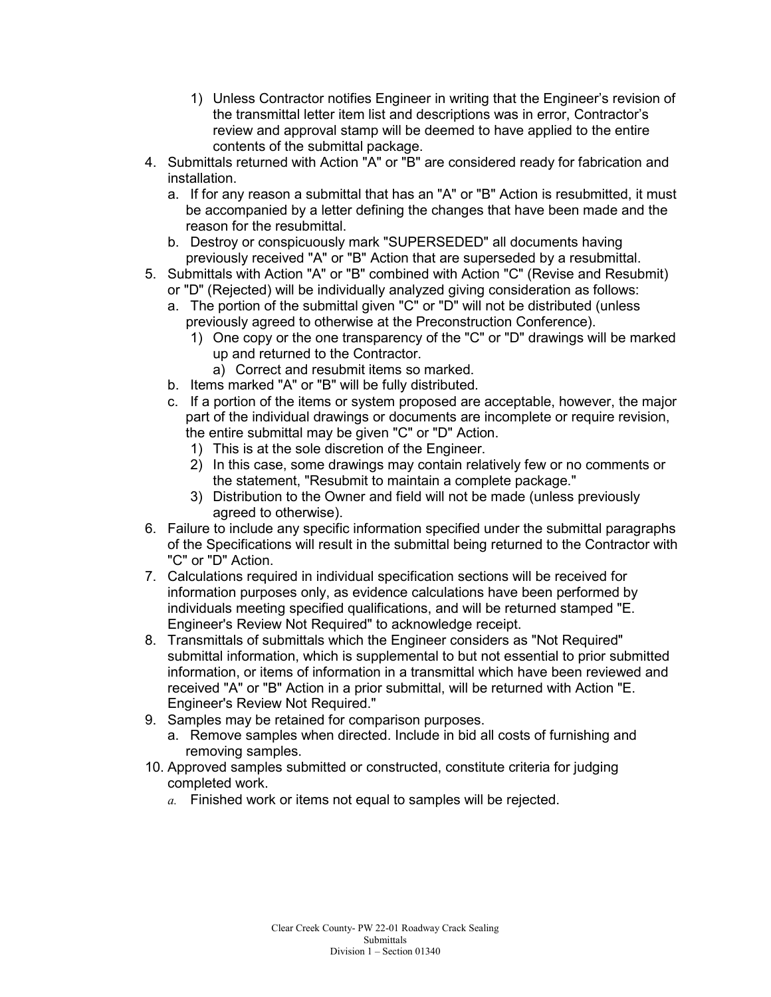- 1) Unless Contractor notifies Engineer in writing that the Engineer's revision of the transmittal letter item list and descriptions was in error, Contractor's review and approval stamp will be deemed to have applied to the entire contents of the submittal package.
- 4. Submittals returned with Action "A" or "B" are considered ready for fabrication and installation.
	- a. If for any reason a submittal that has an "A" or "B" Action is resubmitted, it must be accompanied by a letter defining the changes that have been made and the reason for the resubmittal.
	- b. Destroy or conspicuously mark "SUPERSEDED" all documents having previously received "A" or "B" Action that are superseded by a resubmittal.
- 5. Submittals with Action "A" or "B" combined with Action "C" (Revise and Resubmit) or "D" (Rejected) will be individually analyzed giving consideration as follows:
	- a. The portion of the submittal given "C" or "D" will not be distributed (unless previously agreed to otherwise at the Preconstruction Conference).
		- 1) One copy or the one transparency of the "C" or "D" drawings will be marked up and returned to the Contractor.
			- a) Correct and resubmit items so marked.
	- b. Items marked "A" or "B" will be fully distributed.
	- c. If a portion of the items or system proposed are acceptable, however, the major part of the individual drawings or documents are incomplete or require revision, the entire submittal may be given "C" or "D" Action.
		- 1) This is at the sole discretion of the Engineer.
		- 2) In this case, some drawings may contain relatively few or no comments or the statement, "Resubmit to maintain a complete package."
		- 3) Distribution to the Owner and field will not be made (unless previously agreed to otherwise).
- 6. Failure to include any specific information specified under the submittal paragraphs of the Specifications will result in the submittal being returned to the Contractor with "C" or "D" Action.
- 7. Calculations required in individual specification sections will be received for information purposes only, as evidence calculations have been performed by individuals meeting specified qualifications, and will be returned stamped "E. Engineer's Review Not Required" to acknowledge receipt.
- 8. Transmittals of submittals which the Engineer considers as "Not Required" submittal information, which is supplemental to but not essential to prior submitted information, or items of information in a transmittal which have been reviewed and received "A" or "B" Action in a prior submittal, will be returned with Action "E. Engineer's Review Not Required."
- 9. Samples may be retained for comparison purposes.
	- a. Remove samples when directed. Include in bid all costs of furnishing and removing samples.
- 10. Approved samples submitted or constructed, constitute criteria for judging completed work.
	- *a.* Finished work or items not equal to samples will be rejected.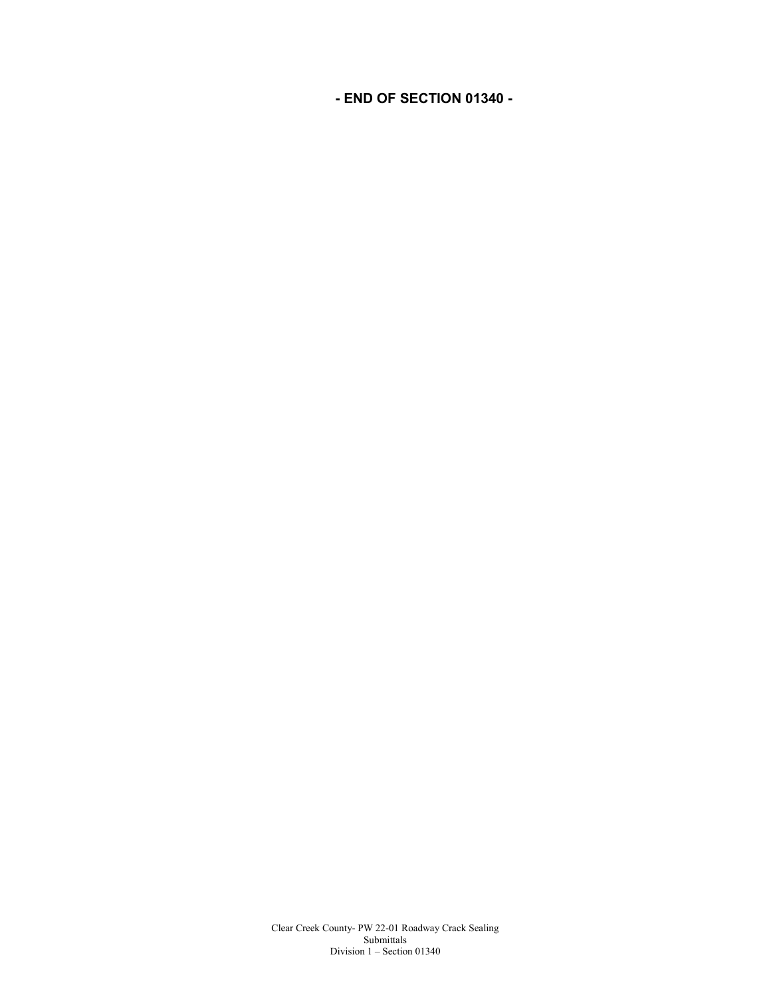**- END OF SECTION 01340 -**

Clear Creek County- PW 22-01 Roadway Crack Sealing Submittals Division 1 – Section 01340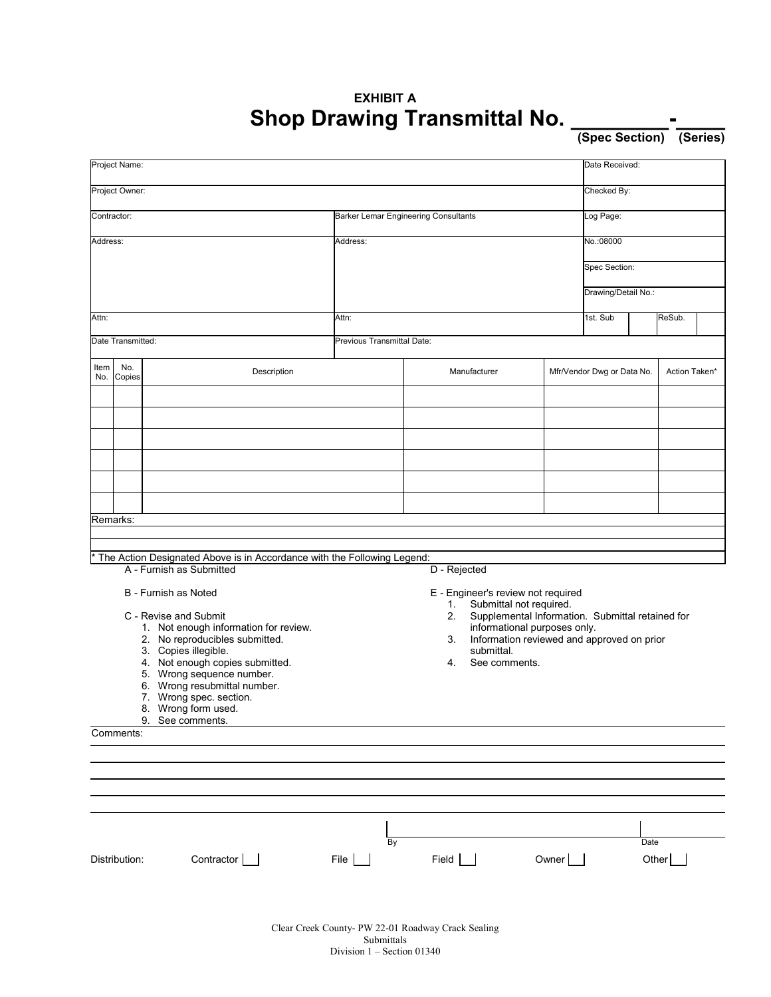## **EXHIBIT A Shop Drawing Transmittal No. \_\_\_\_\_\_\_\_-\_\_\_\_**

**(Spec Section) (Series)**

| Project Name:                                                             |                   |                                                |                                                                                         |    |       |                            |             | Date Received:      |               |  |  |
|---------------------------------------------------------------------------|-------------------|------------------------------------------------|-----------------------------------------------------------------------------------------|----|-------|----------------------------|-------------|---------------------|---------------|--|--|
| Project Owner:                                                            |                   |                                                |                                                                                         |    |       |                            | Checked By: |                     |               |  |  |
| Contractor:                                                               |                   |                                                | Barker Lemar Engineering Consultants                                                    |    |       |                            |             | Log Page:           |               |  |  |
| Address:                                                                  |                   |                                                | Address:                                                                                |    |       |                            |             | No.:08000           |               |  |  |
|                                                                           |                   |                                                |                                                                                         |    |       |                            |             | Spec Section:       |               |  |  |
|                                                                           |                   |                                                |                                                                                         |    |       |                            |             | Drawing/Detail No.: |               |  |  |
| Attn:                                                                     |                   |                                                | Attn:                                                                                   |    |       |                            |             | 1st. Sub<br>ReSub.  |               |  |  |
|                                                                           | Date Transmitted: |                                                | Previous Transmittal Date:                                                              |    |       |                            |             |                     |               |  |  |
|                                                                           |                   |                                                |                                                                                         |    |       |                            |             |                     |               |  |  |
| Item<br>No.                                                               | No.<br>Copies     | Description                                    | Manufacturer                                                                            |    |       | Mfr/Vendor Dwg or Data No. |             | Action Taken*       |               |  |  |
|                                                                           |                   |                                                |                                                                                         |    |       |                            |             |                     |               |  |  |
|                                                                           |                   |                                                |                                                                                         |    |       |                            |             |                     |               |  |  |
|                                                                           |                   |                                                |                                                                                         |    |       |                            |             |                     |               |  |  |
|                                                                           |                   |                                                |                                                                                         |    |       |                            |             |                     |               |  |  |
|                                                                           |                   |                                                |                                                                                         |    |       |                            |             |                     |               |  |  |
|                                                                           |                   |                                                |                                                                                         |    |       |                            |             |                     |               |  |  |
| Remarks:                                                                  |                   |                                                |                                                                                         |    |       |                            |             |                     |               |  |  |
| * The Action Designated Above is in Accordance with the Following Legend: |                   |                                                |                                                                                         |    |       |                            |             |                     |               |  |  |
| A - Furnish as Submitted<br>D - Rejected                                  |                   |                                                |                                                                                         |    |       |                            |             |                     |               |  |  |
|                                                                           |                   | B - Furnish as Noted                           | E - Engineer's review not required                                                      |    |       |                            |             |                     |               |  |  |
|                                                                           |                   | C - Revise and Submit                          | Submittal not required.<br>1.<br>Supplemental Information. Submittal retained for<br>2. |    |       |                            |             |                     |               |  |  |
| 1. Not enough information for review.                                     |                   |                                                | informational purposes only.                                                            |    |       |                            |             |                     |               |  |  |
| 2. No reproducibles submitted.<br>3. Copies illegible.                    |                   |                                                | Information reviewed and approved on prior<br>3.<br>submittal.                          |    |       |                            |             |                     |               |  |  |
| 4. Not enough copies submitted.                                           |                   |                                                | 4.<br>See comments.                                                                     |    |       |                            |             |                     |               |  |  |
|                                                                           |                   | 5. Wrong sequence number.                      |                                                                                         |    |       |                            |             |                     |               |  |  |
| 6. Wrong resubmittal number.                                              |                   |                                                |                                                                                         |    |       |                            |             |                     |               |  |  |
|                                                                           |                   | 7. Wrong spec. section.<br>8. Wrong form used. |                                                                                         |    |       |                            |             |                     |               |  |  |
|                                                                           |                   | 9. See comments.                               |                                                                                         |    |       |                            |             |                     |               |  |  |
|                                                                           | Comments:         |                                                |                                                                                         |    |       |                            |             |                     |               |  |  |
|                                                                           |                   |                                                |                                                                                         |    |       |                            |             |                     |               |  |  |
|                                                                           |                   |                                                |                                                                                         |    |       |                            |             |                     |               |  |  |
|                                                                           |                   |                                                |                                                                                         |    |       |                            |             |                     |               |  |  |
|                                                                           |                   |                                                |                                                                                         |    |       |                            |             |                     |               |  |  |
|                                                                           | Distribution:     | Contractor                                     | File $\vert$                                                                            | By | Field |                            | Owner       |                     | Date<br>Other |  |  |
|                                                                           |                   |                                                |                                                                                         |    |       |                            |             |                     |               |  |  |
|                                                                           |                   |                                                |                                                                                         |    |       |                            |             |                     |               |  |  |

Clear Creek County- PW 22-01 Roadway Crack Sealing Submittals Division 1 – Section 01340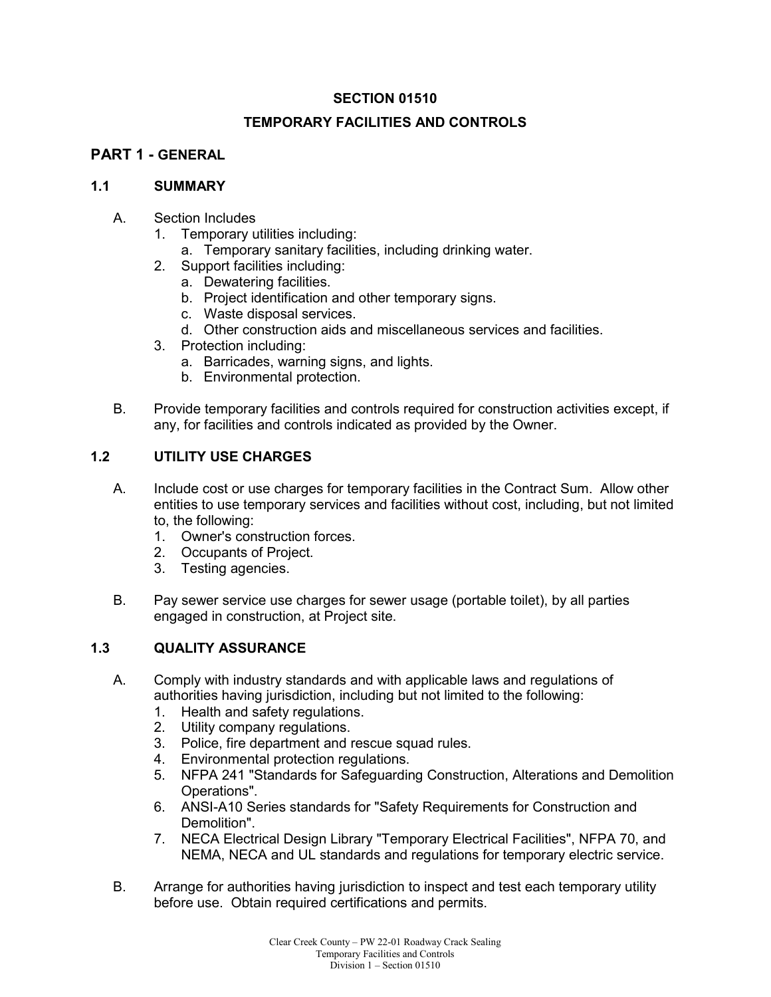#### **SECTION 01510**

#### **TEMPORARY FACILITIES AND CONTROLS**

#### **PART 1 - GENERAL**

#### **1.1 SUMMARY**

- A. Section Includes
	- 1. Temporary utilities including:
		- a. Temporary sanitary facilities, including drinking water.
	- 2. Support facilities including:
		- a. Dewatering facilities.
		- b. Project identification and other temporary signs.
		- c. Waste disposal services.
		- d. Other construction aids and miscellaneous services and facilities.
	- 3. Protection including:
		- a. Barricades, warning signs, and lights.
		- b. Environmental protection.
- B. Provide temporary facilities and controls required for construction activities except, if any, for facilities and controls indicated as provided by the Owner.

#### **1.2 UTILITY USE CHARGES**

- A. Include cost or use charges for temporary facilities in the Contract Sum. Allow other entities to use temporary services and facilities without cost, including, but not limited to, the following:
	- 1. Owner's construction forces.
	- 2. Occupants of Project.
	- 3. Testing agencies.
- B. Pay sewer service use charges for sewer usage (portable toilet), by all parties engaged in construction, at Project site.

#### **1.3 QUALITY ASSURANCE**

- A. Comply with industry standards and with applicable laws and regulations of authorities having jurisdiction, including but not limited to the following:
	- 1. Health and safety regulations.
	- 2. Utility company regulations.
	- 3. Police, fire department and rescue squad rules.
	- 4. Environmental protection regulations.
	- 5. NFPA 241 "Standards for Safeguarding Construction, Alterations and Demolition Operations".
	- 6. ANSI-A10 Series standards for "Safety Requirements for Construction and Demolition".
	- 7. NECA Electrical Design Library "Temporary Electrical Facilities", NFPA 70, and NEMA, NECA and UL standards and regulations for temporary electric service.
- B. Arrange for authorities having jurisdiction to inspect and test each temporary utility before use. Obtain required certifications and permits.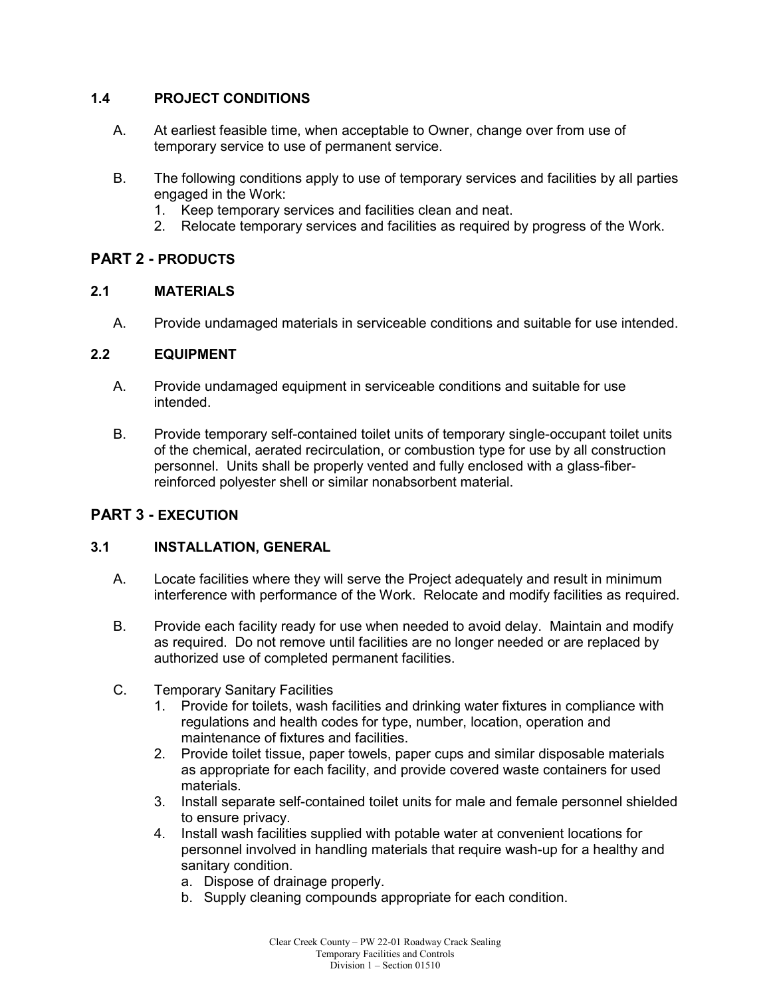#### **1.4 PROJECT CONDITIONS**

- A. At earliest feasible time, when acceptable to Owner, change over from use of temporary service to use of permanent service.
- B. The following conditions apply to use of temporary services and facilities by all parties engaged in the Work:
	- 1. Keep temporary services and facilities clean and neat.
	- 2. Relocate temporary services and facilities as required by progress of the Work.

## **PART 2 - PRODUCTS**

#### **2.1 MATERIALS**

A. Provide undamaged materials in serviceable conditions and suitable for use intended.

#### **2.2 EQUIPMENT**

- A. Provide undamaged equipment in serviceable conditions and suitable for use intended.
- B. Provide temporary self-contained toilet units of temporary single-occupant toilet units of the chemical, aerated recirculation, or combustion type for use by all construction personnel. Units shall be properly vented and fully enclosed with a glass-fiberreinforced polyester shell or similar nonabsorbent material.

## **PART 3 - EXECUTION**

## **3.1 INSTALLATION, GENERAL**

- A. Locate facilities where they will serve the Project adequately and result in minimum interference with performance of the Work. Relocate and modify facilities as required.
- B. Provide each facility ready for use when needed to avoid delay. Maintain and modify as required. Do not remove until facilities are no longer needed or are replaced by authorized use of completed permanent facilities.
- C. Temporary Sanitary Facilities
	- 1. Provide for toilets, wash facilities and drinking water fixtures in compliance with regulations and health codes for type, number, location, operation and maintenance of fixtures and facilities.
	- 2. Provide toilet tissue, paper towels, paper cups and similar disposable materials as appropriate for each facility, and provide covered waste containers for used materials.
	- 3. Install separate self-contained toilet units for male and female personnel shielded to ensure privacy.
	- 4. Install wash facilities supplied with potable water at convenient locations for personnel involved in handling materials that require wash-up for a healthy and sanitary condition.
		- a. Dispose of drainage properly.
		- b. Supply cleaning compounds appropriate for each condition.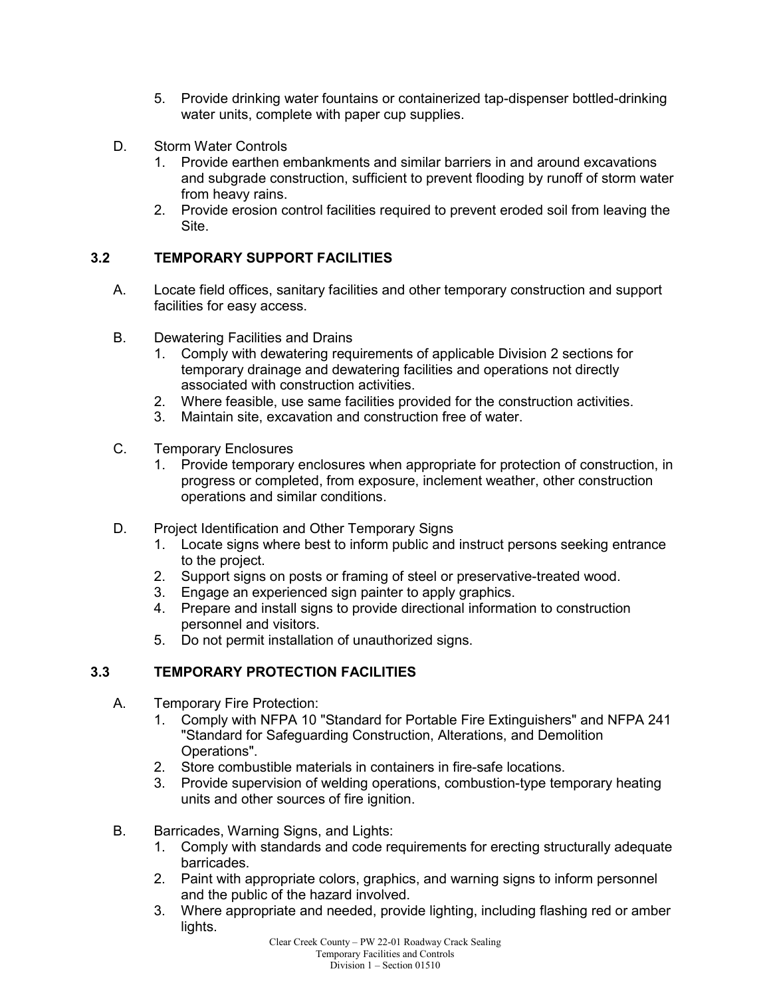- 5. Provide drinking water fountains or containerized tap-dispenser bottled-drinking water units, complete with paper cup supplies.
- D. Storm Water Controls
	- 1. Provide earthen embankments and similar barriers in and around excavations and subgrade construction, sufficient to prevent flooding by runoff of storm water from heavy rains.
	- 2. Provide erosion control facilities required to prevent eroded soil from leaving the Site.

## **3.2 TEMPORARY SUPPORT FACILITIES**

- A. Locate field offices, sanitary facilities and other temporary construction and support facilities for easy access.
- B. Dewatering Facilities and Drains<br>1. Comply with dewatering regu
	- 1. Comply with dewatering requirements of applicable Division 2 sections for temporary drainage and dewatering facilities and operations not directly associated with construction activities.
	- 2. Where feasible, use same facilities provided for the construction activities.
	- 3. Maintain site, excavation and construction free of water.
- C. Temporary Enclosures
	- 1. Provide temporary enclosures when appropriate for protection of construction, in progress or completed, from exposure, inclement weather, other construction operations and similar conditions.
- D. Project Identification and Other Temporary Signs
	- 1. Locate signs where best to inform public and instruct persons seeking entrance to the project.
	- 2. Support signs on posts or framing of steel or preservative-treated wood.
	- 3. Engage an experienced sign painter to apply graphics.
	- 4. Prepare and install signs to provide directional information to construction personnel and visitors.
	- 5. Do not permit installation of unauthorized signs.

## **3.3 TEMPORARY PROTECTION FACILITIES**

- A. Temporary Fire Protection:
	- 1. Comply with NFPA 10 "Standard for Portable Fire Extinguishers" and NFPA 241 "Standard for Safeguarding Construction, Alterations, and Demolition Operations".
	- 2. Store combustible materials in containers in fire-safe locations.
	- 3. Provide supervision of welding operations, combustion-type temporary heating units and other sources of fire ignition.
- B. Barricades, Warning Signs, and Lights:
	- 1. Comply with standards and code requirements for erecting structurally adequate barricades.
	- 2. Paint with appropriate colors, graphics, and warning signs to inform personnel and the public of the hazard involved.
	- 3. Where appropriate and needed, provide lighting, including flashing red or amber lights.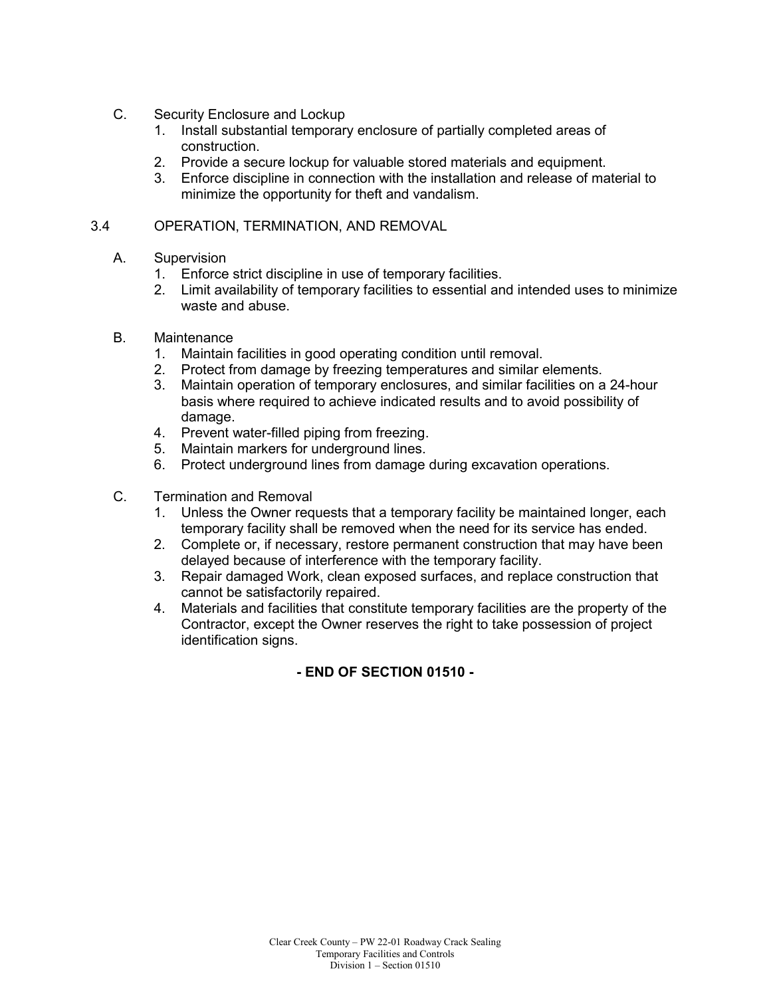- C. Security Enclosure and Lockup
	- 1. Install substantial temporary enclosure of partially completed areas of construction.
	- 2. Provide a secure lockup for valuable stored materials and equipment.
	- 3. Enforce discipline in connection with the installation and release of material to minimize the opportunity for theft and vandalism.

#### 3.4 OPERATION, TERMINATION, AND REMOVAL

- A. Supervision
	- 1. Enforce strict discipline in use of temporary facilities.
	- 2. Limit availability of temporary facilities to essential and intended uses to minimize waste and abuse.
- B. Maintenance
	- 1. Maintain facilities in good operating condition until removal.
	- 2. Protect from damage by freezing temperatures and similar elements.
	- 3. Maintain operation of temporary enclosures, and similar facilities on a 24-hour basis where required to achieve indicated results and to avoid possibility of damage.
	- 4. Prevent water-filled piping from freezing.
	- 5. Maintain markers for underground lines.
	- 6. Protect underground lines from damage during excavation operations.
- C. Termination and Removal
	- 1. Unless the Owner requests that a temporary facility be maintained longer, each temporary facility shall be removed when the need for its service has ended.
	- 2. Complete or, if necessary, restore permanent construction that may have been delayed because of interference with the temporary facility.
	- 3. Repair damaged Work, clean exposed surfaces, and replace construction that cannot be satisfactorily repaired.
	- 4. Materials and facilities that constitute temporary facilities are the property of the Contractor, except the Owner reserves the right to take possession of project identification signs.

**- END OF SECTION 01510 -**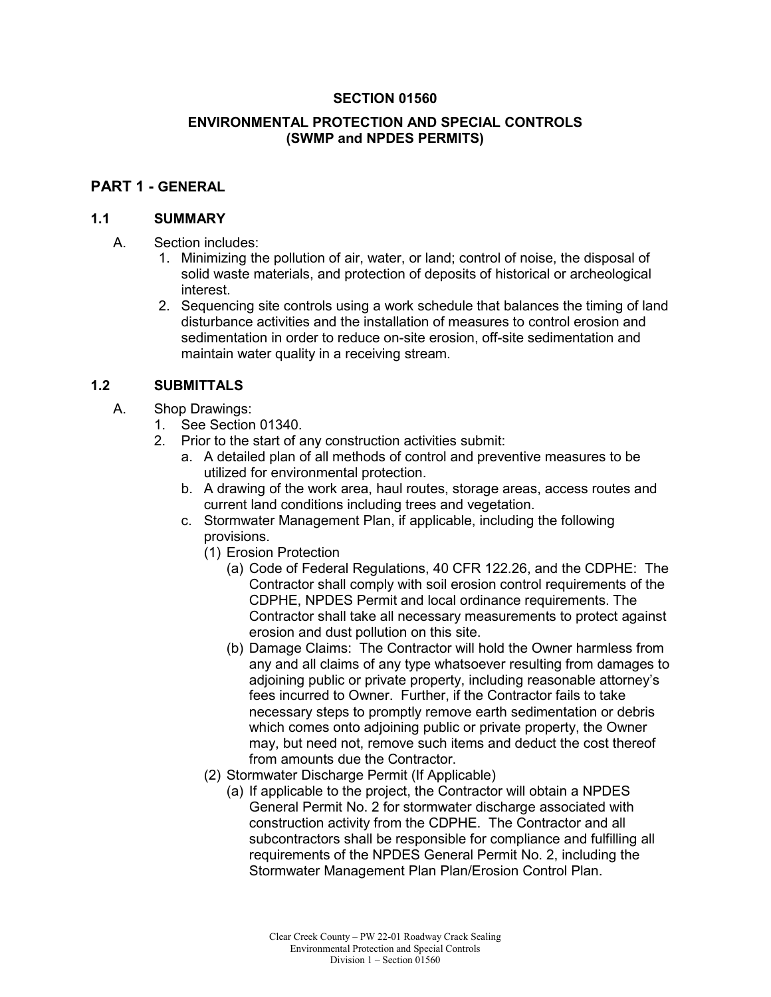#### **SECTION 01560**

#### **ENVIRONMENTAL PROTECTION AND SPECIAL CONTROLS (SWMP and NPDES PERMITS)**

#### **PART 1 - GENERAL**

#### **1.1 SUMMARY**

- A. Section includes:
	- 1. Minimizing the pollution of air, water, or land; control of noise, the disposal of solid waste materials, and protection of deposits of historical or archeological interest.
	- 2. Sequencing site controls using a work schedule that balances the timing of land disturbance activities and the installation of measures to control erosion and sedimentation in order to reduce on-site erosion, off-site sedimentation and maintain water quality in a receiving stream.

#### **1.2 SUBMITTALS**

- A. Shop Drawings:
	- 1. See Section 01340.
	- 2. Prior to the start of any construction activities submit:
		- a. A detailed plan of all methods of control and preventive measures to be utilized for environmental protection.
		- b. A drawing of the work area, haul routes, storage areas, access routes and current land conditions including trees and vegetation.
		- c. Stormwater Management Plan, if applicable, including the following provisions.
			- (1) Erosion Protection
				- (a) Code of Federal Regulations, 40 CFR 122.26, and the CDPHE: The Contractor shall comply with soil erosion control requirements of the CDPHE, NPDES Permit and local ordinance requirements. The Contractor shall take all necessary measurements to protect against erosion and dust pollution on this site.
				- (b) Damage Claims: The Contractor will hold the Owner harmless from any and all claims of any type whatsoever resulting from damages to adjoining public or private property, including reasonable attorney's fees incurred to Owner. Further, if the Contractor fails to take necessary steps to promptly remove earth sedimentation or debris which comes onto adjoining public or private property, the Owner may, but need not, remove such items and deduct the cost thereof from amounts due the Contractor.
			- (2) Stormwater Discharge Permit (If Applicable)
				- (a) If applicable to the project, the Contractor will obtain a NPDES General Permit No. 2 for stormwater discharge associated with construction activity from the CDPHE. The Contractor and all subcontractors shall be responsible for compliance and fulfilling all requirements of the NPDES General Permit No. 2, including the Stormwater Management Plan Plan/Erosion Control Plan.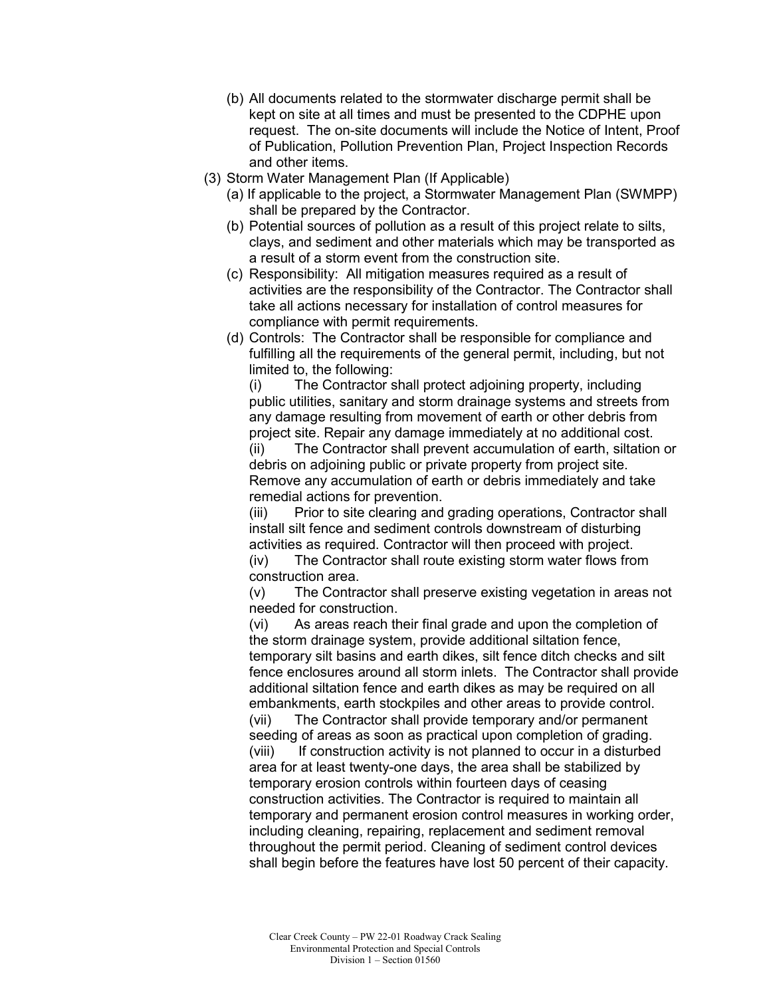- (b) All documents related to the stormwater discharge permit shall be kept on site at all times and must be presented to the CDPHE upon request. The on-site documents will include the Notice of Intent, Proof of Publication, Pollution Prevention Plan, Project Inspection Records and other items.
- (3) Storm Water Management Plan (If Applicable)
	- (a) If applicable to the project, a Stormwater Management Plan (SWMPP) shall be prepared by the Contractor.
	- (b) Potential sources of pollution as a result of this project relate to silts, clays, and sediment and other materials which may be transported as a result of a storm event from the construction site.
	- (c) Responsibility: All mitigation measures required as a result of activities are the responsibility of the Contractor. The Contractor shall take all actions necessary for installation of control measures for compliance with permit requirements.
	- (d) Controls: The Contractor shall be responsible for compliance and fulfilling all the requirements of the general permit, including, but not limited to, the following:

(i) The Contractor shall protect adjoining property, including public utilities, sanitary and storm drainage systems and streets from any damage resulting from movement of earth or other debris from project site. Repair any damage immediately at no additional cost.

(ii) The Contractor shall prevent accumulation of earth, siltation or debris on adjoining public or private property from project site. Remove any accumulation of earth or debris immediately and take remedial actions for prevention.

(iii) Prior to site clearing and grading operations, Contractor shall install silt fence and sediment controls downstream of disturbing activities as required. Contractor will then proceed with project. (iv) The Contractor shall route existing storm water flows from construction area.

(v) The Contractor shall preserve existing vegetation in areas not needed for construction.

(vi) As areas reach their final grade and upon the completion of the storm drainage system, provide additional siltation fence, temporary silt basins and earth dikes, silt fence ditch checks and silt fence enclosures around all storm inlets. The Contractor shall provide additional siltation fence and earth dikes as may be required on all embankments, earth stockpiles and other areas to provide control. (vii) The Contractor shall provide temporary and/or permanent seeding of areas as soon as practical upon completion of grading. (viii) If construction activity is not planned to occur in a disturbed area for at least twenty-one days, the area shall be stabilized by temporary erosion controls within fourteen days of ceasing construction activities. The Contractor is required to maintain all temporary and permanent erosion control measures in working order, including cleaning, repairing, replacement and sediment removal throughout the permit period. Cleaning of sediment control devices shall begin before the features have lost 50 percent of their capacity.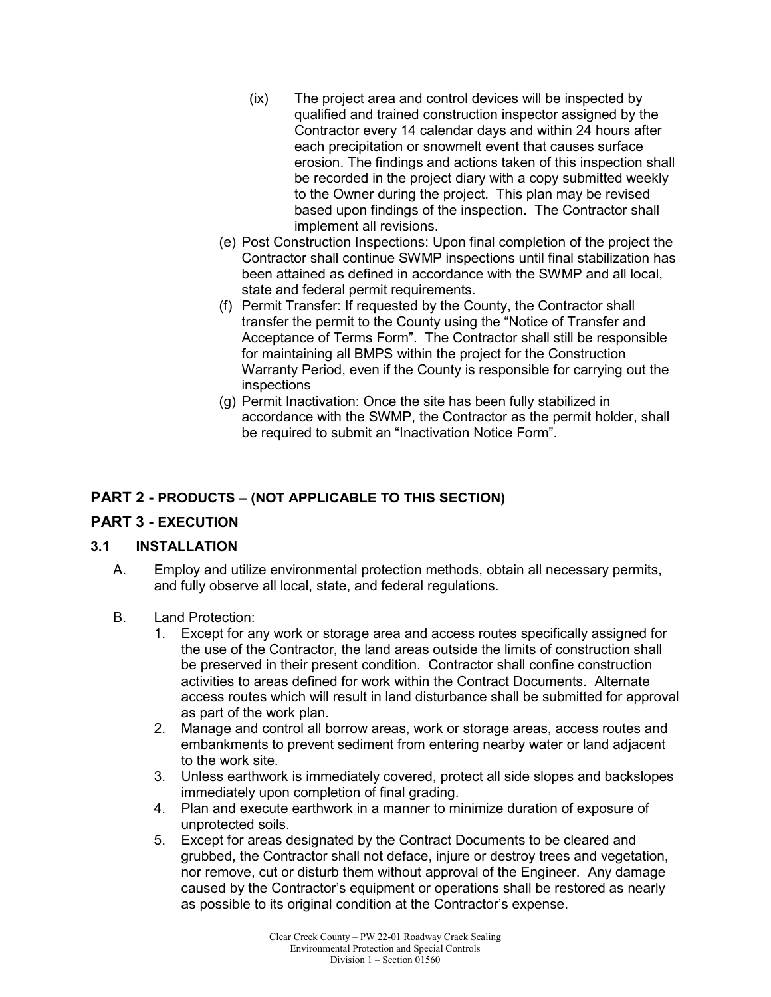- (ix) The project area and control devices will be inspected by qualified and trained construction inspector assigned by the Contractor every 14 calendar days and within 24 hours after each precipitation or snowmelt event that causes surface erosion. The findings and actions taken of this inspection shall be recorded in the project diary with a copy submitted weekly to the Owner during the project. This plan may be revised based upon findings of the inspection. The Contractor shall implement all revisions.
- (e) Post Construction Inspections: Upon final completion of the project the Contractor shall continue SWMP inspections until final stabilization has been attained as defined in accordance with the SWMP and all local, state and federal permit requirements.
- (f) Permit Transfer: If requested by the County, the Contractor shall transfer the permit to the County using the "Notice of Transfer and Acceptance of Terms Form". The Contractor shall still be responsible for maintaining all BMPS within the project for the Construction Warranty Period, even if the County is responsible for carrying out the inspections
- (g) Permit Inactivation: Once the site has been fully stabilized in accordance with the SWMP, the Contractor as the permit holder, shall be required to submit an "Inactivation Notice Form".

## **PART 2 - PRODUCTS – (NOT APPLICABLE TO THIS SECTION)**

## **PART 3 - EXECUTION**

## **3.1 INSTALLATION**

- A. Employ and utilize environmental protection methods, obtain all necessary permits, and fully observe all local, state, and federal regulations.
- B. Land Protection:
	- 1. Except for any work or storage area and access routes specifically assigned for the use of the Contractor, the land areas outside the limits of construction shall be preserved in their present condition. Contractor shall confine construction activities to areas defined for work within the Contract Documents. Alternate access routes which will result in land disturbance shall be submitted for approval as part of the work plan.
	- 2. Manage and control all borrow areas, work or storage areas, access routes and embankments to prevent sediment from entering nearby water or land adjacent to the work site.
	- 3. Unless earthwork is immediately covered, protect all side slopes and backslopes immediately upon completion of final grading.
	- 4. Plan and execute earthwork in a manner to minimize duration of exposure of unprotected soils.
	- 5. Except for areas designated by the Contract Documents to be cleared and grubbed, the Contractor shall not deface, injure or destroy trees and vegetation, nor remove, cut or disturb them without approval of the Engineer. Any damage caused by the Contractor's equipment or operations shall be restored as nearly as possible to its original condition at the Contractor's expense.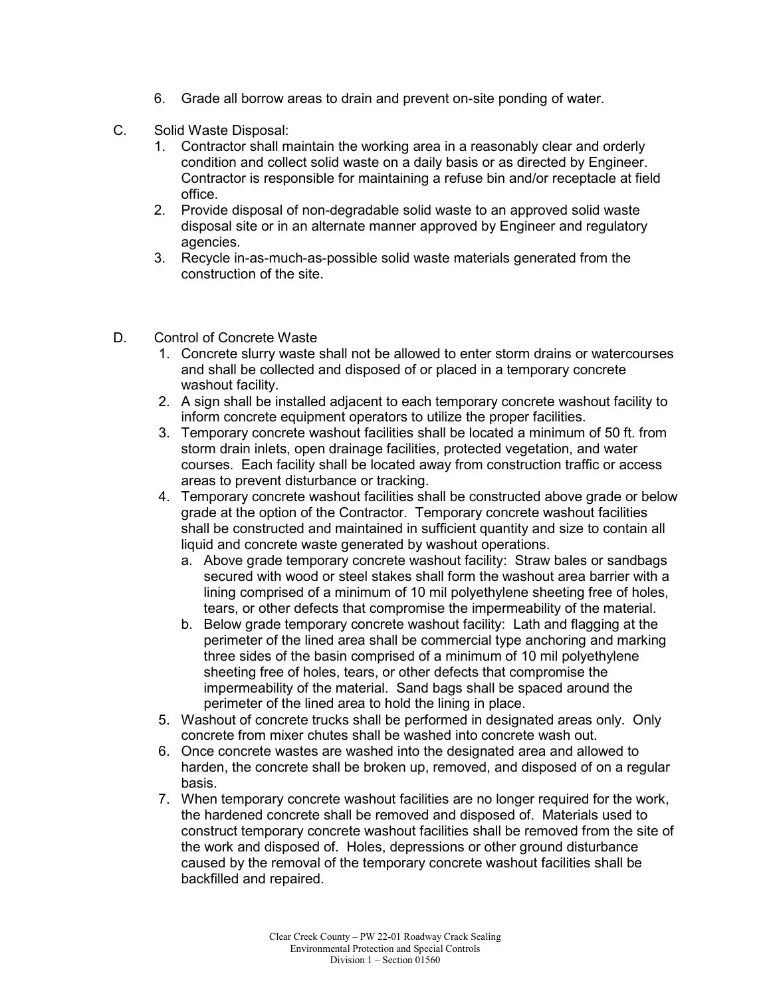- 6. Grade all borrow areas to drain and prevent on-site ponding of water.
- C. Solid Waste Disposal:
	- 1. Contractor shall maintain the working area in a reasonably clear and orderly condition and collect solid waste on a daily basis or as directed by Engineer. Contractor is responsible for maintaining a refuse bin and/or receptacle at field office.
	- 2. Provide disposal of non-degradable solid waste to an approved solid waste disposal site or in an alternate manner approved by Engineer and regulatory agencies.
	- 3. Recycle in-as-much-as-possible solid waste materials generated from the construction of the site.
- D. Control of Concrete Waste
	- 1. Concrete slurry waste shall not be allowed to enter storm drains or watercourses and shall be collected and disposed of or placed in a temporary concrete washout facility.
	- 2. A sign shall be installed adjacent to each temporary concrete washout facility to inform concrete equipment operators to utilize the proper facilities.
	- 3. Temporary concrete washout facilities shall be located a minimum of 50 ft. from storm drain inlets, open drainage facilities, protected vegetation, and water courses. Each facility shall be located away from construction traffic or access areas to prevent disturbance or tracking.
	- 4. Temporary concrete washout facilities shall be constructed above grade or below grade at the option of the Contractor. Temporary concrete washout facilities shall be constructed and maintained in sufficient quantity and size to contain all liquid and concrete waste generated by washout operations.
		- a. Above grade temporary concrete washout facility: Straw bales or sandbags secured with wood or steel stakes shall form the washout area barrier with a lining comprised of a minimum of 10 mil polyethylene sheeting free of holes, tears, or other defects that compromise the impermeability of the material.
		- b. Below grade temporary concrete washout facility: Lath and flagging at the perimeter of the lined area shall be commercial type anchoring and marking three sides of the basin comprised of a minimum of 10 mil polyethylene sheeting free of holes, tears, or other defects that compromise the impermeability of the material. Sand bags shall be spaced around the perimeter of the lined area to hold the lining in place.
	- 5. Washout of concrete trucks shall be performed in designated areas only. Only concrete from mixer chutes shall be washed into concrete wash out.
	- 6. Once concrete wastes are washed into the designated area and allowed to harden, the concrete shall be broken up, removed, and disposed of on a regular basis.
	- 7. When temporary concrete washout facilities are no longer required for the work, the hardened concrete shall be removed and disposed of. Materials used to construct temporary concrete washout facilities shall be removed from the site of the work and disposed of. Holes, depressions or other ground disturbance caused by the removal of the temporary concrete washout facilities shall be backfilled and repaired.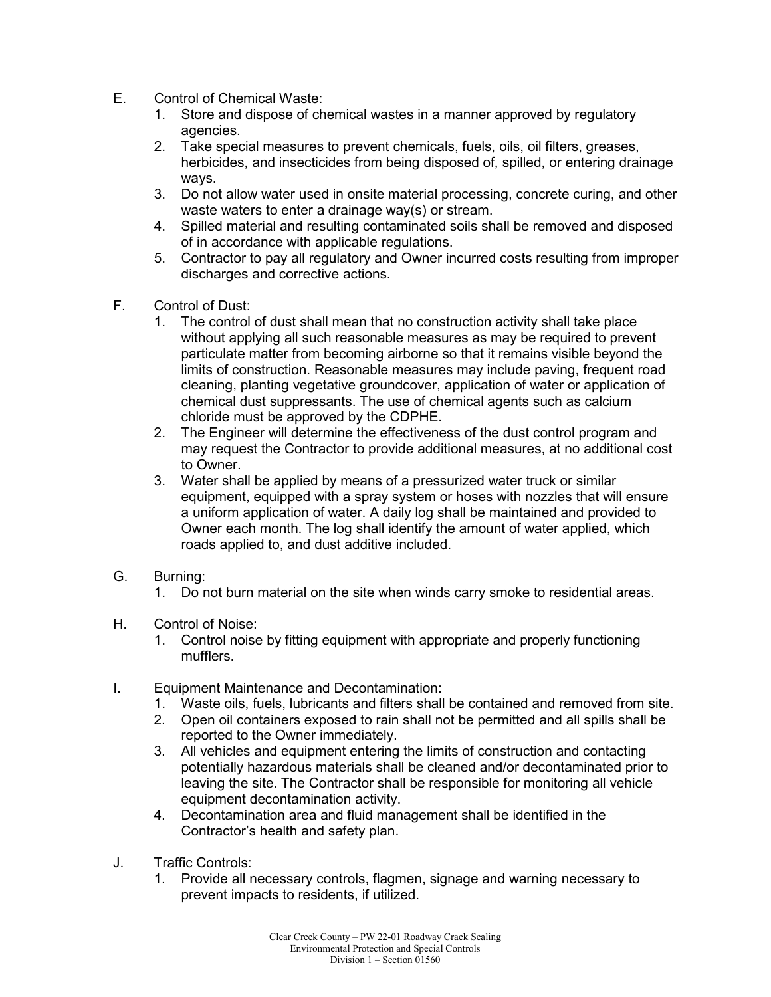- E. Control of Chemical Waste:
	- 1. Store and dispose of chemical wastes in a manner approved by regulatory agencies.
	- 2. Take special measures to prevent chemicals, fuels, oils, oil filters, greases, herbicides, and insecticides from being disposed of, spilled, or entering drainage ways.
	- 3. Do not allow water used in onsite material processing, concrete curing, and other waste waters to enter a drainage way(s) or stream.
	- 4. Spilled material and resulting contaminated soils shall be removed and disposed of in accordance with applicable regulations.
	- 5. Contractor to pay all regulatory and Owner incurred costs resulting from improper discharges and corrective actions.
- F. Control of Dust:
	- 1. The control of dust shall mean that no construction activity shall take place without applying all such reasonable measures as may be required to prevent particulate matter from becoming airborne so that it remains visible beyond the limits of construction. Reasonable measures may include paving, frequent road cleaning, planting vegetative groundcover, application of water or application of chemical dust suppressants. The use of chemical agents such as calcium chloride must be approved by the CDPHE.
	- 2. The Engineer will determine the effectiveness of the dust control program and may request the Contractor to provide additional measures, at no additional cost to Owner.
	- 3. Water shall be applied by means of a pressurized water truck or similar equipment, equipped with a spray system or hoses with nozzles that will ensure a uniform application of water. A daily log shall be maintained and provided to Owner each month. The log shall identify the amount of water applied, which roads applied to, and dust additive included.
- G. Burning:
	- 1. Do not burn material on the site when winds carry smoke to residential areas.
- H. Control of Noise:
	- 1. Control noise by fitting equipment with appropriate and properly functioning mufflers.
- I. Equipment Maintenance and Decontamination:
	- 1. Waste oils, fuels, lubricants and filters shall be contained and removed from site.
	- 2. Open oil containers exposed to rain shall not be permitted and all spills shall be reported to the Owner immediately.
	- 3. All vehicles and equipment entering the limits of construction and contacting potentially hazardous materials shall be cleaned and/or decontaminated prior to leaving the site. The Contractor shall be responsible for monitoring all vehicle equipment decontamination activity.
	- 4. Decontamination area and fluid management shall be identified in the Contractor's health and safety plan.
- J. Traffic Controls:
	- 1. Provide all necessary controls, flagmen, signage and warning necessary to prevent impacts to residents, if utilized.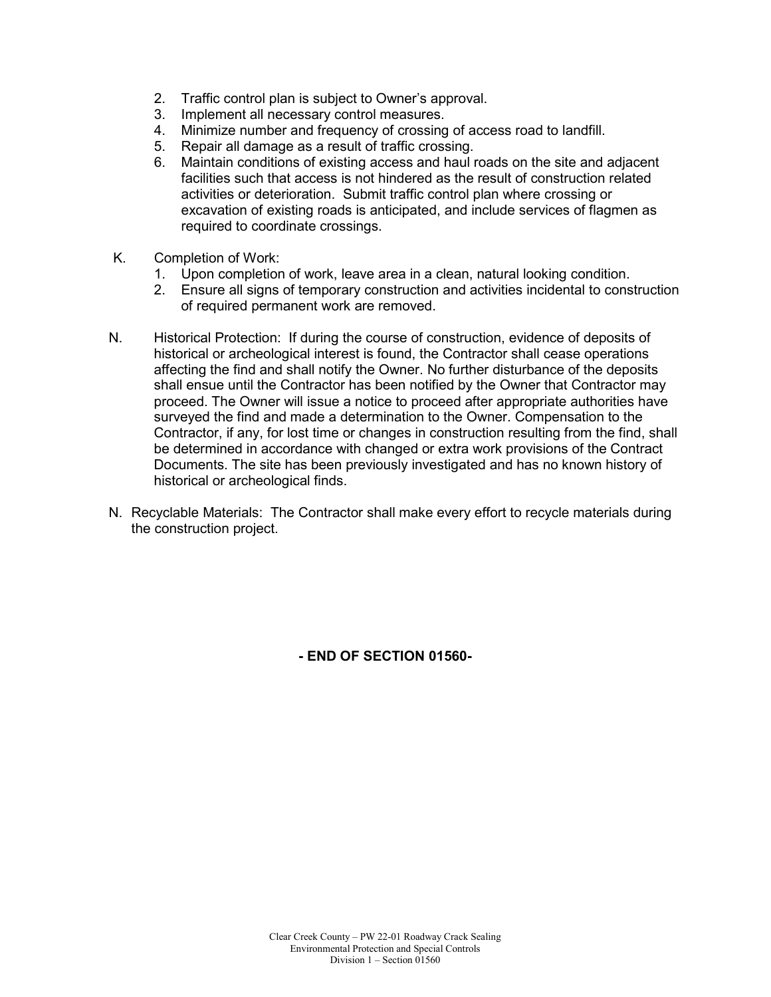- 2. Traffic control plan is subject to Owner's approval.
- 3. Implement all necessary control measures.
- 4. Minimize number and frequency of crossing of access road to landfill.
- 5. Repair all damage as a result of traffic crossing.
- 6. Maintain conditions of existing access and haul roads on the site and adjacent facilities such that access is not hindered as the result of construction related activities or deterioration. Submit traffic control plan where crossing or excavation of existing roads is anticipated, and include services of flagmen as required to coordinate crossings.
- K. Completion of Work:
	- 1. Upon completion of work, leave area in a clean, natural looking condition.
	- 2. Ensure all signs of temporary construction and activities incidental to construction of required permanent work are removed.
- N. Historical Protection: If during the course of construction, evidence of deposits of historical or archeological interest is found, the Contractor shall cease operations affecting the find and shall notify the Owner. No further disturbance of the deposits shall ensue until the Contractor has been notified by the Owner that Contractor may proceed. The Owner will issue a notice to proceed after appropriate authorities have surveyed the find and made a determination to the Owner. Compensation to the Contractor, if any, for lost time or changes in construction resulting from the find, shall be determined in accordance with changed or extra work provisions of the Contract Documents. The site has been previously investigated and has no known history of historical or archeological finds.
- N. Recyclable Materials: The Contractor shall make every effort to recycle materials during the construction project.

**- END OF SECTION 01560-**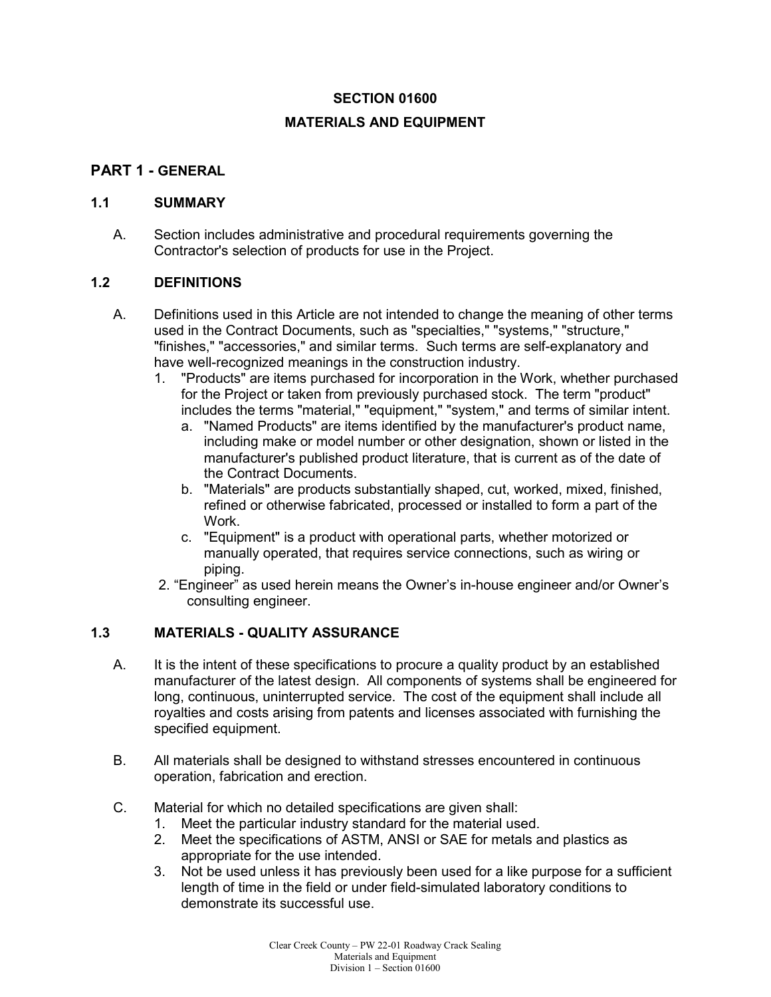#### **SECTION 01600**

#### **MATERIALS AND EQUIPMENT**

## **PART 1 - GENERAL**

#### **1.1 SUMMARY**

A. Section includes administrative and procedural requirements governing the Contractor's selection of products for use in the Project.

#### **1.2 DEFINITIONS**

- A. Definitions used in this Article are not intended to change the meaning of other terms used in the Contract Documents, such as "specialties," "systems," "structure," "finishes," "accessories," and similar terms. Such terms are self-explanatory and have well-recognized meanings in the construction industry.
	- 1. "Products" are items purchased for incorporation in the Work, whether purchased for the Project or taken from previously purchased stock. The term "product" includes the terms "material," "equipment," "system," and terms of similar intent.
		- a. "Named Products" are items identified by the manufacturer's product name, including make or model number or other designation, shown or listed in the manufacturer's published product literature, that is current as of the date of the Contract Documents.
		- b. "Materials" are products substantially shaped, cut, worked, mixed, finished, refined or otherwise fabricated, processed or installed to form a part of the Work.
		- c. "Equipment" is a product with operational parts, whether motorized or manually operated, that requires service connections, such as wiring or piping.
	- 2. "Engineer" as used herein means the Owner's in-house engineer and/or Owner's consulting engineer.

#### **1.3 MATERIALS - QUALITY ASSURANCE**

- A. It is the intent of these specifications to procure a quality product by an established manufacturer of the latest design. All components of systems shall be engineered for long, continuous, uninterrupted service. The cost of the equipment shall include all royalties and costs arising from patents and licenses associated with furnishing the specified equipment.
- B. All materials shall be designed to withstand stresses encountered in continuous operation, fabrication and erection.
- C. Material for which no detailed specifications are given shall:
	- 1. Meet the particular industry standard for the material used.
	- 2. Meet the specifications of ASTM, ANSI or SAE for metals and plastics as appropriate for the use intended.
	- 3. Not be used unless it has previously been used for a like purpose for a sufficient length of time in the field or under field-simulated laboratory conditions to demonstrate its successful use.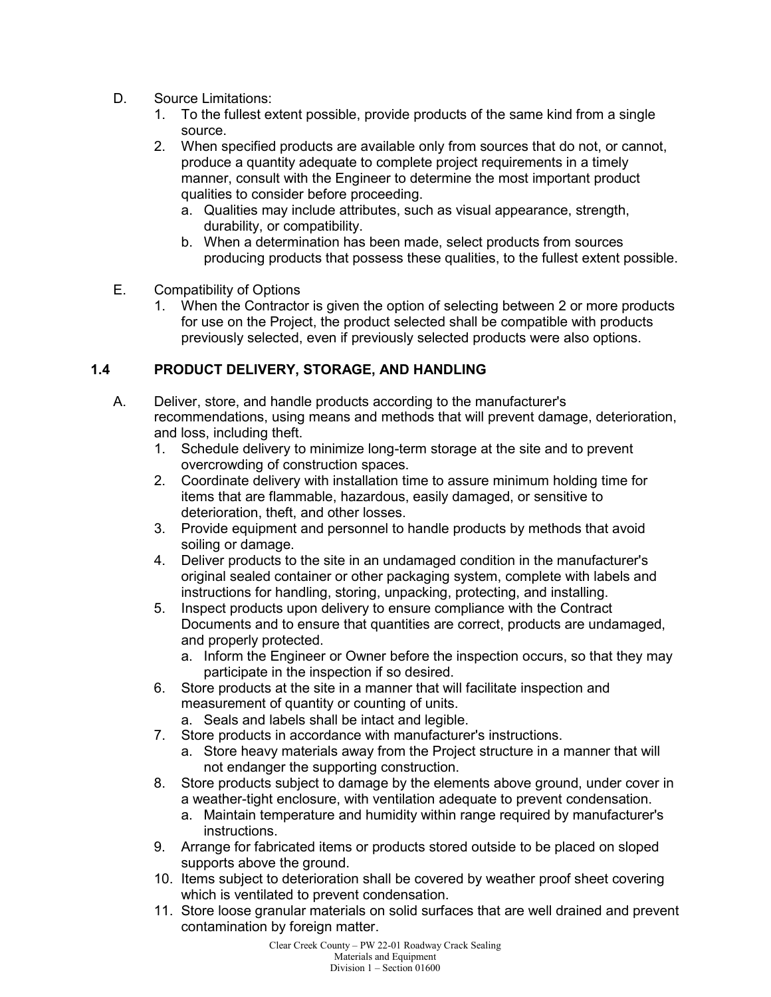- D. Source Limitations:
	- 1. To the fullest extent possible, provide products of the same kind from a single source.
	- 2. When specified products are available only from sources that do not, or cannot, produce a quantity adequate to complete project requirements in a timely manner, consult with the Engineer to determine the most important product qualities to consider before proceeding.
		- a. Qualities may include attributes, such as visual appearance, strength, durability, or compatibility.
		- b. When a determination has been made, select products from sources producing products that possess these qualities, to the fullest extent possible.
- E. Compatibility of Options
	- 1. When the Contractor is given the option of selecting between 2 or more products for use on the Project, the product selected shall be compatible with products previously selected, even if previously selected products were also options.

## **1.4 PRODUCT DELIVERY, STORAGE, AND HANDLING**

- A. Deliver, store, and handle products according to the manufacturer's recommendations, using means and methods that will prevent damage, deterioration, and loss, including theft.
	- 1. Schedule delivery to minimize long-term storage at the site and to prevent overcrowding of construction spaces.
	- 2. Coordinate delivery with installation time to assure minimum holding time for items that are flammable, hazardous, easily damaged, or sensitive to deterioration, theft, and other losses.
	- 3. Provide equipment and personnel to handle products by methods that avoid soiling or damage.
	- 4. Deliver products to the site in an undamaged condition in the manufacturer's original sealed container or other packaging system, complete with labels and instructions for handling, storing, unpacking, protecting, and installing.
	- 5. Inspect products upon delivery to ensure compliance with the Contract Documents and to ensure that quantities are correct, products are undamaged, and properly protected.
		- a. Inform the Engineer or Owner before the inspection occurs, so that they may participate in the inspection if so desired.
	- 6. Store products at the site in a manner that will facilitate inspection and measurement of quantity or counting of units.
		- a. Seals and labels shall be intact and legible.
	- 7. Store products in accordance with manufacturer's instructions.
		- a. Store heavy materials away from the Project structure in a manner that will not endanger the supporting construction.
	- 8. Store products subject to damage by the elements above ground, under cover in a weather-tight enclosure, with ventilation adequate to prevent condensation.
		- a. Maintain temperature and humidity within range required by manufacturer's instructions.
	- 9. Arrange for fabricated items or products stored outside to be placed on sloped supports above the ground.
	- 10. Items subject to deterioration shall be covered by weather proof sheet covering which is ventilated to prevent condensation.
	- 11. Store loose granular materials on solid surfaces that are well drained and prevent contamination by foreign matter.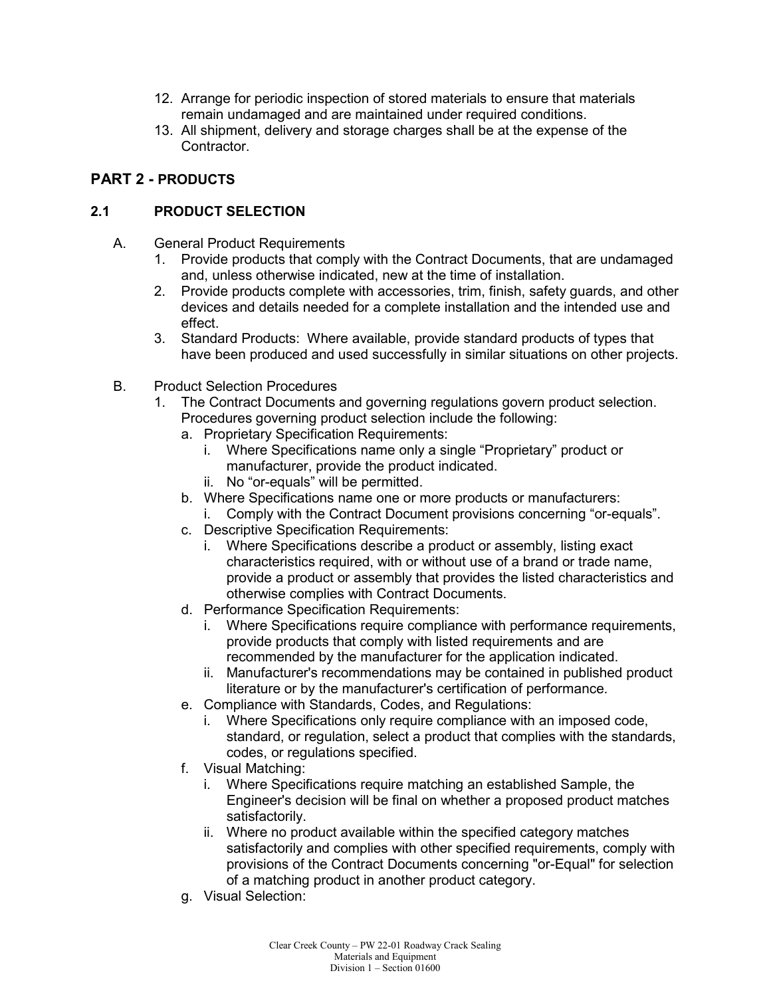- 12. Arrange for periodic inspection of stored materials to ensure that materials remain undamaged and are maintained under required conditions.
- 13. All shipment, delivery and storage charges shall be at the expense of the Contractor.

## **PART 2 - PRODUCTS**

## **2.1 PRODUCT SELECTION**

- A. General Product Requirements
	- 1. Provide products that comply with the Contract Documents, that are undamaged and, unless otherwise indicated, new at the time of installation.
	- 2. Provide products complete with accessories, trim, finish, safety guards, and other devices and details needed for a complete installation and the intended use and effect.
	- 3. Standard Products: Where available, provide standard products of types that have been produced and used successfully in similar situations on other projects.
- B. Product Selection Procedures
	- 1. The Contract Documents and governing regulations govern product selection. Procedures governing product selection include the following:
		- a. Proprietary Specification Requirements:
			- i. Where Specifications name only a single "Proprietary" product or manufacturer, provide the product indicated.
			- ii. No "or-equals" will be permitted.
		- b. Where Specifications name one or more products or manufacturers:
			- i. Comply with the Contract Document provisions concerning "or-equals".
		- c. Descriptive Specification Requirements:
			- i. Where Specifications describe a product or assembly, listing exact characteristics required, with or without use of a brand or trade name, provide a product or assembly that provides the listed characteristics and otherwise complies with Contract Documents.
		- d. Performance Specification Requirements:
			- i. Where Specifications require compliance with performance requirements, provide products that comply with listed requirements and are recommended by the manufacturer for the application indicated.
			- ii. Manufacturer's recommendations may be contained in published product literature or by the manufacturer's certification of performance.
		- e. Compliance with Standards, Codes, and Regulations:
			- i. Where Specifications only require compliance with an imposed code, standard, or regulation, select a product that complies with the standards, codes, or regulations specified.
		- f. Visual Matching:
			- i. Where Specifications require matching an established Sample, the Engineer's decision will be final on whether a proposed product matches satisfactorily.
			- ii. Where no product available within the specified category matches satisfactorily and complies with other specified requirements, comply with provisions of the Contract Documents concerning "or-Equal" for selection of a matching product in another product category.
		- g. Visual Selection: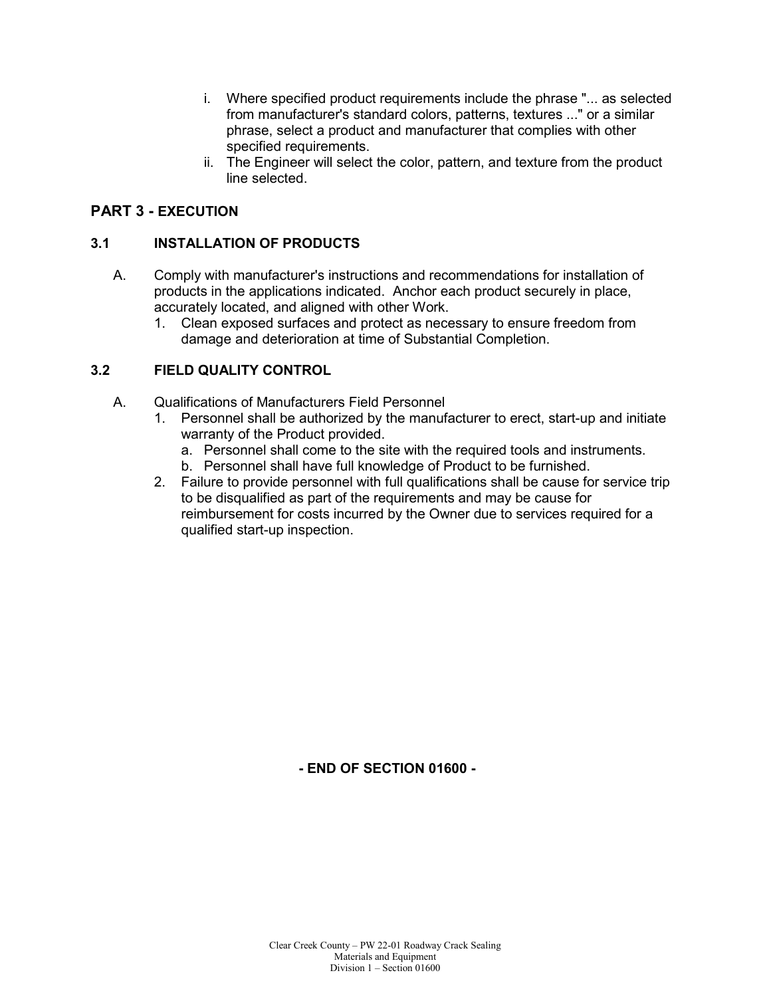- i. Where specified product requirements include the phrase "... as selected from manufacturer's standard colors, patterns, textures ..." or a similar phrase, select a product and manufacturer that complies with other specified requirements.
- ii. The Engineer will select the color, pattern, and texture from the product line selected.

# **PART 3 - EXECUTION**

#### **3.1 INSTALLATION OF PRODUCTS**

- A. Comply with manufacturer's instructions and recommendations for installation of products in the applications indicated. Anchor each product securely in place, accurately located, and aligned with other Work.
	- 1. Clean exposed surfaces and protect as necessary to ensure freedom from damage and deterioration at time of Substantial Completion.

# **3.2 FIELD QUALITY CONTROL**

- A. Qualifications of Manufacturers Field Personnel
	- 1. Personnel shall be authorized by the manufacturer to erect, start-up and initiate warranty of the Product provided.
		- a. Personnel shall come to the site with the required tools and instruments.
		- b. Personnel shall have full knowledge of Product to be furnished.
	- 2. Failure to provide personnel with full qualifications shall be cause for service trip to be disqualified as part of the requirements and may be cause for reimbursement for costs incurred by the Owner due to services required for a qualified start-up inspection.

**- END OF SECTION 01600 -**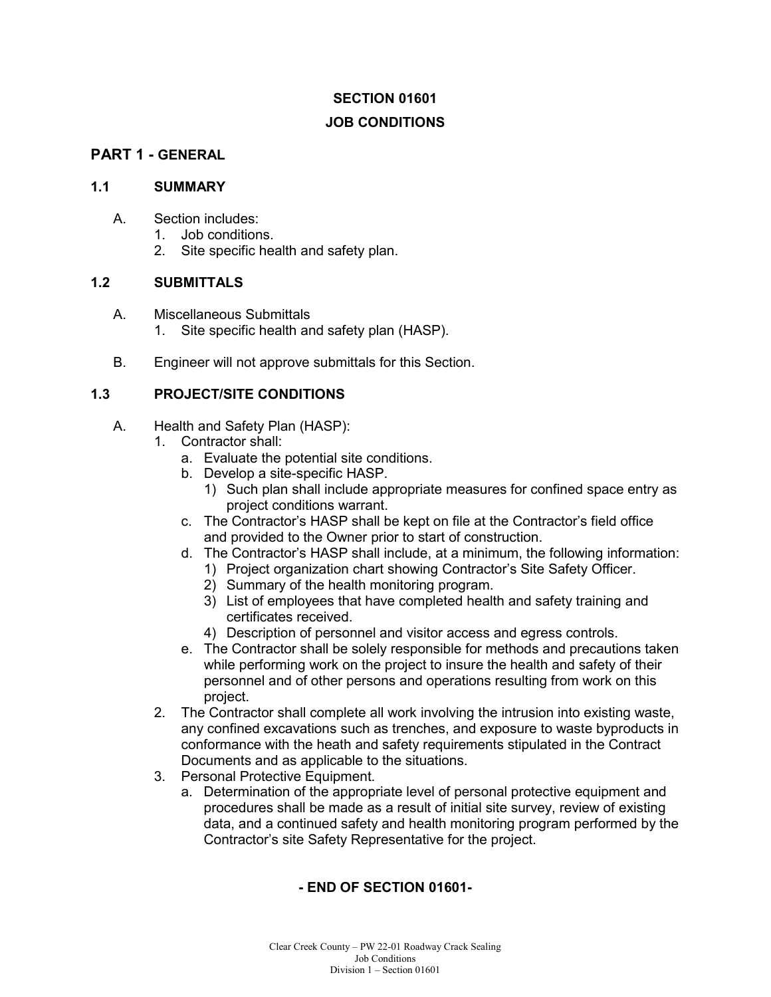# **JOB CONDITIONS**

# **PART 1 - GENERAL**

#### **1.1 SUMMARY**

- A. Section includes:
	- 1. Job conditions.
	- 2. Site specific health and safety plan.

#### **1.2 SUBMITTALS**

- A. Miscellaneous Submittals 1. Site specific health and safety plan (HASP).
- B. Engineer will not approve submittals for this Section.

# **1.3 PROJECT/SITE CONDITIONS**

- A. Health and Safety Plan (HASP):
	- 1. Contractor shall:
		- a. Evaluate the potential site conditions.
		- b. Develop a site-specific HASP.
			- 1) Such plan shall include appropriate measures for confined space entry as project conditions warrant.
		- c. The Contractor's HASP shall be kept on file at the Contractor's field office and provided to the Owner prior to start of construction.
		- d. The Contractor's HASP shall include, at a minimum, the following information:
			- 1) Project organization chart showing Contractor's Site Safety Officer.
			- 2) Summary of the health monitoring program.
			- 3) List of employees that have completed health and safety training and certificates received.
			- 4) Description of personnel and visitor access and egress controls.
		- e. The Contractor shall be solely responsible for methods and precautions taken while performing work on the project to insure the health and safety of their personnel and of other persons and operations resulting from work on this project.
	- 2. The Contractor shall complete all work involving the intrusion into existing waste, any confined excavations such as trenches, and exposure to waste byproducts in conformance with the heath and safety requirements stipulated in the Contract Documents and as applicable to the situations.
	- 3. Personal Protective Equipment.
		- a. Determination of the appropriate level of personal protective equipment and procedures shall be made as a result of initial site survey, review of existing data, and a continued safety and health monitoring program performed by the Contractor's site Safety Representative for the project.

# **- END OF SECTION 01601-**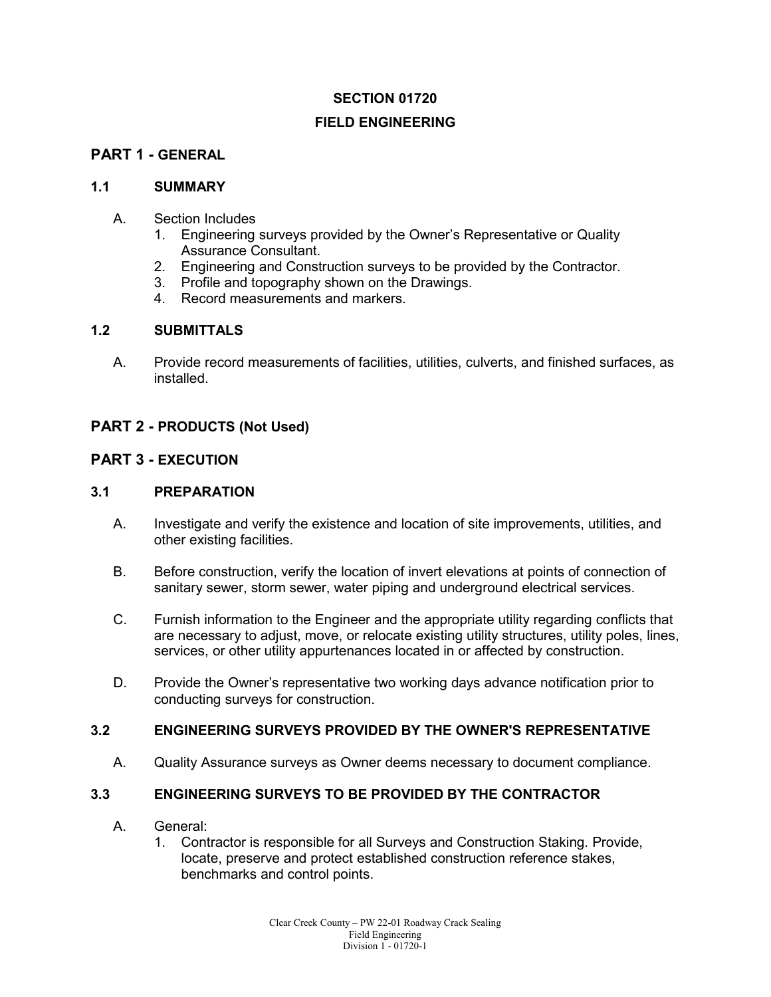### **FIELD ENGINEERING**

# **PART 1 - GENERAL**

#### **1.1 SUMMARY**

- A. Section Includes
	- 1. Engineering surveys provided by the Owner's Representative or Quality Assurance Consultant.
	- 2. Engineering and Construction surveys to be provided by the Contractor.
	- 3. Profile and topography shown on the Drawings.
	- 4. Record measurements and markers.

#### **1.2 SUBMITTALS**

A. Provide record measurements of facilities, utilities, culverts, and finished surfaces, as installed.

#### **PART 2 - PRODUCTS (Not Used)**

#### **PART 3 - EXECUTION**

#### **3.1 PREPARATION**

- A. Investigate and verify the existence and location of site improvements, utilities, and other existing facilities.
- B. Before construction, verify the location of invert elevations at points of connection of sanitary sewer, storm sewer, water piping and underground electrical services.
- C. Furnish information to the Engineer and the appropriate utility regarding conflicts that are necessary to adjust, move, or relocate existing utility structures, utility poles, lines, services, or other utility appurtenances located in or affected by construction.
- D. Provide the Owner's representative two working days advance notification prior to conducting surveys for construction.

#### **3.2 ENGINEERING SURVEYS PROVIDED BY THE OWNER'S REPRESENTATIVE**

A. Quality Assurance surveys as Owner deems necessary to document compliance.

#### **3.3 ENGINEERING SURVEYS TO BE PROVIDED BY THE CONTRACTOR**

- A. General:
	- 1. Contractor is responsible for all Surveys and Construction Staking. Provide, locate, preserve and protect established construction reference stakes, benchmarks and control points.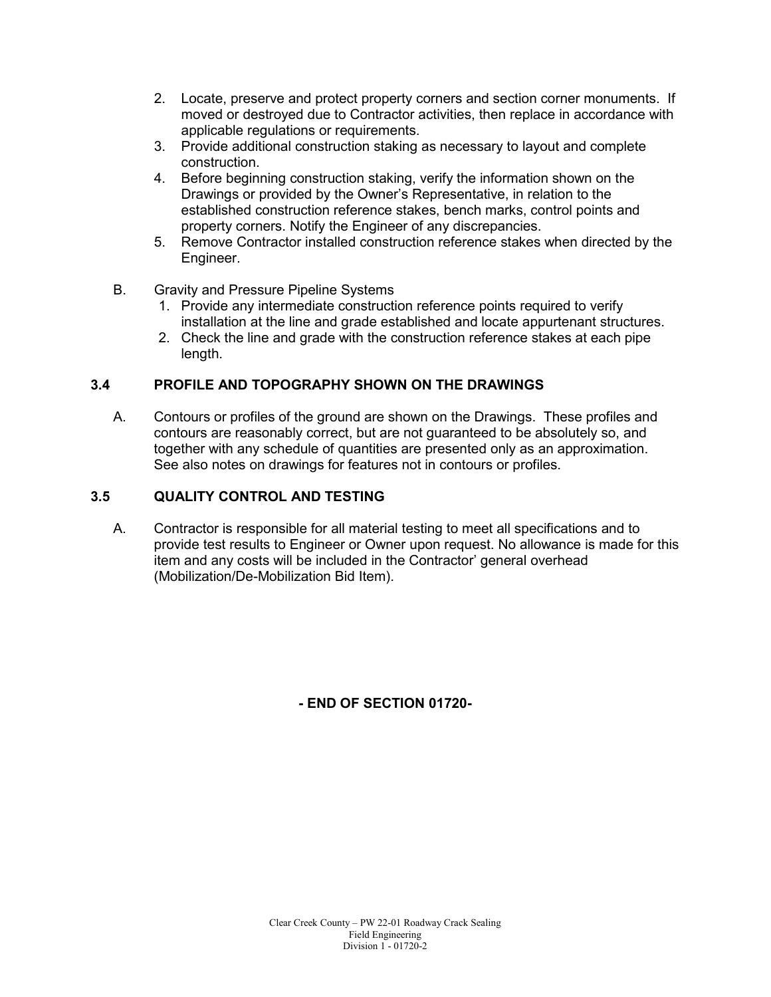- 2. Locate, preserve and protect property corners and section corner monuments. If moved or destroyed due to Contractor activities, then replace in accordance with applicable regulations or requirements.
- 3. Provide additional construction staking as necessary to layout and complete construction.
- 4. Before beginning construction staking, verify the information shown on the Drawings or provided by the Owner's Representative, in relation to the established construction reference stakes, bench marks, control points and property corners. Notify the Engineer of any discrepancies.
- 5. Remove Contractor installed construction reference stakes when directed by the Engineer.
- B. Gravity and Pressure Pipeline Systems
	- 1. Provide any intermediate construction reference points required to verify installation at the line and grade established and locate appurtenant structures.
	- 2. Check the line and grade with the construction reference stakes at each pipe length.

# **3.4 PROFILE AND TOPOGRAPHY SHOWN ON THE DRAWINGS**

A. Contours or profiles of the ground are shown on the Drawings. These profiles and contours are reasonably correct, but are not guaranteed to be absolutely so, and together with any schedule of quantities are presented only as an approximation. See also notes on drawings for features not in contours or profiles.

# **3.5 QUALITY CONTROL AND TESTING**

A. Contractor is responsible for all material testing to meet all specifications and to provide test results to Engineer or Owner upon request. No allowance is made for this item and any costs will be included in the Contractor' general overhead (Mobilization/De-Mobilization Bid Item).

# **- END OF SECTION 01720-**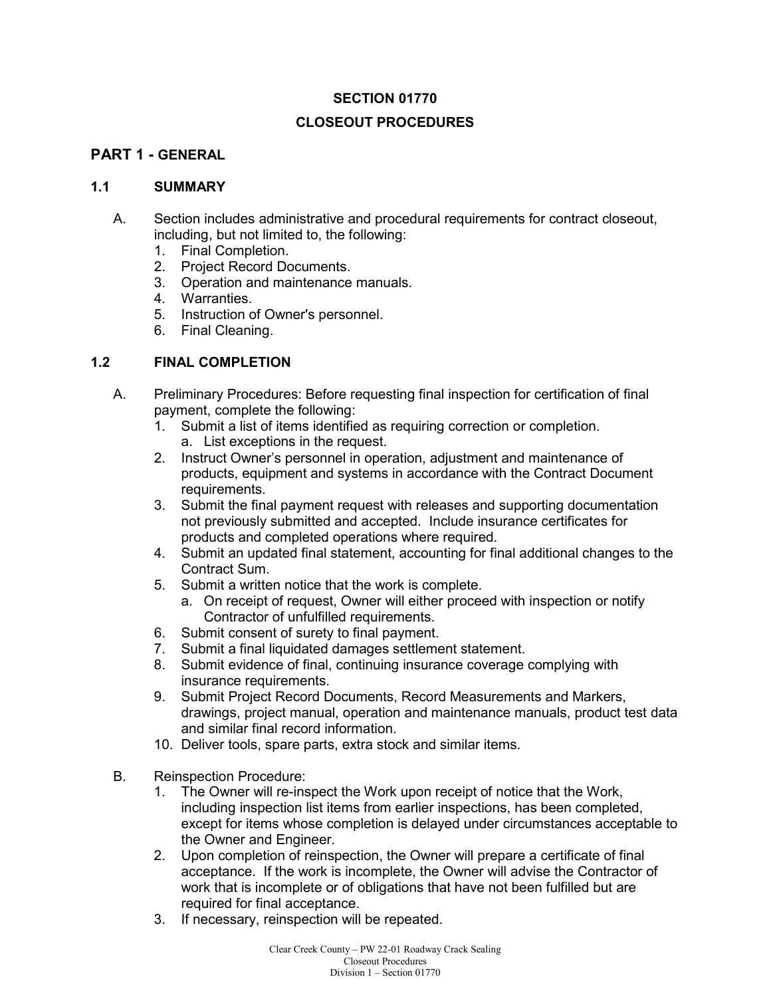# **CLOSEOUT PROCEDURES**

# **PART 1 - GENERAL**

#### **1.1 SUMMARY**

- A. Section includes administrative and procedural requirements for contract closeout, including, but not limited to, the following:
	- 1. Final Completion.
	- 2. Project Record Documents.
	- 3. Operation and maintenance manuals.
	- 4. Warranties.
	- 5. Instruction of Owner's personnel.
	- 6. Final Cleaning.

# **1.2 FINAL COMPLETION**

- A. Preliminary Procedures: Before requesting final inspection for certification of final payment, complete the following:
	- 1. Submit a list of items identified as requiring correction or completion. a. List exceptions in the request.
	- 2. Instruct Owner's personnel in operation, adjustment and maintenance of products, equipment and systems in accordance with the Contract Document requirements.
	- 3. Submit the final payment request with releases and supporting documentation not previously submitted and accepted. Include insurance certificates for products and completed operations where required.
	- 4. Submit an updated final statement, accounting for final additional changes to the Contract Sum.
	- 5. Submit a written notice that the work is complete.
		- a. On receipt of request, Owner will either proceed with inspection or notify Contractor of unfulfilled requirements.
	- 6. Submit consent of surety to final payment.
	- 7. Submit a final liquidated damages settlement statement.
	- 8. Submit evidence of final, continuing insurance coverage complying with insurance requirements.
	- 9. Submit Project Record Documents, Record Measurements and Markers, drawings, project manual, operation and maintenance manuals, product test data and similar final record information.
	- 10. Deliver tools, spare parts, extra stock and similar items.
- B. Reinspection Procedure:
	- 1. The Owner will re-inspect the Work upon receipt of notice that the Work, including inspection list items from earlier inspections, has been completed, except for items whose completion is delayed under circumstances acceptable to the Owner and Engineer.
	- 2. Upon completion of reinspection, the Owner will prepare a certificate of final acceptance. If the work is incomplete, the Owner will advise the Contractor of work that is incomplete or of obligations that have not been fulfilled but are required for final acceptance.
	- 3. If necessary, reinspection will be repeated.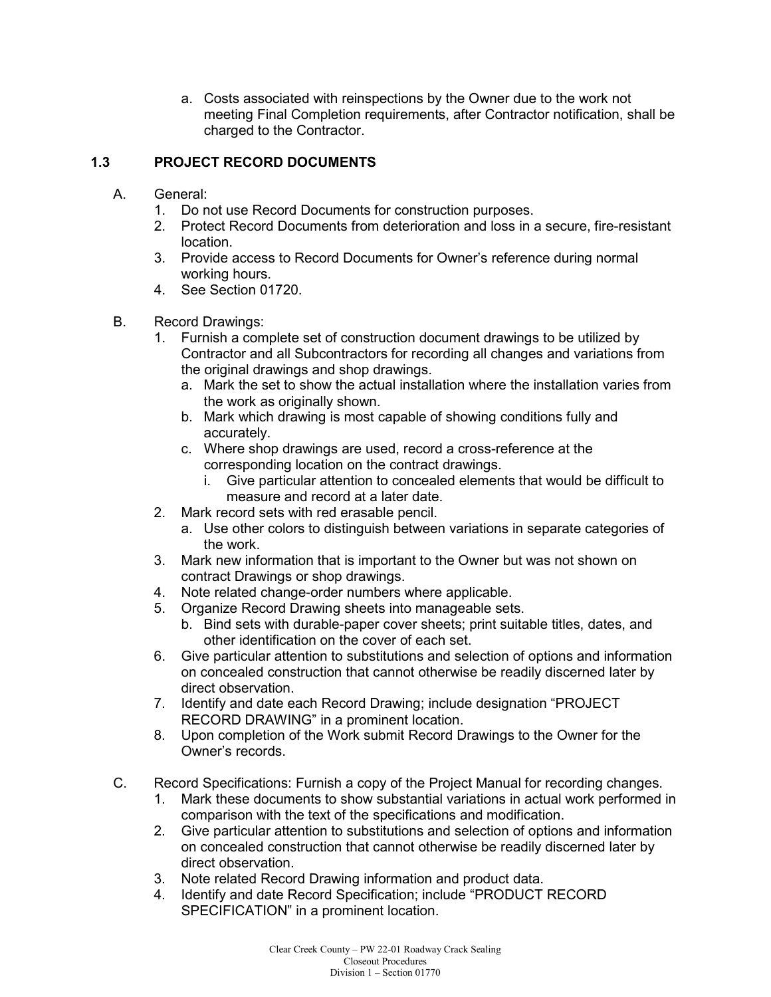a. Costs associated with reinspections by the Owner due to the work not meeting Final Completion requirements, after Contractor notification, shall be charged to the Contractor.

# **1.3 PROJECT RECORD DOCUMENTS**

- A. General:
	- 1. Do not use Record Documents for construction purposes.
	- 2. Protect Record Documents from deterioration and loss in a secure, fire-resistant location.
	- 3. Provide access to Record Documents for Owner's reference during normal working hours.
	- 4. See Section 01720.
- B. Record Drawings:
	- 1. Furnish a complete set of construction document drawings to be utilized by Contractor and all Subcontractors for recording all changes and variations from the original drawings and shop drawings.
		- a. Mark the set to show the actual installation where the installation varies from the work as originally shown.
		- b. Mark which drawing is most capable of showing conditions fully and accurately.
		- c. Where shop drawings are used, record a cross-reference at the corresponding location on the contract drawings.
			- i. Give particular attention to concealed elements that would be difficult to measure and record at a later date.
	- 2. Mark record sets with red erasable pencil.
		- a. Use other colors to distinguish between variations in separate categories of the work.
	- 3. Mark new information that is important to the Owner but was not shown on contract Drawings or shop drawings.
	- 4. Note related change-order numbers where applicable.
	- 5. Organize Record Drawing sheets into manageable sets.
		- b. Bind sets with durable-paper cover sheets; print suitable titles, dates, and other identification on the cover of each set.
	- 6. Give particular attention to substitutions and selection of options and information on concealed construction that cannot otherwise be readily discerned later by direct observation.
	- 7. Identify and date each Record Drawing; include designation "PROJECT RECORD DRAWING" in a prominent location.
	- 8. Upon completion of the Work submit Record Drawings to the Owner for the Owner's records.
- C. Record Specifications: Furnish a copy of the Project Manual for recording changes.
	- 1. Mark these documents to show substantial variations in actual work performed in comparison with the text of the specifications and modification.
	- 2. Give particular attention to substitutions and selection of options and information on concealed construction that cannot otherwise be readily discerned later by direct observation.
	- 3. Note related Record Drawing information and product data.
	- 4. Identify and date Record Specification; include "PRODUCT RECORD SPECIFICATION" in a prominent location.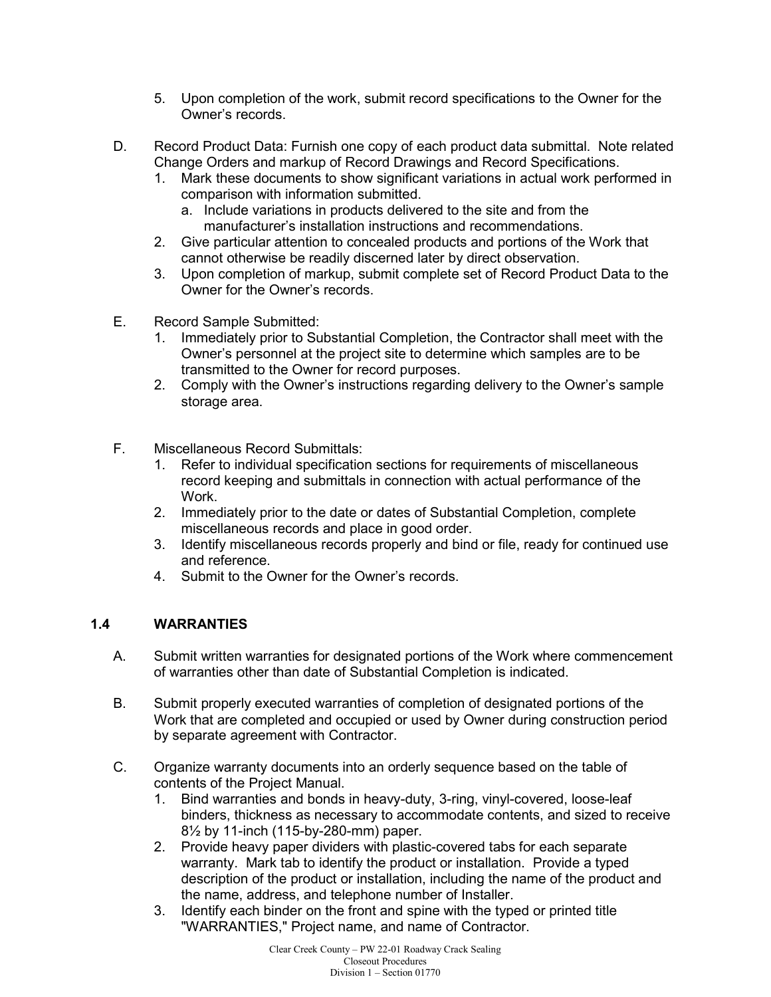- 5. Upon completion of the work, submit record specifications to the Owner for the Owner's records.
- D. Record Product Data: Furnish one copy of each product data submittal. Note related Change Orders and markup of Record Drawings and Record Specifications.
	- 1. Mark these documents to show significant variations in actual work performed in comparison with information submitted.
		- a. Include variations in products delivered to the site and from the manufacturer's installation instructions and recommendations.
	- 2. Give particular attention to concealed products and portions of the Work that cannot otherwise be readily discerned later by direct observation.
	- 3. Upon completion of markup, submit complete set of Record Product Data to the Owner for the Owner's records.
- E. Record Sample Submitted:
	- 1. Immediately prior to Substantial Completion, the Contractor shall meet with the Owner's personnel at the project site to determine which samples are to be transmitted to the Owner for record purposes.
	- 2. Comply with the Owner's instructions regarding delivery to the Owner's sample storage area.
- F. Miscellaneous Record Submittals:
	- 1. Refer to individual specification sections for requirements of miscellaneous record keeping and submittals in connection with actual performance of the Work.
	- 2. Immediately prior to the date or dates of Substantial Completion, complete miscellaneous records and place in good order.
	- 3. Identify miscellaneous records properly and bind or file, ready for continued use and reference.
	- 4. Submit to the Owner for the Owner's records.

# **1.4 WARRANTIES**

- A. Submit written warranties for designated portions of the Work where commencement of warranties other than date of Substantial Completion is indicated.
- B. Submit properly executed warranties of completion of designated portions of the Work that are completed and occupied or used by Owner during construction period by separate agreement with Contractor.
- C. Organize warranty documents into an orderly sequence based on the table of contents of the Project Manual.
	- 1. Bind warranties and bonds in heavy-duty, 3-ring, vinyl-covered, loose-leaf binders, thickness as necessary to accommodate contents, and sized to receive 8½ by 11-inch (115-by-280-mm) paper.
	- 2. Provide heavy paper dividers with plastic-covered tabs for each separate warranty. Mark tab to identify the product or installation. Provide a typed description of the product or installation, including the name of the product and the name, address, and telephone number of Installer.
	- 3. Identify each binder on the front and spine with the typed or printed title "WARRANTIES," Project name, and name of Contractor.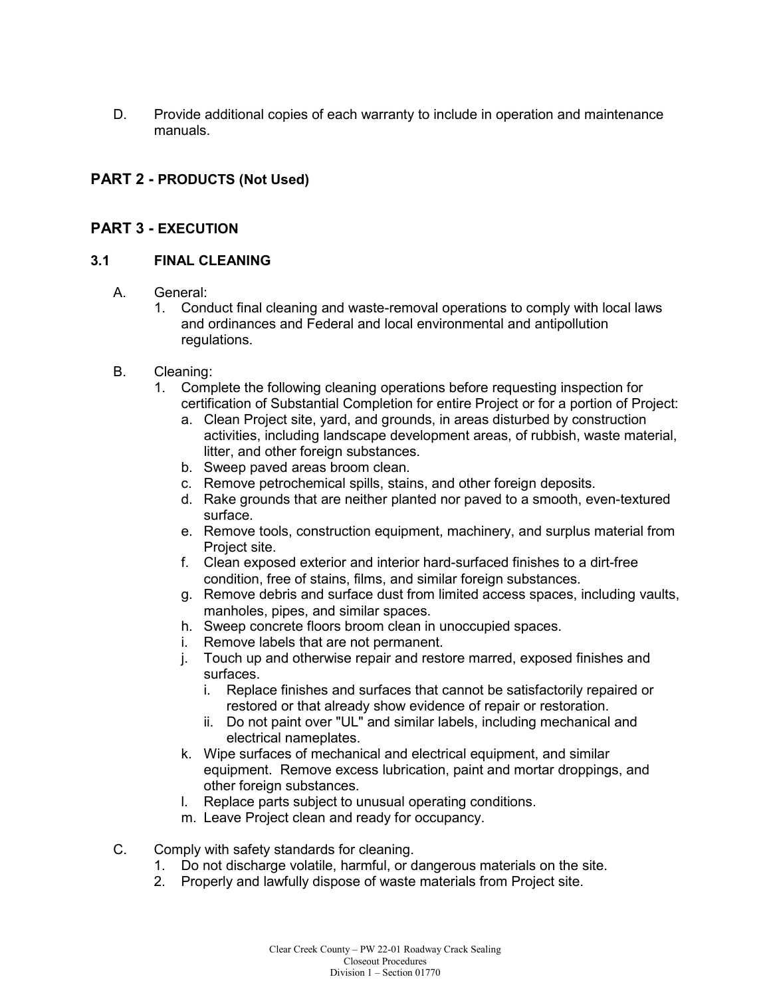D. Provide additional copies of each warranty to include in operation and maintenance manuals.

# **PART 2 - PRODUCTS (Not Used)**

# **PART 3 - EXECUTION**

#### **3.1 FINAL CLEANING**

- A. General:
	- 1. Conduct final cleaning and waste-removal operations to comply with local laws and ordinances and Federal and local environmental and antipollution regulations.
- B. Cleaning:
	- 1. Complete the following cleaning operations before requesting inspection for certification of Substantial Completion for entire Project or for a portion of Project:
		- a. Clean Project site, yard, and grounds, in areas disturbed by construction activities, including landscape development areas, of rubbish, waste material, litter, and other foreign substances.
		- b. Sweep paved areas broom clean.
		- c. Remove petrochemical spills, stains, and other foreign deposits.
		- d. Rake grounds that are neither planted nor paved to a smooth, even-textured surface.
		- e. Remove tools, construction equipment, machinery, and surplus material from Project site.
		- f. Clean exposed exterior and interior hard-surfaced finishes to a dirt-free condition, free of stains, films, and similar foreign substances.
		- g. Remove debris and surface dust from limited access spaces, including vaults, manholes, pipes, and similar spaces.
		- h. Sweep concrete floors broom clean in unoccupied spaces.
		- i. Remove labels that are not permanent.
		- j. Touch up and otherwise repair and restore marred, exposed finishes and surfaces.
			- i. Replace finishes and surfaces that cannot be satisfactorily repaired or restored or that already show evidence of repair or restoration.
			- ii. Do not paint over "UL" and similar labels, including mechanical and electrical nameplates.
		- k. Wipe surfaces of mechanical and electrical equipment, and similar equipment. Remove excess lubrication, paint and mortar droppings, and other foreign substances.
		- l. Replace parts subject to unusual operating conditions.
		- m. Leave Project clean and ready for occupancy.
- C. Comply with safety standards for cleaning.
	- 1. Do not discharge volatile, harmful, or dangerous materials on the site.
	- 2. Properly and lawfully dispose of waste materials from Project site.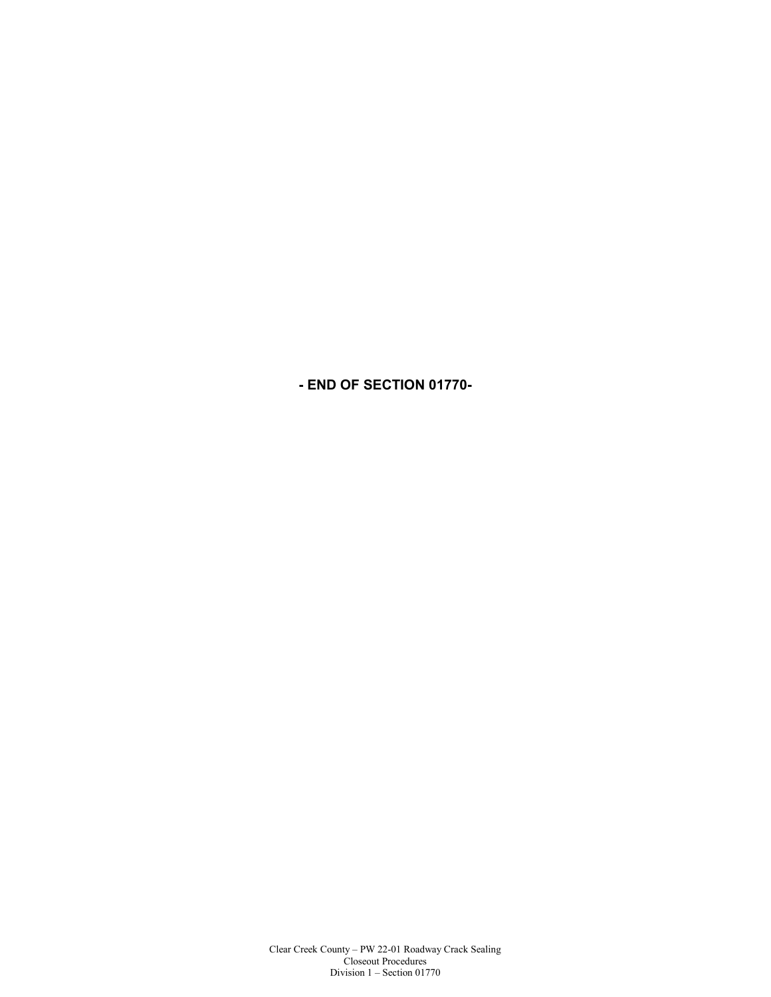**- END OF SECTION 01770-**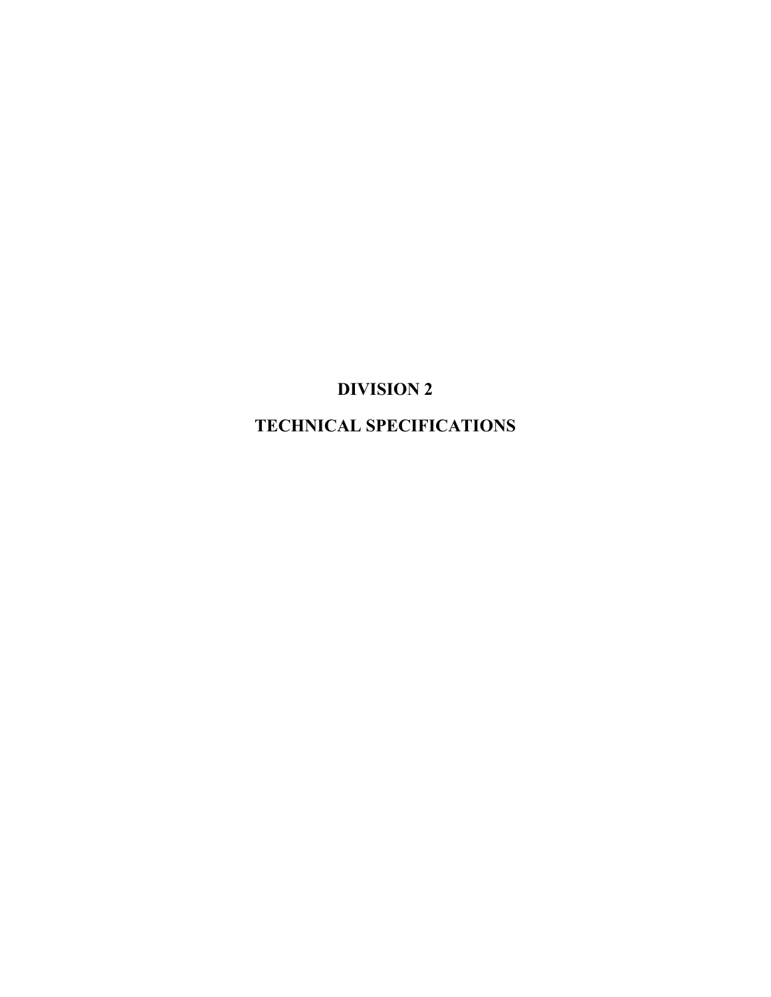# **DIVISION 2**

**TECHNICAL SPECIFICATIONS**